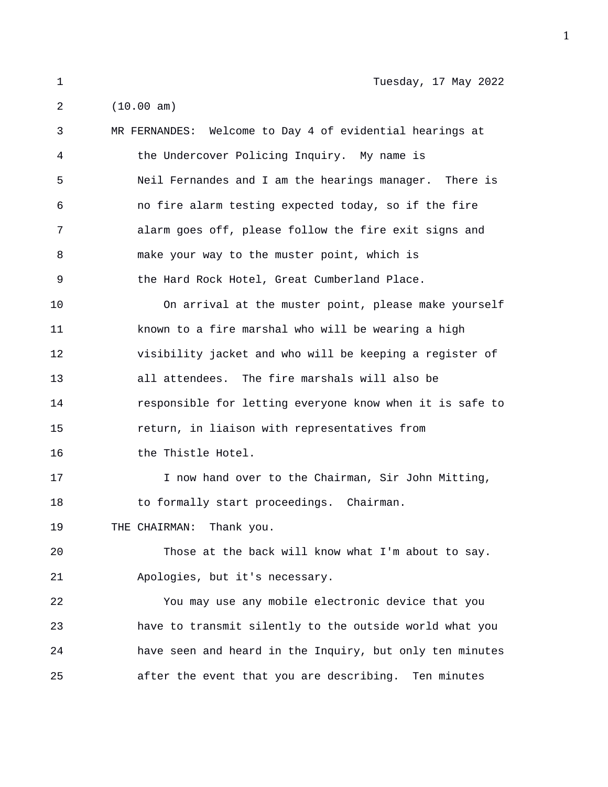1 Tuesday, 17 May 2022

2 (10.00 am)

| 3  | MR FERNANDES: Welcome to Day 4 of evidential hearings at |
|----|----------------------------------------------------------|
| 4  | the Undercover Policing Inquiry. My name is              |
| 5  | Neil Fernandes and I am the hearings manager. There is   |
| 6  | no fire alarm testing expected today, so if the fire     |
| 7  | alarm goes off, please follow the fire exit signs and    |
| 8  | make your way to the muster point, which is              |
| 9  | the Hard Rock Hotel, Great Cumberland Place.             |
| 10 | On arrival at the muster point, please make yourself     |
| 11 | known to a fire marshal who will be wearing a high       |
| 12 | visibility jacket and who will be keeping a register of  |
| 13 | all attendees. The fire marshals will also be            |
| 14 | responsible for letting everyone know when it is safe to |
| 15 | return, in liaison with representatives from             |
| 16 | the Thistle Hotel.                                       |
| 17 | I now hand over to the Chairman, Sir John Mitting,       |
| 18 | to formally start proceedings. Chairman.                 |
| 19 | THE CHAIRMAN: Thank you.                                 |
| 20 | Those at the back will know what I'm about to say.       |
| 21 | Apologies, but it's necessary.                           |
| 22 | You may use any mobile electronic device that you        |
| 23 | have to transmit silently to the outside world what you  |
| 24 | have seen and heard in the Inquiry, but only ten minutes |
| 25 | after the event that you are describing. Ten minutes     |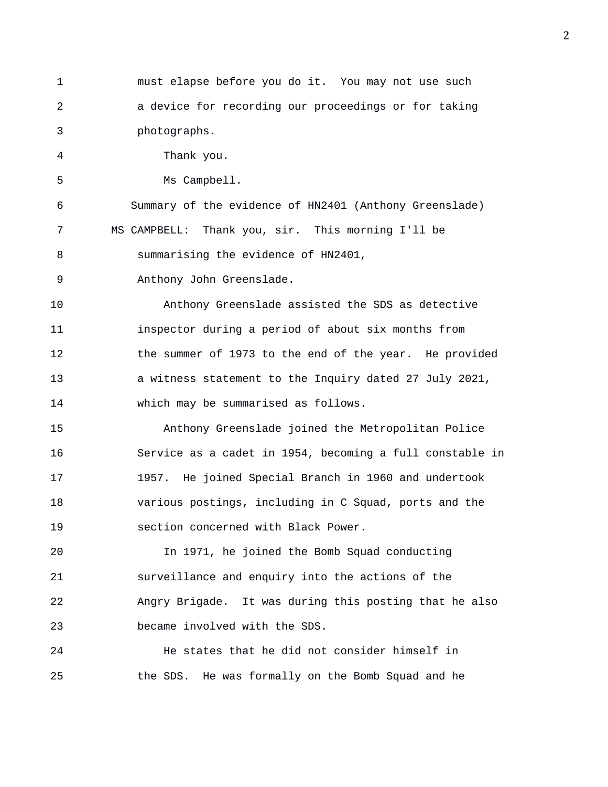1 must elapse before you do it. You may not use such 2 a device for recording our proceedings or for taking 3 photographs. 4 Thank you. 5 Ms Campbell. 6 Summary of the evidence of HN2401 (Anthony Greenslade) 7 MS CAMPBELL: Thank you, sir. This morning I'll be 8 summarising the evidence of HN2401, 9 Anthony John Greenslade. 10 Anthony Greenslade assisted the SDS as detective 11 inspector during a period of about six months from 12 the summer of 1973 to the end of the year. He provided 13 a witness statement to the Inquiry dated 27 July 2021, 14 which may be summarised as follows. 15 Anthony Greenslade joined the Metropolitan Police 16 Service as a cadet in 1954, becoming a full constable in 17 1957. He joined Special Branch in 1960 and undertook 18 various postings, including in C Squad, ports and the 19 section concerned with Black Power. 20 In 1971, he joined the Bomb Squad conducting 21 surveillance and enquiry into the actions of the 22 Angry Brigade. It was during this posting that he also 23 became involved with the SDS. 24 He states that he did not consider himself in 25 the SDS. He was formally on the Bomb Squad and he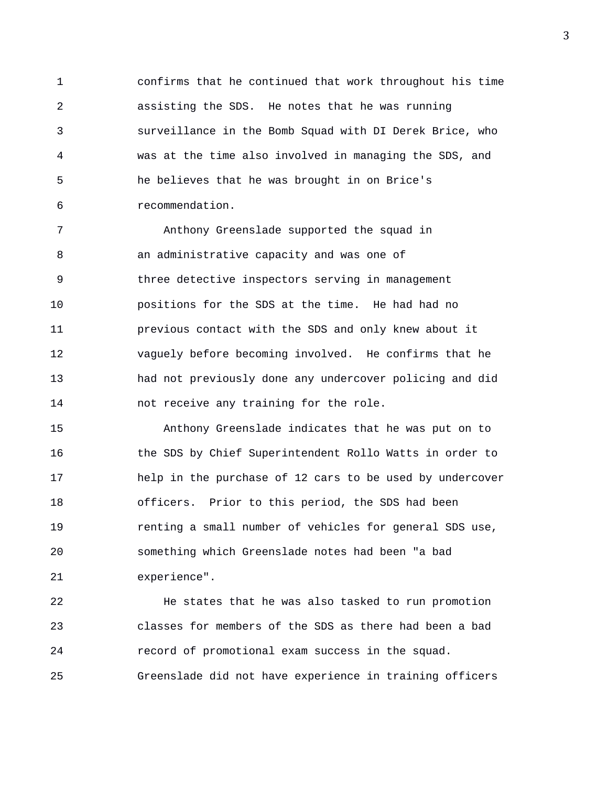1 confirms that he continued that work throughout his time 2 assisting the SDS. He notes that he was running 3 surveillance in the Bomb Squad with DI Derek Brice, who 4 was at the time also involved in managing the SDS, and 5 he believes that he was brought in on Brice's 6 recommendation.

7 Anthony Greenslade supported the squad in 8 an administrative capacity and was one of 9 three detective inspectors serving in management 10 positions for the SDS at the time. He had had no 11 previous contact with the SDS and only knew about it 12 vaguely before becoming involved. He confirms that he 13 had not previously done any undercover policing and did 14 not receive any training for the role.

15 Anthony Greenslade indicates that he was put on to 16 the SDS by Chief Superintendent Rollo Watts in order to 17 help in the purchase of 12 cars to be used by undercover 18 officers. Prior to this period, the SDS had been 19 renting a small number of vehicles for general SDS use, 20 something which Greenslade notes had been "a bad 21 experience".

22 He states that he was also tasked to run promotion 23 classes for members of the SDS as there had been a bad 24 record of promotional exam success in the squad. 25 Greenslade did not have experience in training officers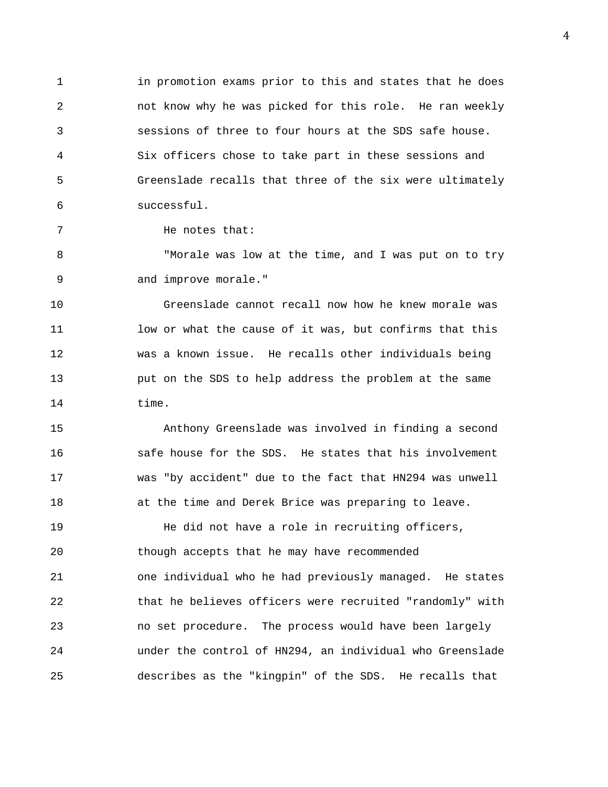1 in promotion exams prior to this and states that he does 2 not know why he was picked for this role. He ran weekly 3 sessions of three to four hours at the SDS safe house. 4 Six officers chose to take part in these sessions and 5 Greenslade recalls that three of the six were ultimately 6 successful.

7 He notes that:

8 "Morale was low at the time, and I was put on to try 9 and improve morale."

10 Greenslade cannot recall now how he knew morale was 11 low or what the cause of it was, but confirms that this 12 was a known issue. He recalls other individuals being 13 put on the SDS to help address the problem at the same 14 time.

15 Anthony Greenslade was involved in finding a second 16 safe house for the SDS. He states that his involvement 17 was "by accident" due to the fact that HN294 was unwell 18 at the time and Derek Brice was preparing to leave.

19 He did not have a role in recruiting officers, 20 though accepts that he may have recommended 21 one individual who he had previously managed. He states 22 that he believes officers were recruited "randomly" with 23 no set procedure. The process would have been largely 24 under the control of HN294, an individual who Greenslade 25 describes as the "kingpin" of the SDS. He recalls that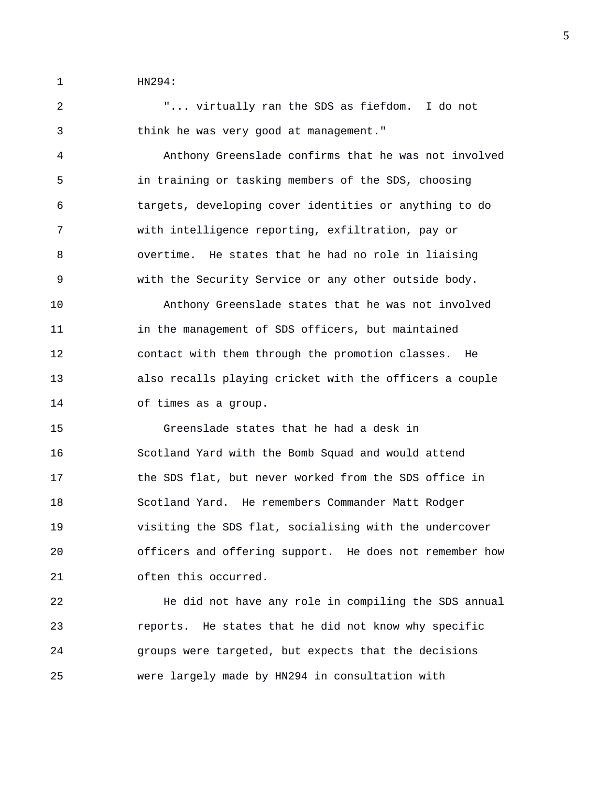1 HN294:

2 "... virtually ran the SDS as fiefdom. I do not 3 think he was very good at management."

4 Anthony Greenslade confirms that he was not involved 5 in training or tasking members of the SDS, choosing 6 targets, developing cover identities or anything to do 7 with intelligence reporting, exfiltration, pay or 8 overtime. He states that he had no role in liaising 9 with the Security Service or any other outside body.

10 Anthony Greenslade states that he was not involved 11 in the management of SDS officers, but maintained 12 contact with them through the promotion classes. He 13 also recalls playing cricket with the officers a couple 14 of times as a group.

15 Greenslade states that he had a desk in 16 Scotland Yard with the Bomb Squad and would attend 17 the SDS flat, but never worked from the SDS office in 18 Scotland Yard. He remembers Commander Matt Rodger 19 visiting the SDS flat, socialising with the undercover 20 officers and offering support. He does not remember how 21 often this occurred.

22 He did not have any role in compiling the SDS annual 23 reports. He states that he did not know why specific 24 groups were targeted, but expects that the decisions 25 were largely made by HN294 in consultation with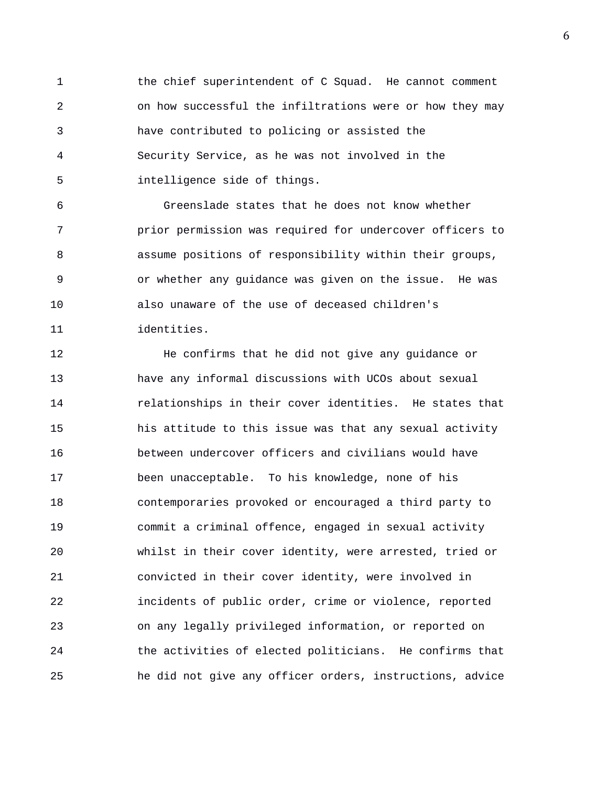1 the chief superintendent of C Squad. He cannot comment 2 on how successful the infiltrations were or how they may 3 have contributed to policing or assisted the 4 Security Service, as he was not involved in the 5 intelligence side of things.

6 Greenslade states that he does not know whether 7 prior permission was required for undercover officers to 8 assume positions of responsibility within their groups, 9 or whether any guidance was given on the issue. He was 10 also unaware of the use of deceased children's 11 identities.

12 He confirms that he did not give any guidance or 13 have any informal discussions with UCOs about sexual 14 relationships in their cover identities. He states that 15 his attitude to this issue was that any sexual activity 16 between undercover officers and civilians would have 17 been unacceptable. To his knowledge, none of his 18 contemporaries provoked or encouraged a third party to 19 commit a criminal offence, engaged in sexual activity 20 whilst in their cover identity, were arrested, tried or 21 convicted in their cover identity, were involved in 22 incidents of public order, crime or violence, reported 23 on any legally privileged information, or reported on 24 the activities of elected politicians. He confirms that 25 he did not give any officer orders, instructions, advice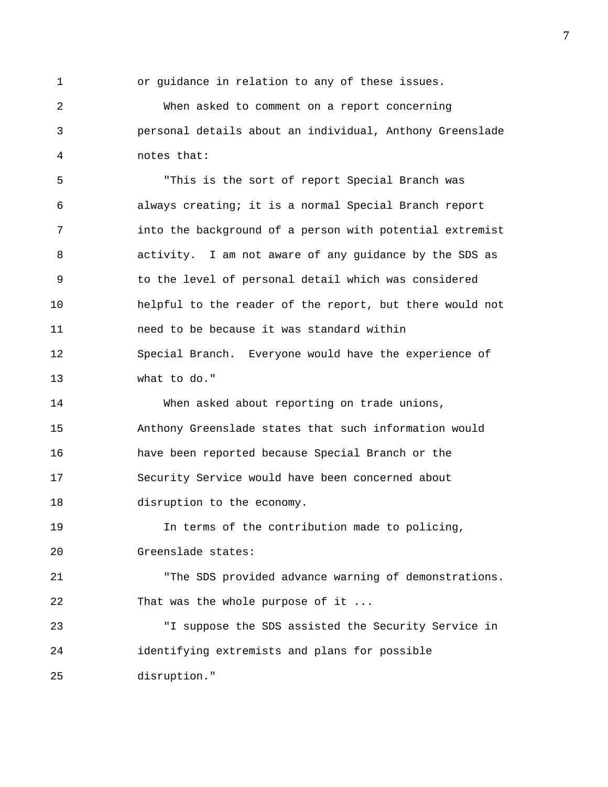1 or guidance in relation to any of these issues.

2 When asked to comment on a report concerning 3 personal details about an individual, Anthony Greenslade 4 notes that:

5 "This is the sort of report Special Branch was 6 always creating; it is a normal Special Branch report 7 into the background of a person with potential extremist 8 activity. I am not aware of any guidance by the SDS as 9 to the level of personal detail which was considered 10 helpful to the reader of the report, but there would not 11 need to be because it was standard within 12 Special Branch. Everyone would have the experience of 13 what to do."

14 When asked about reporting on trade unions, 15 Anthony Greenslade states that such information would 16 have been reported because Special Branch or the 17 Security Service would have been concerned about 18 disruption to the economy.

19 In terms of the contribution made to policing, 20 Greenslade states:

21 "The SDS provided advance warning of demonstrations. 22 That was the whole purpose of it ...

23 "I suppose the SDS assisted the Security Service in 24 identifying extremists and plans for possible 25 disruption."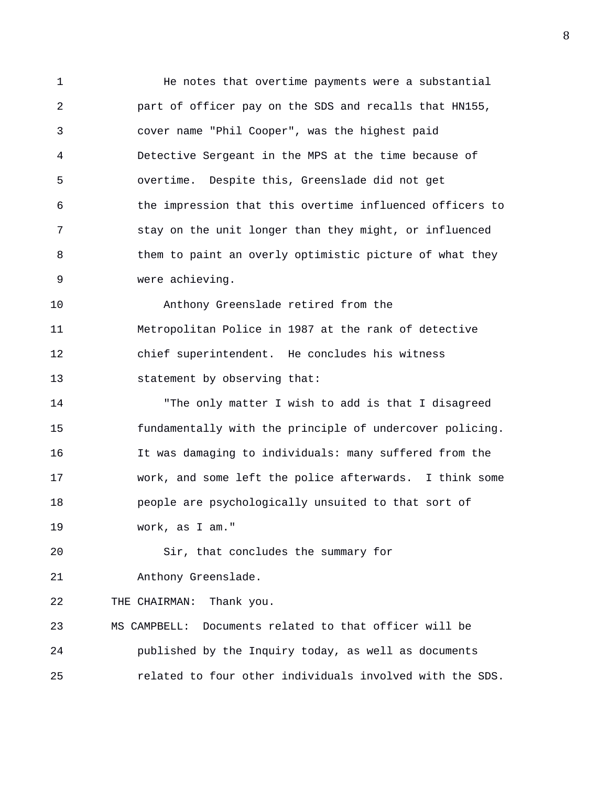1 He notes that overtime payments were a substantial 2 part of officer pay on the SDS and recalls that HN155, 3 cover name "Phil Cooper", was the highest paid 4 Detective Sergeant in the MPS at the time because of 5 overtime. Despite this, Greenslade did not get 6 the impression that this overtime influenced officers to 7 stay on the unit longer than they might, or influenced 8 them to paint an overly optimistic picture of what they 9 were achieving. 10 Anthony Greenslade retired from the

11 Metropolitan Police in 1987 at the rank of detective 12 chief superintendent. He concludes his witness 13 statement by observing that:

14 "The only matter I wish to add is that I disagreed 15 fundamentally with the principle of undercover policing. 16 It was damaging to individuals: many suffered from the 17 work, and some left the police afterwards. I think some 18 people are psychologically unsuited to that sort of 19 work, as I am."

20 Sir, that concludes the summary for

21 Anthony Greenslade.

22 THE CHAIRMAN: Thank you.

23 MS CAMPBELL: Documents related to that officer will be 24 published by the Inquiry today, as well as documents 25 related to four other individuals involved with the SDS.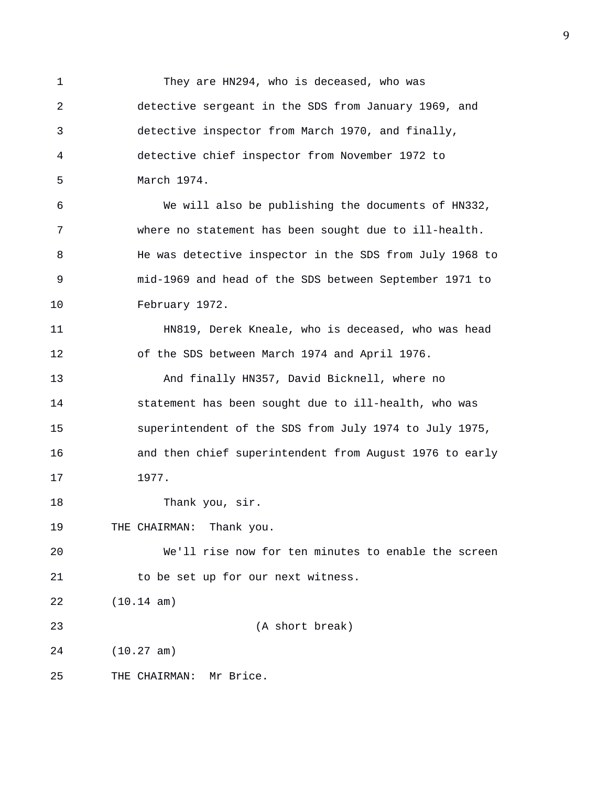1 They are HN294, who is deceased, who was 2 detective sergeant in the SDS from January 1969, and 3 detective inspector from March 1970, and finally, 4 detective chief inspector from November 1972 to 5 March 1974. 6 We will also be publishing the documents of HN332, 7 where no statement has been sought due to ill-health. 8 He was detective inspector in the SDS from July 1968 to 9 mid-1969 and head of the SDS between September 1971 to 10 February 1972. 11 HN819, Derek Kneale, who is deceased, who was head 12 of the SDS between March 1974 and April 1976. 13 And finally HN357, David Bicknell, where no 14 statement has been sought due to ill-health, who was 15 superintendent of the SDS from July 1974 to July 1975, 16 and then chief superintendent from August 1976 to early 17 1977. 18 Thank you, sir. 19 THE CHAIRMAN: Thank you. 20 We'll rise now for ten minutes to enable the screen 21 to be set up for our next witness. 22 (10.14 am) 23 (A short break) 24 (10.27 am) 25 THE CHAIRMAN: Mr Brice.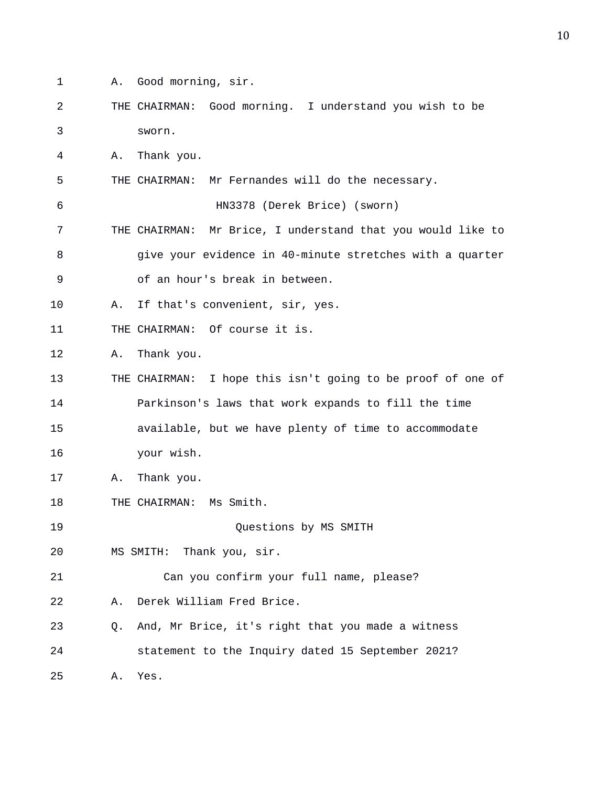- 1 A. Good morning, sir.
- 2 THE CHAIRMAN: Good morning. I understand you wish to be 3 sworn.

4 A. Thank you.

5 THE CHAIRMAN: Mr Fernandes will do the necessary.

6 HN3378 (Derek Brice) (sworn)

- 7 THE CHAIRMAN: Mr Brice, I understand that you would like to 8 give your evidence in 40-minute stretches with a quarter 9 of an hour's break in between.
- 10 A. If that's convenient, sir, yes.
- 11 THE CHAIRMAN: Of course it is.

12 A. Thank you.

- 13 THE CHAIRMAN: I hope this isn't going to be proof of one of 14 Parkinson's laws that work expands to fill the time 15 available, but we have plenty of time to accommodate
- 16 your wish.
- 17 A. Thank you.
- 18 THE CHAIRMAN: Ms Smith.
- 19 Questions by MS SMITH
- 20 MS SMITH: Thank you, sir.
- 21 Can you confirm your full name, please?
- 22 A. Derek William Fred Brice.
- 23 Q. And, Mr Brice, it's right that you made a witness 24 statement to the Inquiry dated 15 September 2021? 25 A. Yes.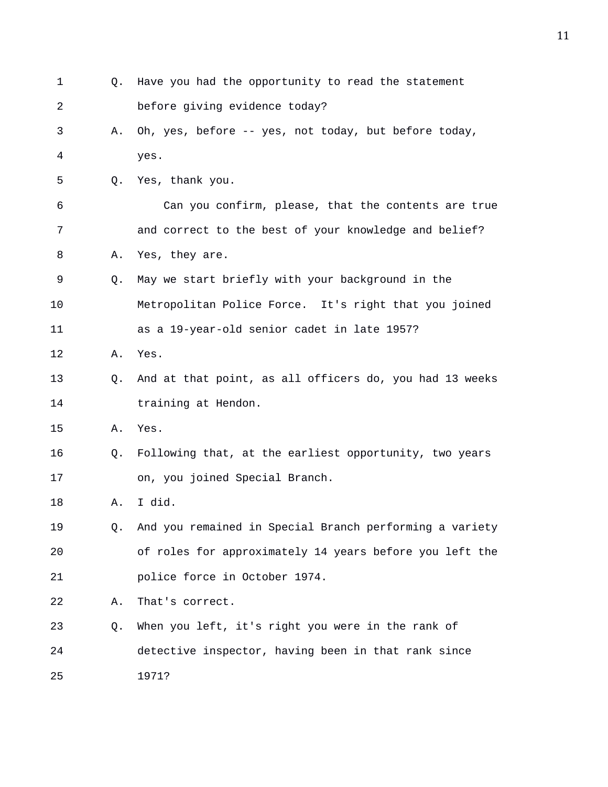1 Q. Have you had the opportunity to read the statement 2 before giving evidence today? 3 A. Oh, yes, before -- yes, not today, but before today, 4 yes. 5 Q. Yes, thank you. 6 Can you confirm, please, that the contents are true 7 and correct to the best of your knowledge and belief? 8 A. Yes, they are. 9 Q. May we start briefly with your background in the 10 Metropolitan Police Force. It's right that you joined 11 as a 19-year-old senior cadet in late 1957? 12 A. Yes. 13 Q. And at that point, as all officers do, you had 13 weeks 14 **training at Hendon.** 15 A. Yes. 16 Q. Following that, at the earliest opportunity, two years 17 on, you joined Special Branch. 18 A. I did. 19 Q. And you remained in Special Branch performing a variety 20 of roles for approximately 14 years before you left the 21 police force in October 1974. 22 A. That's correct. 23 Q. When you left, it's right you were in the rank of 24 detective inspector, having been in that rank since 25 1971?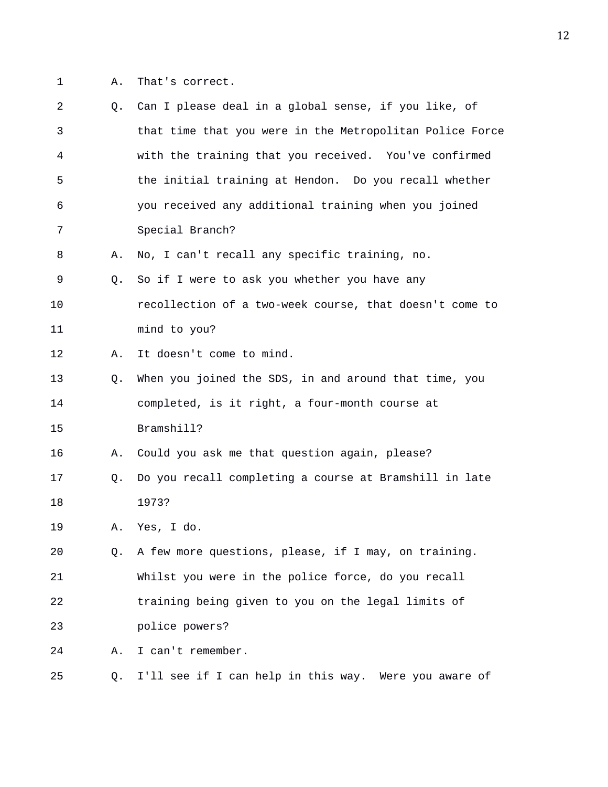1 A. That's correct.

| 2  | 0. | Can I please deal in a global sense, if you like, of     |
|----|----|----------------------------------------------------------|
| 3  |    | that time that you were in the Metropolitan Police Force |
| 4  |    | with the training that you received. You've confirmed    |
| 5  |    | the initial training at Hendon. Do you recall whether    |
| 6  |    | you received any additional training when you joined     |
| 7  |    | Special Branch?                                          |
| 8  | Α. | No, I can't recall any specific training, no.            |
| 9  | Q. | So if I were to ask you whether you have any             |
| 10 |    | recollection of a two-week course, that doesn't come to  |
| 11 |    | mind to you?                                             |
| 12 | Α. | It doesn't come to mind.                                 |
| 13 | Q. | When you joined the SDS, in and around that time, you    |
| 14 |    | completed, is it right, a four-month course at           |
| 15 |    | Bramshill?                                               |
| 16 | Α. | Could you ask me that question again, please?            |
| 17 | Q. | Do you recall completing a course at Bramshill in late   |
| 18 |    | 1973?                                                    |
| 19 | Α. | Yes, I do.                                               |
| 20 | Q. | A few more questions, please, if I may, on training.     |
| 21 |    | Whilst you were in the police force, do you recall       |
| 22 |    | training being given to you on the legal limits of       |
| 23 |    | police powers?                                           |
| 24 | Α. | I can't remember.                                        |
| 25 | Q. | I'll see if I can help in this way. Were you aware of    |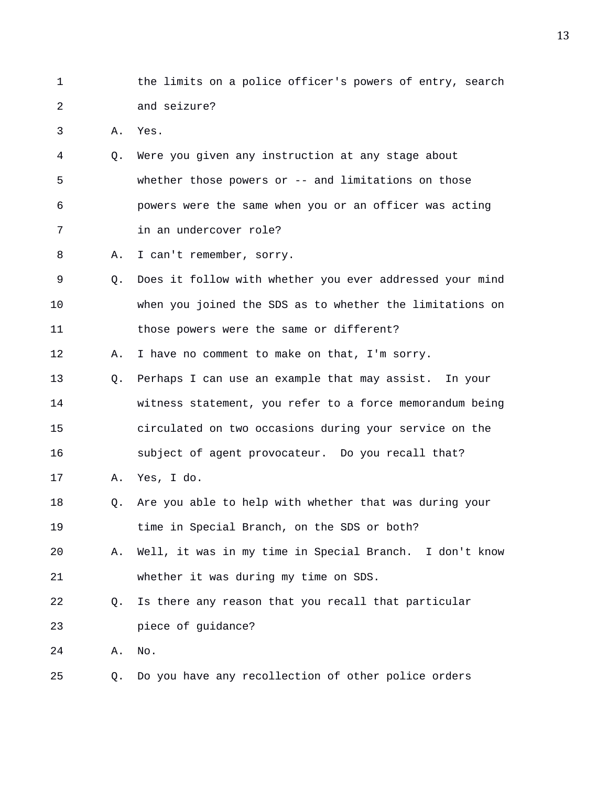1 the limits on a police officer's powers of entry, search 2 and seizure?

3 A. Yes.

- 4 Q. Were you given any instruction at any stage about 5 whether those powers or -- and limitations on those 6 powers were the same when you or an officer was acting 7 in an undercover role?
- 8 A. I can't remember, sorry.
- 9 Q. Does it follow with whether you ever addressed your mind 10 when you joined the SDS as to whether the limitations on 11 those powers were the same or different?
- 12 A. I have no comment to make on that, I'm sorry.
- 13 Q. Perhaps I can use an example that may assist. In your 14 witness statement, you refer to a force memorandum being 15 circulated on two occasions during your service on the 16 subject of agent provocateur. Do you recall that?
- 17 A. Yes, I do.
- 18 Q. Are you able to help with whether that was during your 19 time in Special Branch, on the SDS or both?
- 20 A. Well, it was in my time in Special Branch. I don't know 21 whether it was during my time on SDS.
- 22 Q. Is there any reason that you recall that particular 23 piece of guidance?
- 24 A. No.
- 25 Q. Do you have any recollection of other police orders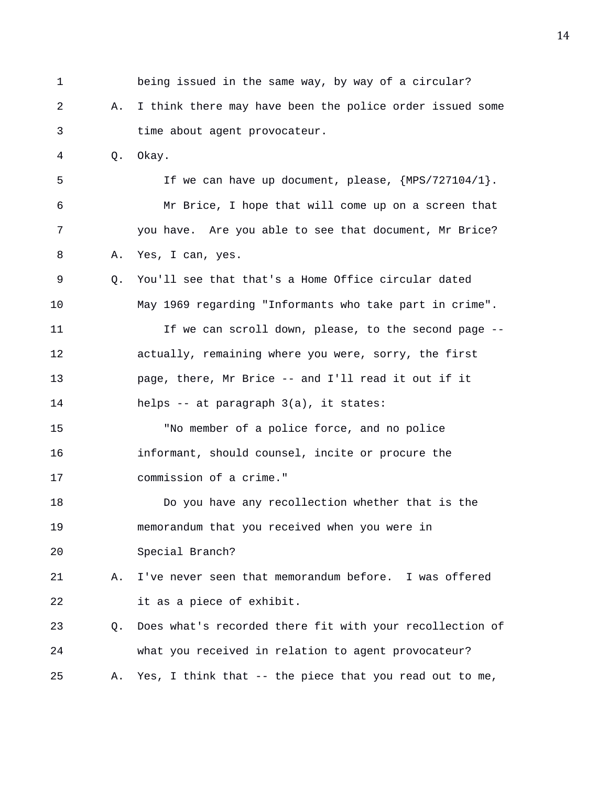1 being issued in the same way, by way of a circular? 2 A. I think there may have been the police order issued some 3 time about agent provocateur. 4 Q. Okay. 5 If we can have up document, please, {MPS/727104/1}. 6 Mr Brice, I hope that will come up on a screen that 7 you have. Are you able to see that document, Mr Brice? 8 A. Yes, I can, yes. 9 Q. You'll see that that's a Home Office circular dated 10 May 1969 regarding "Informants who take part in crime". 11 11 If we can scroll down, please, to the second page --12 actually, remaining where you were, sorry, the first 13 page, there, Mr Brice -- and I'll read it out if it 14 helps -- at paragraph 3(a), it states: 15 "No member of a police force, and no police 16 informant, should counsel, incite or procure the 17 commission of a crime." 18 Do you have any recollection whether that is the 19 memorandum that you received when you were in 20 Special Branch? 21 A. I've never seen that memorandum before. I was offered 22 it as a piece of exhibit. 23 Q. Does what's recorded there fit with your recollection of 24 what you received in relation to agent provocateur? 25 A. Yes, I think that -- the piece that you read out to me,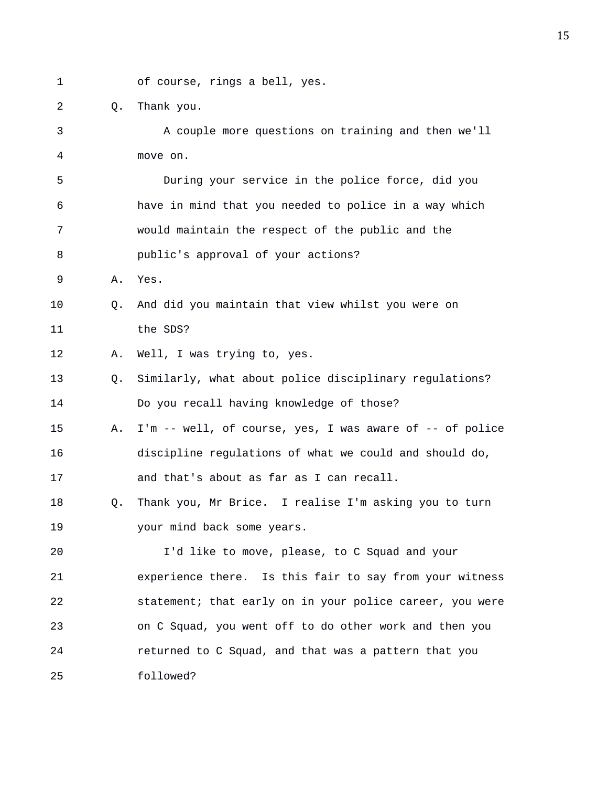1 of course, rings a bell, yes.

2 Q. Thank you.

3 A couple more questions on training and then we'll 4 move on. 5 During your service in the police force, did you 6 have in mind that you needed to police in a way which 7 would maintain the respect of the public and the 8 public's approval of your actions? 9 A. Yes. 10 Q. And did you maintain that view whilst you were on 11 the SDS? 12 A. Well, I was trying to, yes. 13 Q. Similarly, what about police disciplinary regulations? 14 Do you recall having knowledge of those? 15 A. I'm -- well, of course, yes, I was aware of -- of police 16 discipline regulations of what we could and should do, 17 and that's about as far as I can recall. 18 Q. Thank you, Mr Brice. I realise I'm asking you to turn 19 your mind back some years. 20 I'd like to move, please, to C Squad and your 21 experience there. Is this fair to say from your witness 22 statement; that early on in your police career, you were 23 on C Squad, you went off to do other work and then you 24 returned to C Squad, and that was a pattern that you 25 followed?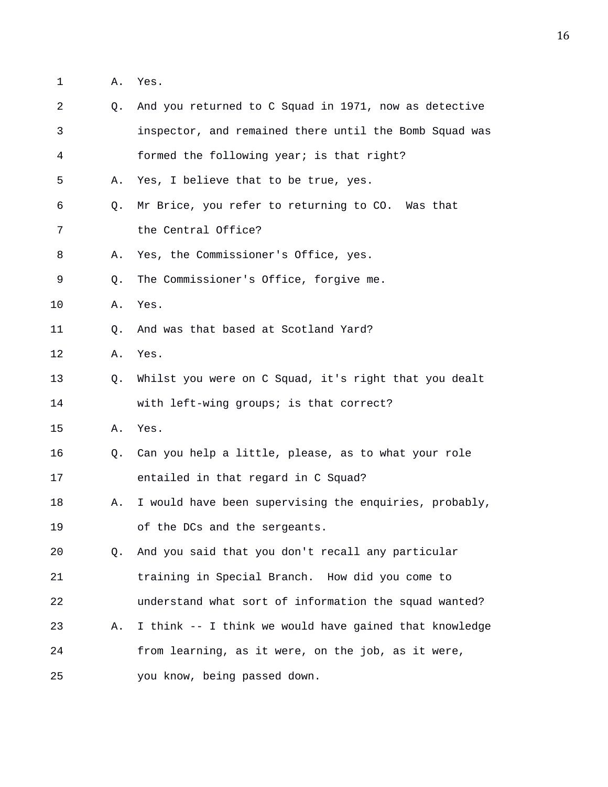1 A. Yes.

| 2            | Q. | And you returned to C Squad in 1971, now as detective  |
|--------------|----|--------------------------------------------------------|
| $\mathsf{3}$ |    | inspector, and remained there until the Bomb Squad was |
| 4            |    | formed the following year; is that right?              |
| 5            | Α. | Yes, I believe that to be true, yes.                   |
| 6            | O. | Mr Brice, you refer to returning to CO. Was that       |
| 7            |    | the Central Office?                                    |
| 8            | Α. | Yes, the Commissioner's Office, yes.                   |
| 9            | Q. | The Commissioner's Office, forgive me.                 |
| 10           | Α. | Yes.                                                   |
| 11           | Q. | And was that based at Scotland Yard?                   |
| 12           | Α. | Yes.                                                   |
| 13           | Q. | Whilst you were on C Squad, it's right that you dealt  |
| 14           |    | with left-wing groups; is that correct?                |
| 15           | Α. | Yes.                                                   |
| 16           | Q. | Can you help a little, please, as to what your role    |
| 17           |    | entailed in that regard in C Squad?                    |
| 18           | Α. | I would have been supervising the enquiries, probably, |
| 19           |    | of the DCs and the sergeants.                          |
| 20           | Q. | And you said that you don't recall any particular      |
| 21           |    | training in Special Branch. How did you come to        |
| 22           |    | understand what sort of information the squad wanted?  |
| 23           | Α. | I think -- I think we would have gained that knowledge |
| 24           |    | from learning, as it were, on the job, as it were,     |
| 25           |    | you know, being passed down.                           |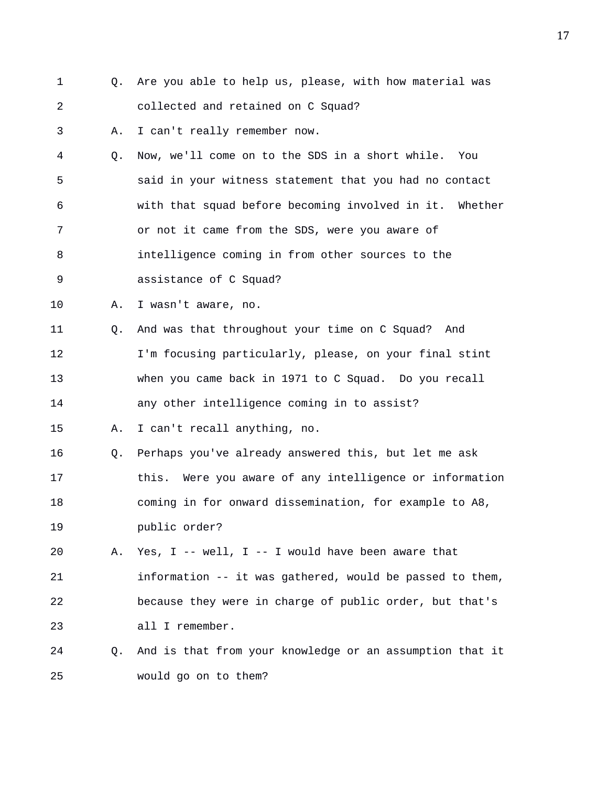1 Q. Are you able to help us, please, with how material was 2 collected and retained on C Squad? 3 A. I can't really remember now. 4 Q. Now, we'll come on to the SDS in a short while. You 5 said in your witness statement that you had no contact 6 with that squad before becoming involved in it. Whether 7 or not it came from the SDS, were you aware of 8 intelligence coming in from other sources to the 9 assistance of C Squad? 10 A. I wasn't aware, no. 11 Q. And was that throughout your time on C Squad? And 12 I'm focusing particularly, please, on your final stint 13 when you came back in 1971 to C Squad. Do you recall 14 any other intelligence coming in to assist? 15 A. I can't recall anything, no. 16 Q. Perhaps you've already answered this, but let me ask 17 this. Were you aware of any intelligence or information 18 coming in for onward dissemination, for example to A8, 19 public order? 20 A. Yes, I -- well, I -- I would have been aware that 21 information -- it was gathered, would be passed to them, 22 because they were in charge of public order, but that's 23 all I remember. 24 Q. And is that from your knowledge or an assumption that it 25 would go on to them?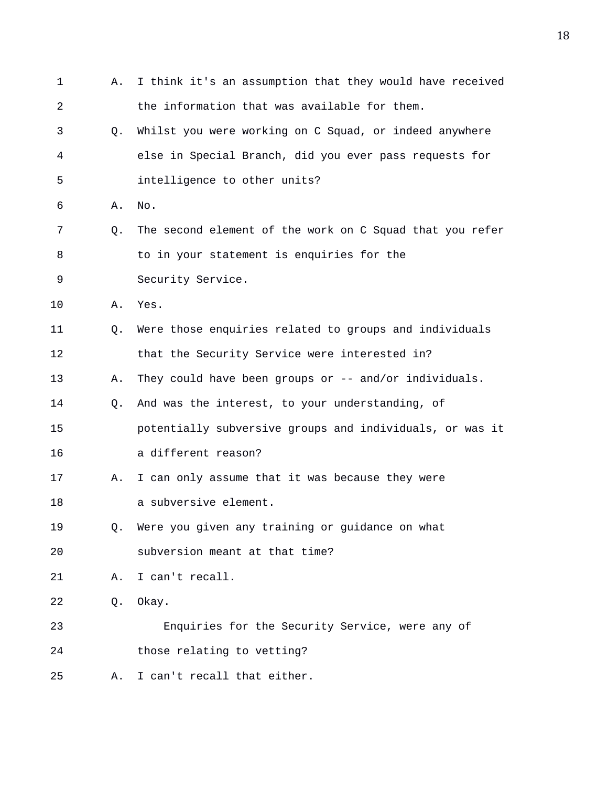1 A. I think it's an assumption that they would have received 2 the information that was available for them. 3 Q. Whilst you were working on C Squad, or indeed anywhere 4 else in Special Branch, did you ever pass requests for 5 intelligence to other units? 6 A. No. 7 Q. The second element of the work on C Squad that you refer 8 to in your statement is enquiries for the 9 Security Service. 10 A. Yes. 11 Q. Were those enquiries related to groups and individuals 12 that the Security Service were interested in? 13 A. They could have been groups or -- and/or individuals. 14 Q. And was the interest, to your understanding, of 15 potentially subversive groups and individuals, or was it 16 a different reason? 17 A. I can only assume that it was because they were 18 a subversive element. 19 Q. Were you given any training or guidance on what 20 subversion meant at that time? 21 A. I can't recall. 22 Q. Okay. 23 Enquiries for the Security Service, were any of 24 those relating to vetting? 25 A. I can't recall that either.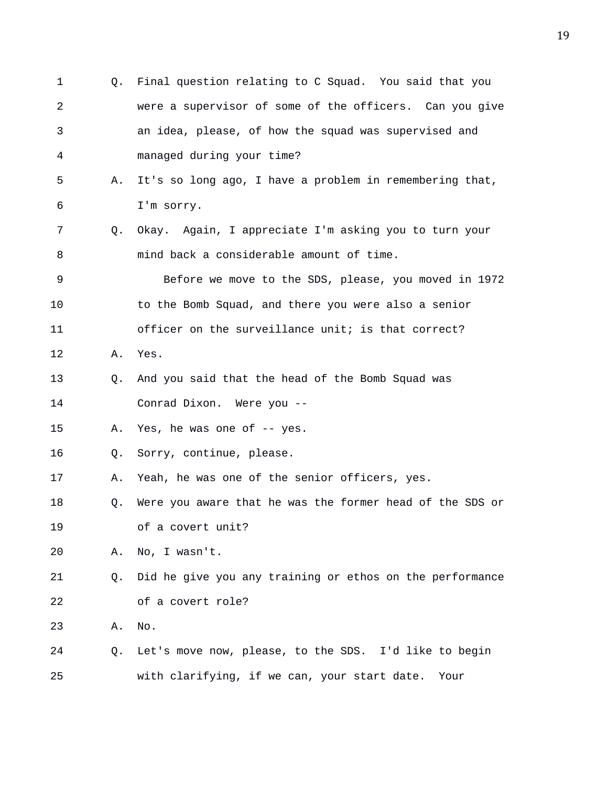1 Q. Final question relating to C Squad. You said that you 2 were a supervisor of some of the officers. Can you give 3 an idea, please, of how the squad was supervised and 4 managed during your time? 5 A. It's so long ago, I have a problem in remembering that, 6 I'm sorry. 7 Q. Okay. Again, I appreciate I'm asking you to turn your 8 mind back a considerable amount of time. 9 Before we move to the SDS, please, you moved in 1972 10 to the Bomb Squad, and there you were also a senior 11 officer on the surveillance unit; is that correct? 12 A. Yes. 13 Q. And you said that the head of the Bomb Squad was 14 Conrad Dixon. Were you -- 15 A. Yes, he was one of -- yes. 16 Q. Sorry, continue, please. 17 A. Yeah, he was one of the senior officers, yes. 18 Q. Were you aware that he was the former head of the SDS or 19 of a covert unit? 20 A. No, I wasn't. 21 Q. Did he give you any training or ethos on the performance 22 of a covert role? 23 A. No. 24 Q. Let's move now, please, to the SDS. I'd like to begin 25 with clarifying, if we can, your start date. Your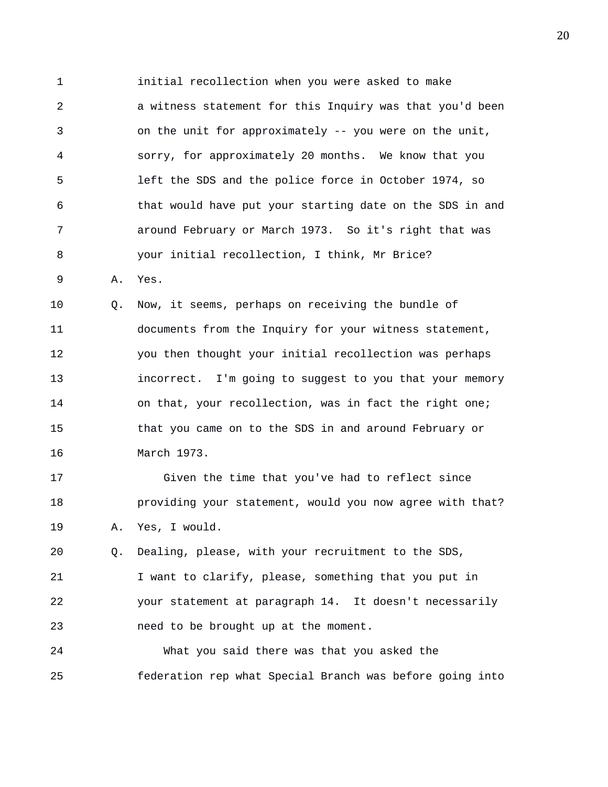1 initial recollection when you were asked to make 2 a witness statement for this Inquiry was that you'd been 3 on the unit for approximately -- you were on the unit, 4 sorry, for approximately 20 months. We know that you 5 left the SDS and the police force in October 1974, so 6 that would have put your starting date on the SDS in and 7 around February or March 1973. So it's right that was 8 your initial recollection, I think, Mr Brice? 9 A. Yes.

10 Q. Now, it seems, perhaps on receiving the bundle of 11 documents from the Inquiry for your witness statement, 12 you then thought your initial recollection was perhaps 13 incorrect. I'm going to suggest to you that your memory 14 on that, your recollection, was in fact the right one; 15 that you came on to the SDS in and around February or 16 March 1973.

17 Given the time that you've had to reflect since 18 providing your statement, would you now agree with that? 19 A. Yes, I would.

20 Q. Dealing, please, with your recruitment to the SDS, 21 I want to clarify, please, something that you put in 22 your statement at paragraph 14. It doesn't necessarily 23 need to be brought up at the moment.

24 What you said there was that you asked the 25 federation rep what Special Branch was before going into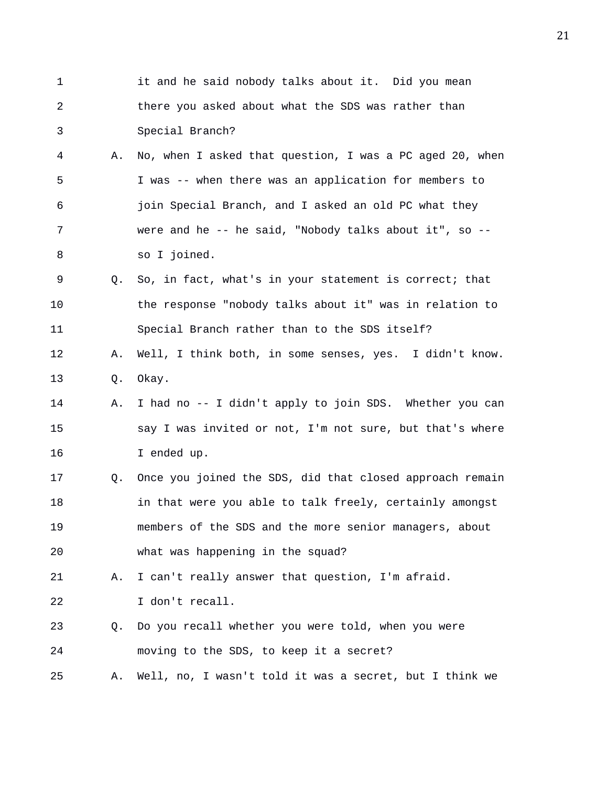| $\mathbf{1}$ |    | it and he said nobody talks about it. Did you mean       |
|--------------|----|----------------------------------------------------------|
| 2            |    | there you asked about what the SDS was rather than       |
| 3            |    | Special Branch?                                          |
| 4            | Α. | No, when I asked that question, I was a PC aged 20, when |
| 5            |    | I was -- when there was an application for members to    |
| 6            |    | join Special Branch, and I asked an old PC what they     |
| 7            |    | were and he -- he said, "Nobody talks about it", so --   |
| 8            |    | so I joined.                                             |
| 9            | О. | So, in fact, what's in your statement is correct; that   |
| 10           |    | the response "nobody talks about it" was in relation to  |
| 11           |    | Special Branch rather than to the SDS itself?            |
| 12           | Α. | Well, I think both, in some senses, yes. I didn't know.  |
| 13           | Q. | Okay.                                                    |
| 14           | Α. | I had no -- I didn't apply to join SDS. Whether you can  |
| 15           |    | say I was invited or not, I'm not sure, but that's where |
| 16           |    | I ended up.                                              |
| 17           | Q. | Once you joined the SDS, did that closed approach remain |
| 18           |    | in that were you able to talk freely, certainly amongst  |
| 19           |    | members of the SDS and the more senior managers, about   |
| 20           |    | what was happening in the squad?                         |
| 21           | Α. | I can't really answer that question, I'm afraid.         |
| 22           |    | I don't recall.                                          |
| 23           | Q. | Do you recall whether you were told, when you were       |
| 24           |    | moving to the SDS, to keep it a secret?                  |
| 25           | Α. | Well, no, I wasn't told it was a secret, but I think we  |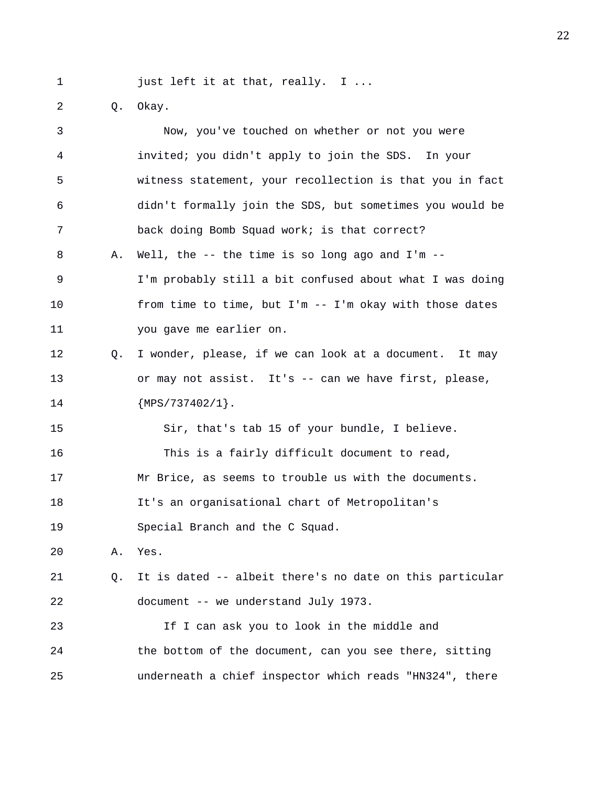1 just left it at that, really. I ...

2 Q. Okay.

| 3  |    | Now, you've touched on whether or not you were           |
|----|----|----------------------------------------------------------|
| 4  |    | invited; you didn't apply to join the SDS. In your       |
| 5  |    | witness statement, your recollection is that you in fact |
| 6  |    | didn't formally join the SDS, but sometimes you would be |
| 7  |    | back doing Bomb Squad work; is that correct?             |
| 8  | Α. | Well, the $-$ - the time is so long ago and I'm $-$ -    |
| 9  |    | I'm probably still a bit confused about what I was doing |
| 10 |    | from time to time, but I'm -- I'm okay with those dates  |
| 11 |    | you gave me earlier on.                                  |
| 12 | Q. | I wonder, please, if we can look at a document. It may   |
| 13 |    | or may not assist. It's -- can we have first, please,    |
| 14 |    | ${MPS}/737402/1$ .                                       |
| 15 |    | Sir, that's tab 15 of your bundle, I believe.            |
| 16 |    | This is a fairly difficult document to read,             |
| 17 |    | Mr Brice, as seems to trouble us with the documents.     |
| 18 |    | It's an organisational chart of Metropolitan's           |
| 19 |    | Special Branch and the C Squad.                          |
| 20 | Α. | Yes.                                                     |
| 21 | Q. | It is dated -- albeit there's no date on this particular |
| 22 |    | document -- we understand July 1973.                     |
| 23 |    | If I can ask you to look in the middle and               |
| 24 |    | the bottom of the document, can you see there, sitting   |
| 25 |    | underneath a chief inspector which reads "HN324", there  |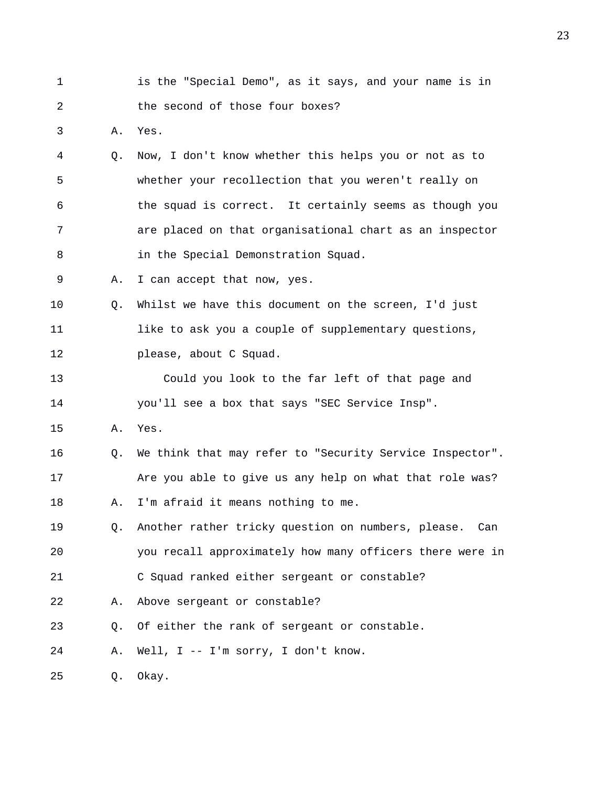1 is the "Special Demo", as it says, and your name is in 2 the second of those four boxes?

3 A. Yes.

- 4 Q. Now, I don't know whether this helps you or not as to 5 whether your recollection that you weren't really on 6 the squad is correct. It certainly seems as though you 7 are placed on that organisational chart as an inspector 8 in the Special Demonstration Squad.
- 9 A. I can accept that now, yes.
- 10 Q. Whilst we have this document on the screen, I'd just 11 like to ask you a couple of supplementary questions, 12 please, about C Squad.
- 13 Could you look to the far left of that page and 14 you'll see a box that says "SEC Service Insp".
- 15 A. Yes.
- 16 Q. We think that may refer to "Security Service Inspector". 17 Are you able to give us any help on what that role was? 18 A. I'm afraid it means nothing to me.
- 19 Q. Another rather tricky question on numbers, please. Can 20 you recall approximately how many officers there were in 21 C Squad ranked either sergeant or constable?
- 22 A. Above sergeant or constable?
- 23 Q. Of either the rank of sergeant or constable.

24 A. Well, I -- I'm sorry, I don't know.

25 Q. Okay.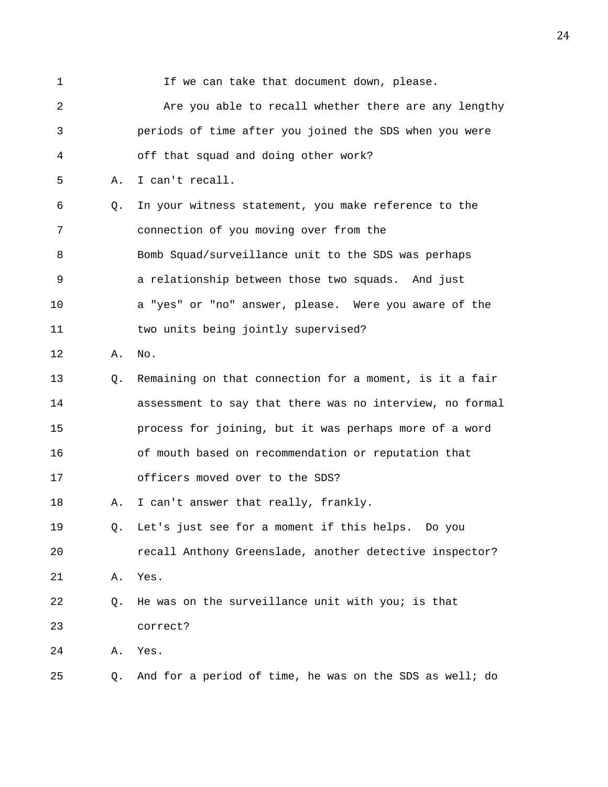| $\mathbf{1}$ |    | If we can take that document down, please.               |
|--------------|----|----------------------------------------------------------|
| 2            |    | Are you able to recall whether there are any lengthy     |
| 3            |    | periods of time after you joined the SDS when you were   |
| 4            |    | off that squad and doing other work?                     |
| 5            | Α. | I can't recall.                                          |
| 6            | Q. | In your witness statement, you make reference to the     |
| 7            |    | connection of you moving over from the                   |
| 8            |    | Bomb Squad/surveillance unit to the SDS was perhaps      |
| 9            |    | a relationship between those two squads. And just        |
| 10           |    | a "yes" or "no" answer, please. Were you aware of the    |
| 11           |    | two units being jointly supervised?                      |
| 12           | Α. | No.                                                      |
| 13           | Q. | Remaining on that connection for a moment, is it a fair  |
| 14           |    | assessment to say that there was no interview, no formal |
| 15           |    | process for joining, but it was perhaps more of a word   |
| 16           |    | of mouth based on recommendation or reputation that      |
| 17           |    | officers moved over to the SDS?                          |
| 18           | Α. | I can't answer that really, frankly.                     |
| 19           | Q. | Let's just see for a moment if this helps. Do you        |
| 20           |    | recall Anthony Greenslade, another detective inspector?  |
| 21           | Α. | Yes.                                                     |
| 22           | Q. | He was on the surveillance unit with you; is that        |
| 23           |    | correct?                                                 |
| 24           | Α. | Yes.                                                     |
| 25           | Q. | And for a period of time, he was on the SDS as well; do  |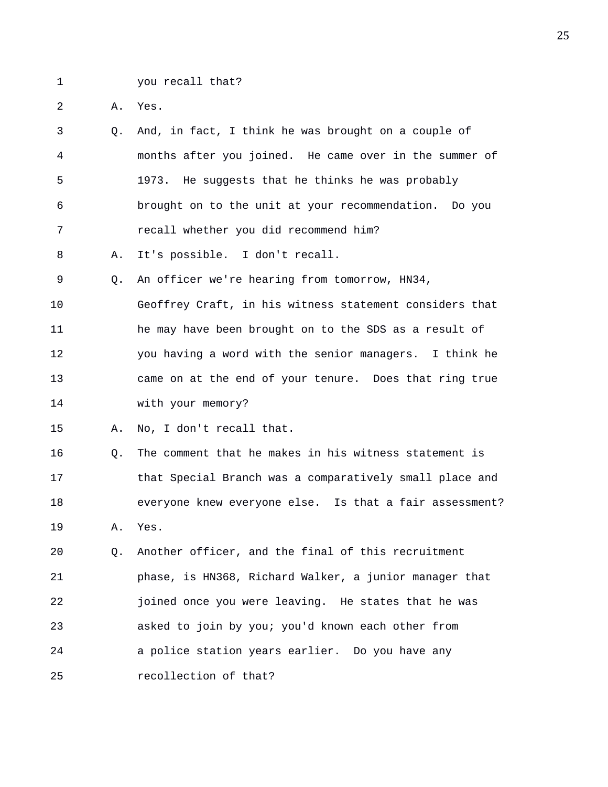1 you recall that?

2 A. Yes.

3 Q. And, in fact, I think he was brought on a couple of 4 months after you joined. He came over in the summer of 5 1973. He suggests that he thinks he was probably 6 brought on to the unit at your recommendation. Do you 7 recall whether you did recommend him?

8 A. It's possible. I don't recall.

9 Q. An officer we're hearing from tomorrow, HN34,

10 Geoffrey Craft, in his witness statement considers that 11 he may have been brought on to the SDS as a result of 12 you having a word with the senior managers. I think he 13 came on at the end of your tenure. Does that ring true 14 with your memory?

15 A. No, I don't recall that.

16 Q. The comment that he makes in his witness statement is 17 that Special Branch was a comparatively small place and 18 everyone knew everyone else. Is that a fair assessment? 19 A. Yes.

20 Q. Another officer, and the final of this recruitment 21 phase, is HN368, Richard Walker, a junior manager that 22 joined once you were leaving. He states that he was 23 asked to join by you; you'd known each other from 24 a police station years earlier. Do you have any 25 recollection of that?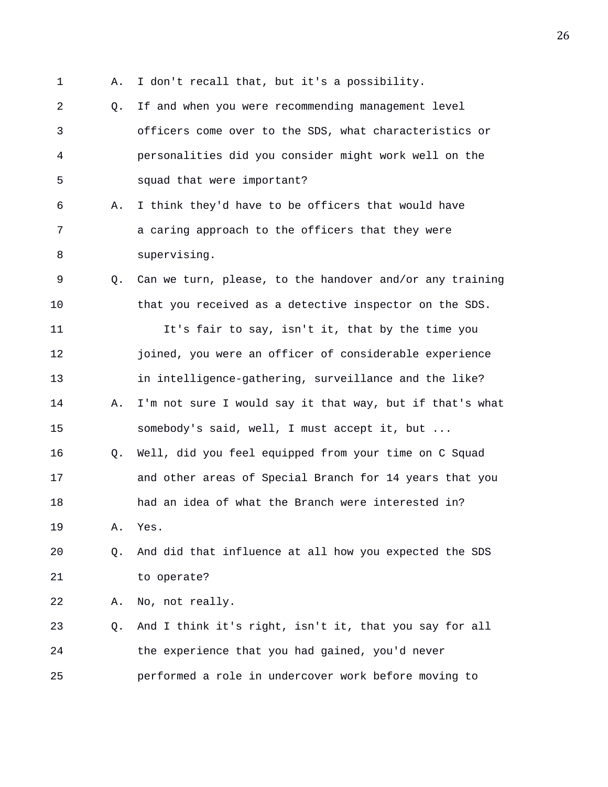- 
- 1 A. I don't recall that, but it's a possibility.
- 2 Q. If and when you were recommending management level 3 officers come over to the SDS, what characteristics or 4 personalities did you consider might work well on the 5 squad that were important?
- 6 A. I think they'd have to be officers that would have 7 a caring approach to the officers that they were 8 supervising.
- 9 Q. Can we turn, please, to the handover and/or any training 10 that you received as a detective inspector on the SDS.

11 It's fair to say, isn't it, that by the time you 12 joined, you were an officer of considerable experience 13 in intelligence-gathering, surveillance and the like? 14 A. I'm not sure I would say it that way, but if that's what 15 somebody's said, well, I must accept it, but ... 16 Q. Well, did you feel equipped from your time on C Squad

17 and other areas of Special Branch for 14 years that you 18 had an idea of what the Branch were interested in? 19 A. Yes.

## 20 Q. And did that influence at all how you expected the SDS 21 to operate?

22 A. No, not really.

23 Q. And I think it's right, isn't it, that you say for all 24 the experience that you had gained, you'd never 25 performed a role in undercover work before moving to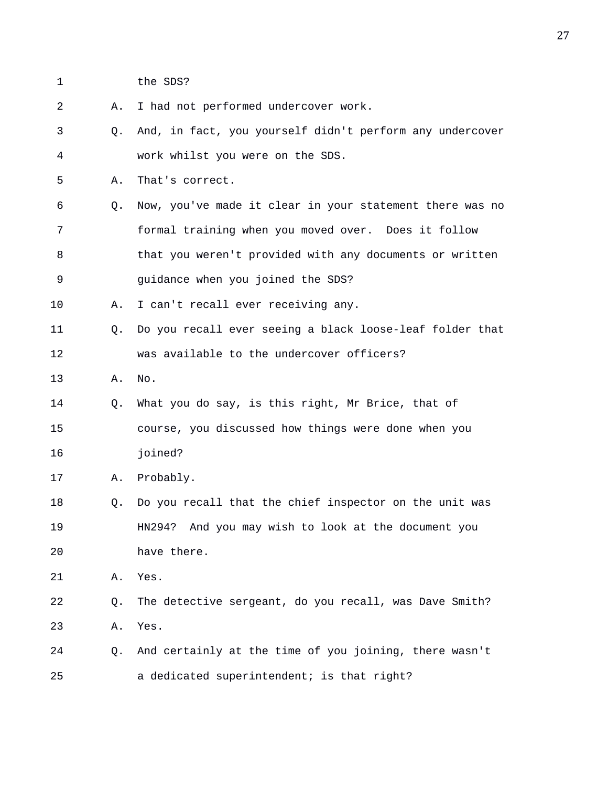- 
- 1 the SDS?
- 2 A. I had not performed undercover work. 3 Q. And, in fact, you yourself didn't perform any undercover 4 work whilst you were on the SDS. 5 A. That's correct. 6 Q. Now, you've made it clear in your statement there was no 7 formal training when you moved over. Does it follow 8 that you weren't provided with any documents or written 9 guidance when you joined the SDS? 10 A. I can't recall ever receiving any. 11 Q. Do you recall ever seeing a black loose-leaf folder that 12 was available to the undercover officers? 13 A. No. 14 Q. What you do say, is this right, Mr Brice, that of 15 course, you discussed how things were done when you 16 joined? 17 A. Probably. 18 Q. Do you recall that the chief inspector on the unit was 19 HN294? And you may wish to look at the document you 20 have there. 21 A. Yes. 22 Q. The detective sergeant, do you recall, was Dave Smith? 23 A. Yes. 24 Q. And certainly at the time of you joining, there wasn't 25 a dedicated superintendent; is that right?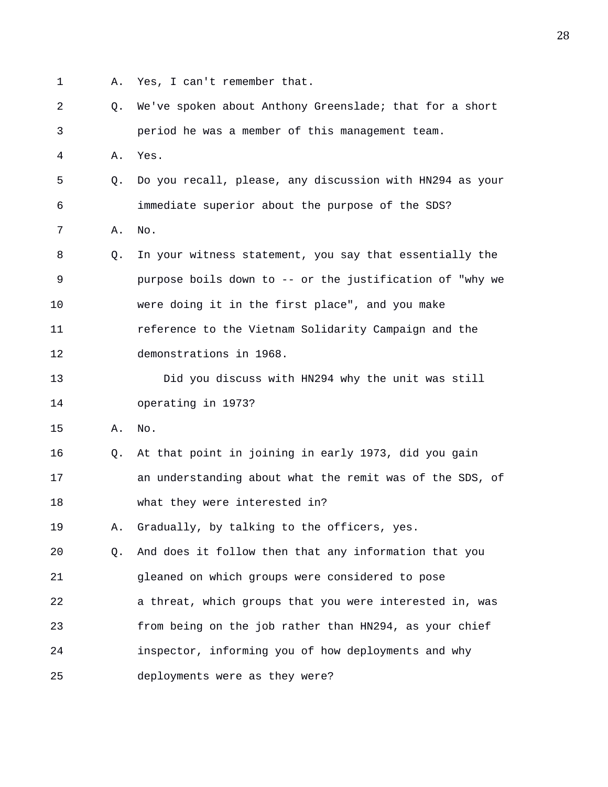- 
- 1 A. Yes, I can't remember that.

2 Q. We've spoken about Anthony Greenslade; that for a short 3 period he was a member of this management team. 4 A. Yes. 5 Q. Do you recall, please, any discussion with HN294 as your 6 immediate superior about the purpose of the SDS? 7 A. No. 8 Q. In your witness statement, you say that essentially the 9 purpose boils down to -- or the justification of "why we 10 were doing it in the first place", and you make 11 reference to the Vietnam Solidarity Campaign and the 12 demonstrations in 1968. 13 Did you discuss with HN294 why the unit was still 14 operating in 1973? 15 A. No. 16 Q. At that point in joining in early 1973, did you gain 17 an understanding about what the remit was of the SDS, of 18 what they were interested in? 19 A. Gradually, by talking to the officers, yes. 20 Q. And does it follow then that any information that you 21 gleaned on which groups were considered to pose 22 a threat, which groups that you were interested in, was 23 from being on the job rather than HN294, as your chief 24 inspector, informing you of how deployments and why 25 deployments were as they were?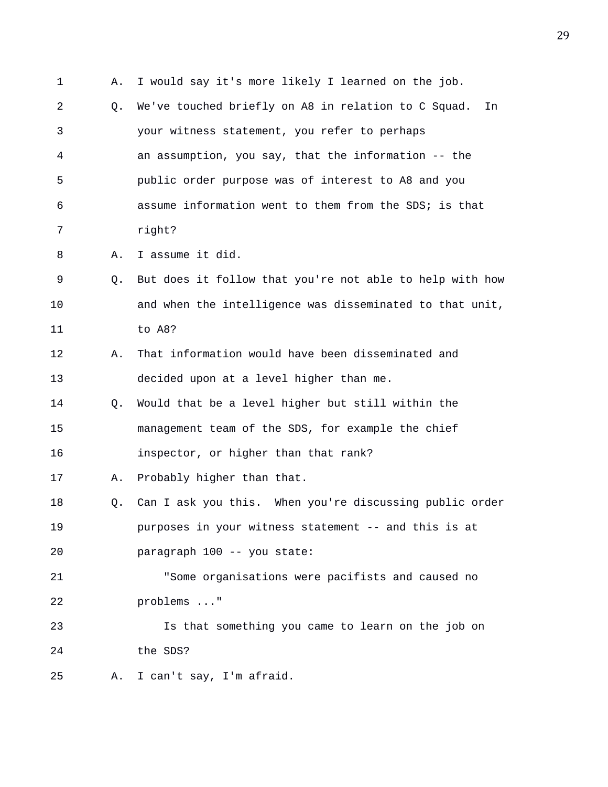1 A. I would say it's more likely I learned on the job. 2 Q. We've touched briefly on A8 in relation to C Squad. In 3 your witness statement, you refer to perhaps 4 an assumption, you say, that the information -- the 5 public order purpose was of interest to A8 and you 6 assume information went to them from the SDS; is that 7 right? 8 A. I assume it did. 9 Q. But does it follow that you're not able to help with how 10 and when the intelligence was disseminated to that unit, 11 to A8? 12 A. That information would have been disseminated and 13 decided upon at a level higher than me. 14 Q. Would that be a level higher but still within the 15 management team of the SDS, for example the chief 16 inspector, or higher than that rank? 17 A. Probably higher than that. 18 Q. Can I ask you this. When you're discussing public order 19 purposes in your witness statement -- and this is at 20 paragraph 100 -- you state: 21 "Some organisations were pacifists and caused no 22 problems ..." 23 Is that something you came to learn on the job on 24 the SDS? 25 A. I can't say, I'm afraid.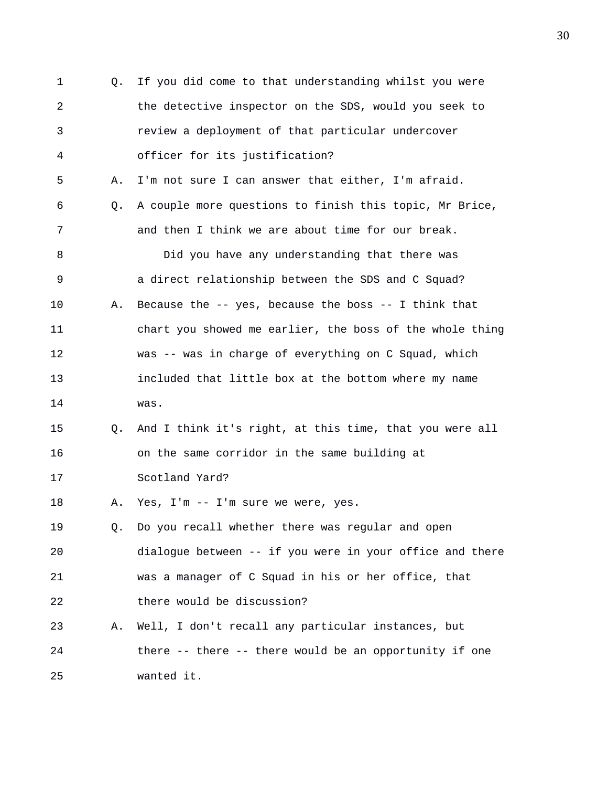1 Q. If you did come to that understanding whilst you were 2 the detective inspector on the SDS, would you seek to 3 review a deployment of that particular undercover 4 officer for its justification? 5 A. I'm not sure I can answer that either, I'm afraid. 6 Q. A couple more questions to finish this topic, Mr Brice, 7 and then I think we are about time for our break. 8 Did you have any understanding that there was 9 a direct relationship between the SDS and C Squad? 10 A. Because the -- yes, because the boss -- I think that 11 chart you showed me earlier, the boss of the whole thing 12 was -- was in charge of everything on C Squad, which 13 included that little box at the bottom where my name 14 was. 15 Q. And I think it's right, at this time, that you were all 16 on the same corridor in the same building at 17 Scotland Yard? 18 A. Yes, I'm -- I'm sure we were, yes. 19 Q. Do you recall whether there was regular and open 20 dialogue between -- if you were in your office and there 21 was a manager of C Squad in his or her office, that 22 there would be discussion? 23 A. Well, I don't recall any particular instances, but 24 there -- there -- there would be an opportunity if one 25 wanted it.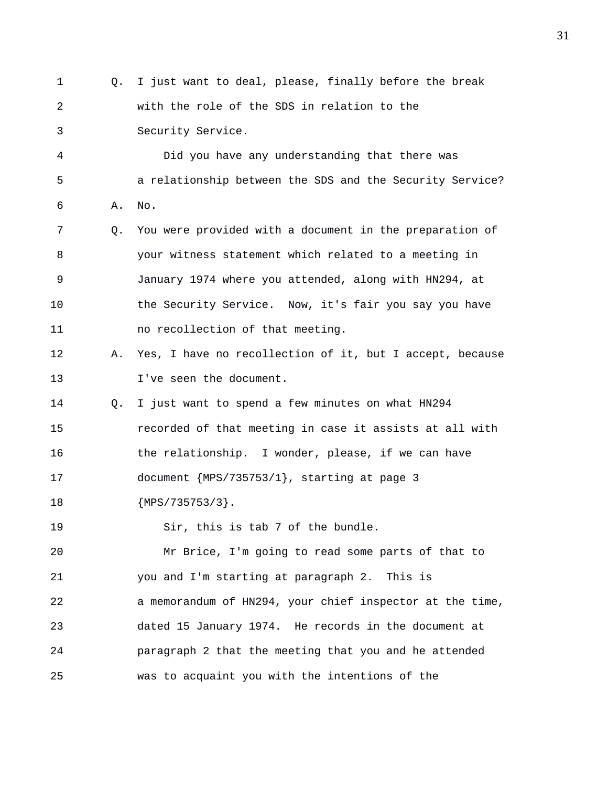1 Q. I just want to deal, please, finally before the break 2 with the role of the SDS in relation to the 3 Security Service.

4 Did you have any understanding that there was 5 a relationship between the SDS and the Security Service? 6 A. No.

7 Q. You were provided with a document in the preparation of 8 your witness statement which related to a meeting in 9 January 1974 where you attended, along with HN294, at 10 the Security Service. Now, it's fair you say you have 11 no recollection of that meeting.

- 12 A. Yes, I have no recollection of it, but I accept, because 13 I've seen the document.
- 14 Q. I just want to spend a few minutes on what HN294 15 recorded of that meeting in case it assists at all with 16 the relationship. I wonder, please, if we can have 17 document {MPS/735753/1}, starting at page 3 18 {MPS/735753/3}.
- 19 Sir, this is tab 7 of the bundle.

20 Mr Brice, I'm going to read some parts of that to 21 you and I'm starting at paragraph 2. This is 22 a memorandum of HN294, your chief inspector at the time, 23 dated 15 January 1974. He records in the document at 24 paragraph 2 that the meeting that you and he attended 25 was to acquaint you with the intentions of the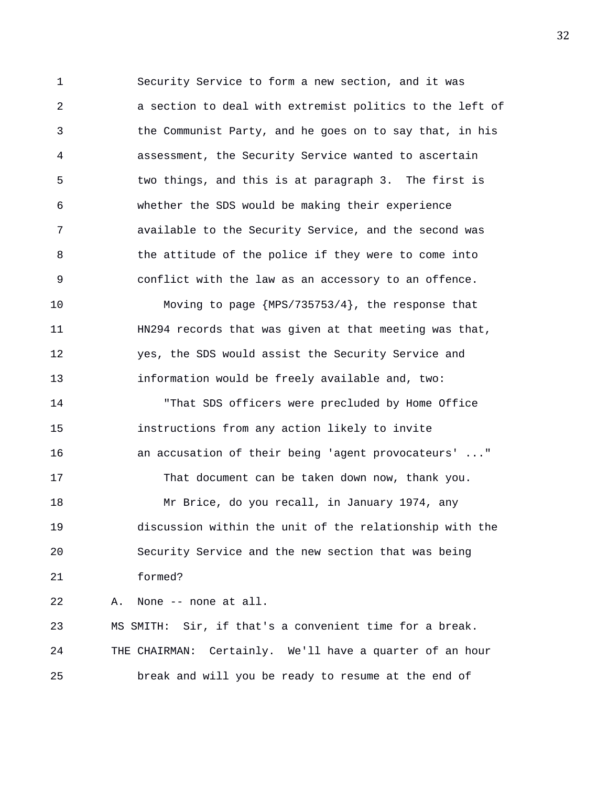1 Security Service to form a new section, and it was 2 a section to deal with extremist politics to the left of 3 the Communist Party, and he goes on to say that, in his 4 assessment, the Security Service wanted to ascertain 5 two things, and this is at paragraph 3. The first is 6 whether the SDS would be making their experience 7 available to the Security Service, and the second was 8 the attitude of the police if they were to come into 9 conflict with the law as an accessory to an offence.

10 Moving to page {MPS/735753/4}, the response that 11 HN294 records that was given at that meeting was that, 12 yes, the SDS would assist the Security Service and 13 information would be freely available and, two:

14 "That SDS officers were precluded by Home Office 15 instructions from any action likely to invite 16 an accusation of their being 'agent provocateurs' ..." 17 That document can be taken down now, thank you. 18 Mr Brice, do you recall, in January 1974, any 19 discussion within the unit of the relationship with the 20 Security Service and the new section that was being 21 formed?

22 A. None -- none at all.

23 MS SMITH: Sir, if that's a convenient time for a break. 24 THE CHAIRMAN: Certainly. We'll have a quarter of an hour 25 break and will you be ready to resume at the end of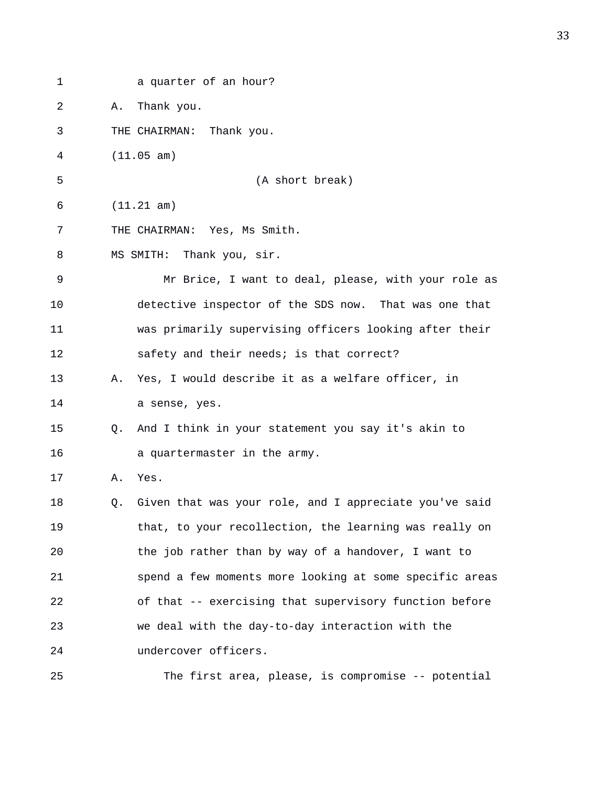| 1  | a quarter of an hour?                                           |
|----|-----------------------------------------------------------------|
| 2  | Thank you.<br>Α.                                                |
| 3  | Thank you.<br>THE CHAIRMAN:                                     |
| 4  | (11.05 am)                                                      |
| 5  | (A short break)                                                 |
| 6  | (11.21 am)                                                      |
| 7  | THE CHAIRMAN: Yes, Ms Smith.                                    |
| 8  | Thank you, sir.<br>MS SMITH:                                    |
| 9  | Mr Brice, I want to deal, please, with your role as             |
| 10 | detective inspector of the SDS now. That was one that           |
| 11 | was primarily supervising officers looking after their          |
| 12 | safety and their needs; is that correct?                        |
| 13 | Yes, I would describe it as a welfare officer, in<br>Α.         |
| 14 | a sense, yes.                                                   |
| 15 | And I think in your statement you say it's akin to<br>$\circ$ . |
| 16 | a quartermaster in the army.                                    |
| 17 | Yes.<br>Α.                                                      |
| 18 | Given that was your role, and I appreciate you've said<br>Q.    |
| 19 | that, to your recollection, the learning was really on          |
| 20 | the job rather than by way of a handover, I want to             |
| 21 | spend a few moments more looking at some specific areas         |
| 22 | of that -- exercising that supervisory function before          |
| 23 | we deal with the day-to-day interaction with the                |
| 24 | undercover officers.                                            |
| 25 | The first area, please, is compromise -- potential              |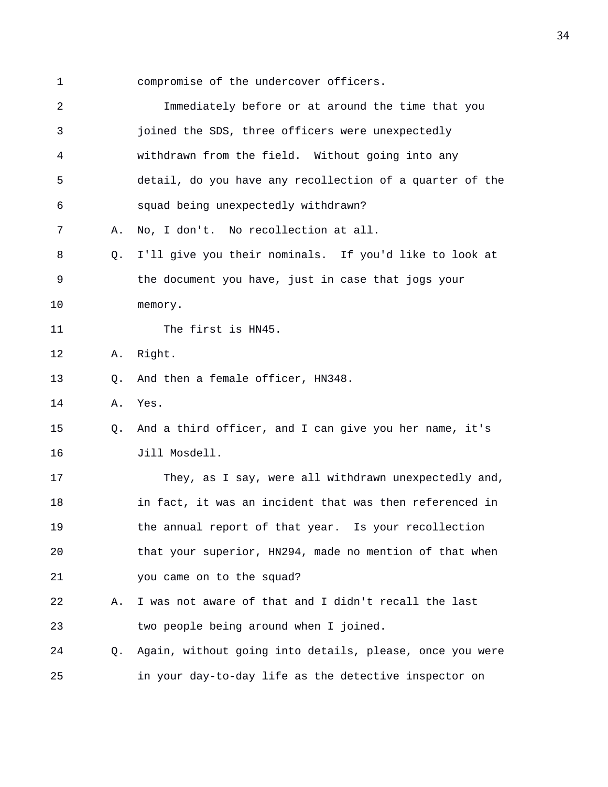1 compromise of the undercover officers.

| 2  |                | Immediately before or at around the time that you        |
|----|----------------|----------------------------------------------------------|
| 3  |                | joined the SDS, three officers were unexpectedly         |
| 4  |                | withdrawn from the field. Without going into any         |
| 5  |                | detail, do you have any recollection of a quarter of the |
| 6  |                | squad being unexpectedly withdrawn?                      |
| 7  | Α.             | No, I don't. No recollection at all.                     |
| 8  | Q <sub>z</sub> | I'll give you their nominals. If you'd like to look at   |
| 9  |                | the document you have, just in case that jogs your       |
| 10 |                | memory.                                                  |
| 11 |                | The first is HN45.                                       |
| 12 | Α.             | Right.                                                   |
| 13 | Q.             | And then a female officer, HN348.                        |
| 14 | Α.             | Yes.                                                     |
| 15 | O.             | And a third officer, and I can give you her name, it's   |
| 16 |                | Jill Mosdell.                                            |
| 17 |                | They, as I say, were all withdrawn unexpectedly and,     |
| 18 |                | in fact, it was an incident that was then referenced in  |
| 19 |                | the annual report of that year. Is your recollection     |
| 20 |                | that your superior, HN294, made no mention of that when  |
| 21 |                | you came on to the squad?                                |
| 22 | Α.             | I was not aware of that and I didn't recall the last     |
| 23 |                | two people being around when I joined.                   |
| 24 | Q.             | Again, without going into details, please, once you were |
| 25 |                | in your day-to-day life as the detective inspector on    |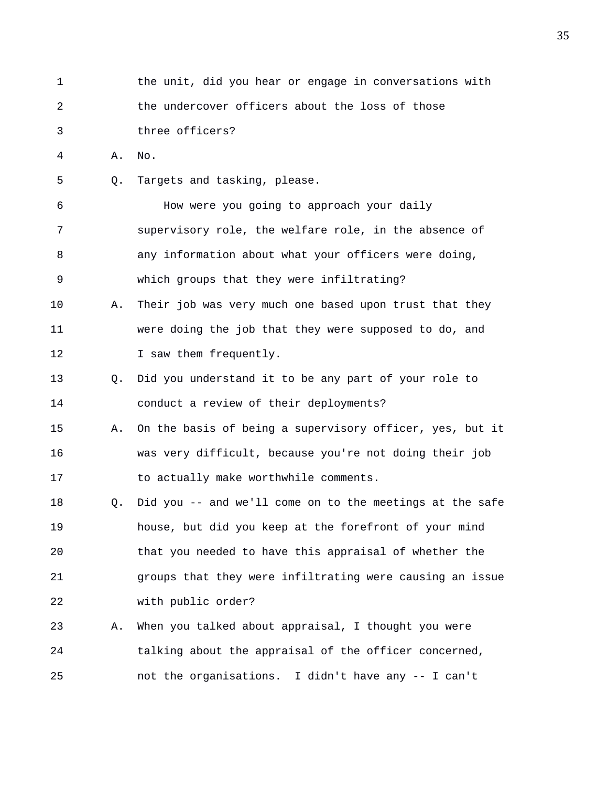1 the unit, did you hear or engage in conversations with 2 the undercover officers about the loss of those 3 three officers? 4 A. No. 5 Q. Targets and tasking, please. 6 How were you going to approach your daily 7 supervisory role, the welfare role, in the absence of 8 any information about what your officers were doing, 9 which groups that they were infiltrating? 10 A. Their job was very much one based upon trust that they 11 were doing the job that they were supposed to do, and 12 I saw them frequently. 13 Q. Did you understand it to be any part of your role to 14 conduct a review of their deployments? 15 A. On the basis of being a supervisory officer, yes, but it 16 was very difficult, because you're not doing their job 17 to actually make worthwhile comments. 18 Q. Did you -- and we'll come on to the meetings at the safe 19 house, but did you keep at the forefront of your mind 20 that you needed to have this appraisal of whether the 21 groups that they were infiltrating were causing an issue 22 with public order? 23 A. When you talked about appraisal, I thought you were 24 talking about the appraisal of the officer concerned, 25 not the organisations. I didn't have any -- I can't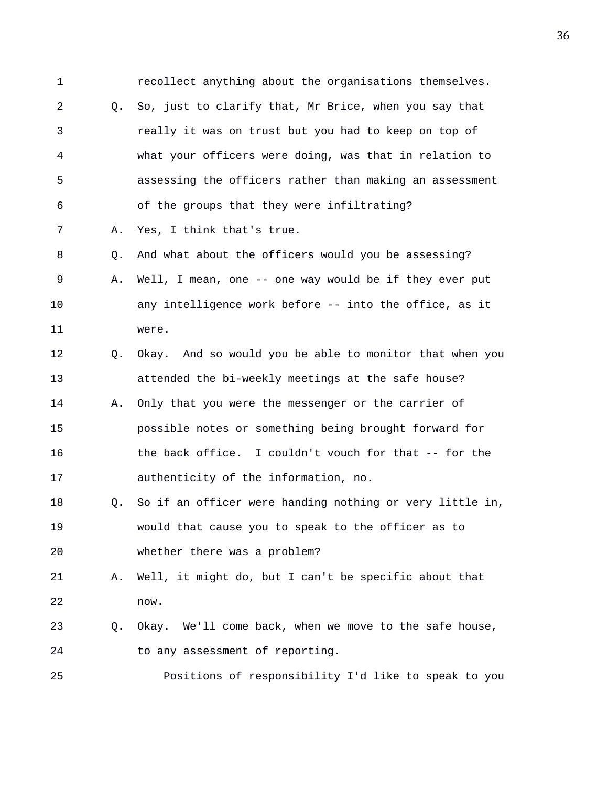1 recollect anything about the organisations themselves. 2 Q. So, just to clarify that, Mr Brice, when you say that 3 really it was on trust but you had to keep on top of 4 what your officers were doing, was that in relation to 5 assessing the officers rather than making an assessment 6 of the groups that they were infiltrating? 7 A. Yes, I think that's true. 8 Q. And what about the officers would you be assessing? 9 A. Well, I mean, one -- one way would be if they ever put 10 any intelligence work before -- into the office, as it 11 were. 12 Q. Okay. And so would you be able to monitor that when you 13 attended the bi-weekly meetings at the safe house? 14 A. Only that you were the messenger or the carrier of 15 possible notes or something being brought forward for 16 the back office. I couldn't vouch for that -- for the 17 authenticity of the information, no. 18 Q. So if an officer were handing nothing or very little in, 19 would that cause you to speak to the officer as to 20 whether there was a problem? 21 A. Well, it might do, but I can't be specific about that 22 now. 23 Q. Okay. We'll come back, when we move to the safe house, 24 to any assessment of reporting. 25 Positions of responsibility I'd like to speak to you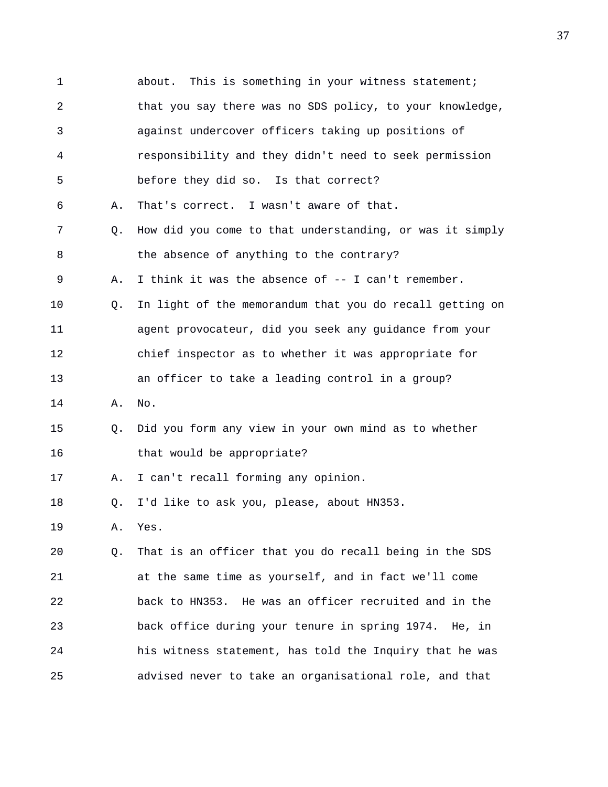1 about. This is something in your witness statement; 2 that you say there was no SDS policy, to your knowledge, 3 against undercover officers taking up positions of 4 responsibility and they didn't need to seek permission 5 before they did so. Is that correct? 6 A. That's correct. I wasn't aware of that. 7 Q. How did you come to that understanding, or was it simply 8 the absence of anything to the contrary? 9 A. I think it was the absence of -- I can't remember. 10 Q. In light of the memorandum that you do recall getting on 11 agent provocateur, did you seek any guidance from your 12 chief inspector as to whether it was appropriate for 13 an officer to take a leading control in a group? 14 A. No. 15 Q. Did you form any view in your own mind as to whether 16 that would be appropriate? 17 A. I can't recall forming any opinion. 18 Q. I'd like to ask you, please, about HN353. 19 A. Yes. 20 Q. That is an officer that you do recall being in the SDS 21 at the same time as yourself, and in fact we'll come 22 back to HN353. He was an officer recruited and in the 23 back office during your tenure in spring 1974. He, in 24 his witness statement, has told the Inquiry that he was 25 advised never to take an organisational role, and that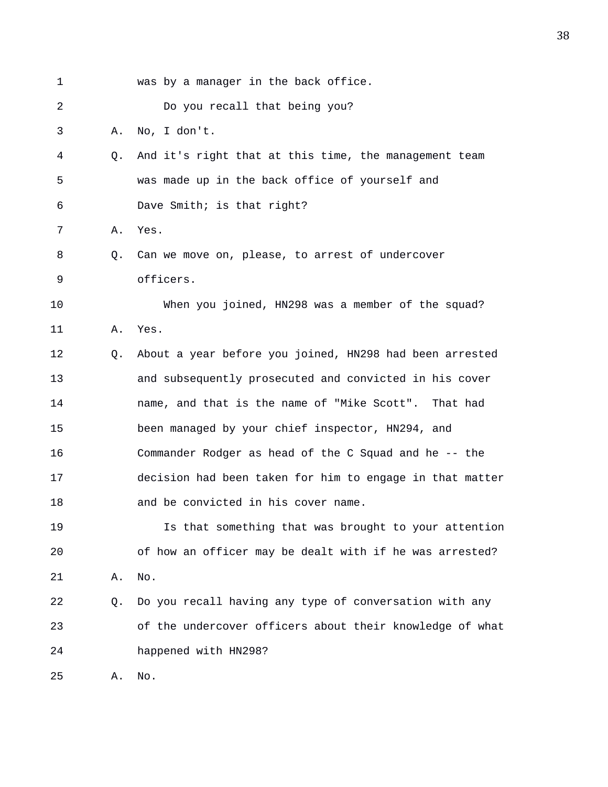| 1  |    | was by a manager in the back office.                     |
|----|----|----------------------------------------------------------|
| 2  |    | Do you recall that being you?                            |
| 3  | Α. | No, I don't.                                             |
| 4  | Q. | And it's right that at this time, the management team    |
| 5  |    | was made up in the back office of yourself and           |
| 6  |    | Dave Smith; is that right?                               |
| 7  | Α. | Yes.                                                     |
| 8  | Q. | Can we move on, please, to arrest of undercover          |
| 9  |    | officers.                                                |
| 10 |    | When you joined, HN298 was a member of the squad?        |
| 11 | Α. | Yes.                                                     |
| 12 | O. | About a year before you joined, HN298 had been arrested  |
| 13 |    | and subsequently prosecuted and convicted in his cover   |
| 14 |    | name, and that is the name of "Mike Scott". That had     |
| 15 |    | been managed by your chief inspector, HN294, and         |
| 16 |    | Commander Rodger as head of the C Squad and he -- the    |
| 17 |    | decision had been taken for him to engage in that matter |
| 18 |    | and be convicted in his cover name.                      |
| 19 |    | Is that something that was brought to your attention     |
| 20 |    | of how an officer may be dealt with if he was arrested?  |
| 21 | Α. | No.                                                      |
| 22 | Q. | Do you recall having any type of conversation with any   |
| 23 |    | of the undercover officers about their knowledge of what |
| 24 |    | happened with HN298?                                     |
| 25 | Α. | No.                                                      |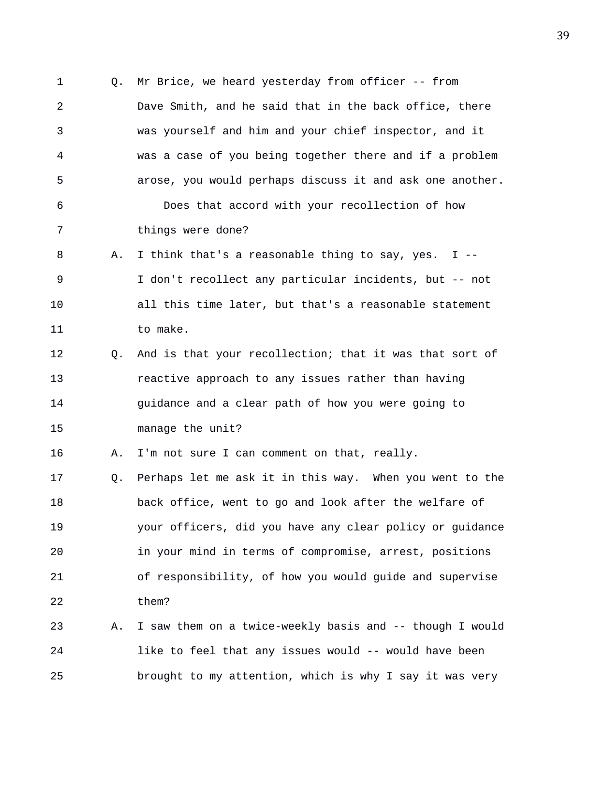1 Q. Mr Brice, we heard yesterday from officer -- from 2 Dave Smith, and he said that in the back office, there 3 was yourself and him and your chief inspector, and it 4 was a case of you being together there and if a problem 5 arose, you would perhaps discuss it and ask one another. 6 Does that accord with your recollection of how 7 things were done? 8 A. I think that's a reasonable thing to say, yes. I -- 9 I don't recollect any particular incidents, but -- not 10 all this time later, but that's a reasonable statement 11 to make. 12 Q. And is that your recollection; that it was that sort of 13 reactive approach to any issues rather than having 14 guidance and a clear path of how you were going to 15 manage the unit? 16 A. I'm not sure I can comment on that, really. 17 Q. Perhaps let me ask it in this way. When you went to the 18 back office, went to go and look after the welfare of 19 your officers, did you have any clear policy or guidance 20 in your mind in terms of compromise, arrest, positions 21 of responsibility, of how you would guide and supervise 22 them? 23 A. I saw them on a twice-weekly basis and -- though I would 24 like to feel that any issues would -- would have been 25 brought to my attention, which is why I say it was very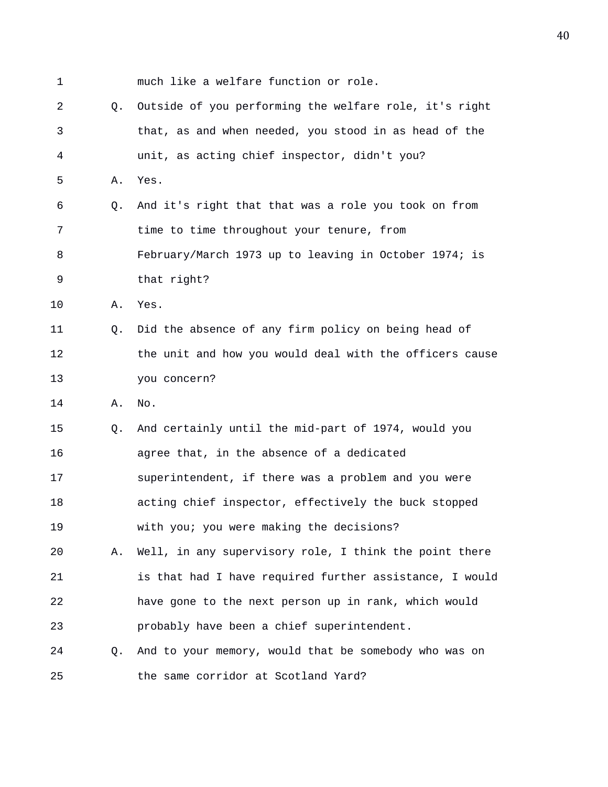1 much like a welfare function or role. 2 Q. Outside of you performing the welfare role, it's right 3 that, as and when needed, you stood in as head of the 4 unit, as acting chief inspector, didn't you? 5 A. Yes. 6 Q. And it's right that that was a role you took on from 7 time to time throughout your tenure, from 8 February/March 1973 up to leaving in October 1974; is 9 that right? 10 A. Yes. 11 Q. Did the absence of any firm policy on being head of 12 the unit and how you would deal with the officers cause 13 you concern? 14 A. No. 15 Q. And certainly until the mid-part of 1974, would you 16 agree that, in the absence of a dedicated 17 superintendent, if there was a problem and you were 18 acting chief inspector, effectively the buck stopped 19 with you; you were making the decisions? 20 A. Well, in any supervisory role, I think the point there 21 is that had I have required further assistance, I would 22 have gone to the next person up in rank, which would 23 probably have been a chief superintendent. 24 Q. And to your memory, would that be somebody who was on 25 the same corridor at Scotland Yard?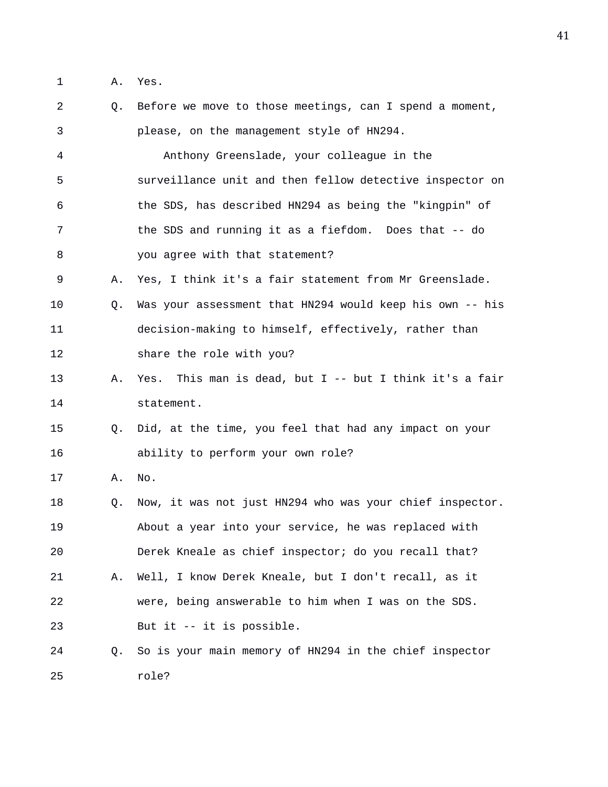1 A. Yes.

| 2  | Q. | Before we move to those meetings, can I spend a moment,   |
|----|----|-----------------------------------------------------------|
| 3  |    | please, on the management style of HN294.                 |
| 4  |    | Anthony Greenslade, your colleague in the                 |
| 5  |    | surveillance unit and then fellow detective inspector on  |
| 6  |    | the SDS, has described HN294 as being the "kingpin" of    |
| 7  |    | the SDS and running it as a fiefdom. Does that -- do      |
| 8  |    | you agree with that statement?                            |
| 9  | Α. | Yes, I think it's a fair statement from Mr Greenslade.    |
| 10 | Q. | Was your assessment that HN294 would keep his own -- his  |
| 11 |    | decision-making to himself, effectively, rather than      |
| 12 |    | share the role with you?                                  |
| 13 | Α. | Yes. This man is dead, but $I$ -- but I think it's a fair |
| 14 |    | statement.                                                |
| 15 | O. | Did, at the time, you feel that had any impact on your    |
| 16 |    | ability to perform your own role?                         |
| 17 | Α. | No.                                                       |
| 18 | Q. | Now, it was not just HN294 who was your chief inspector.  |
| 19 |    | About a year into your service, he was replaced with      |
| 20 |    | Derek Kneale as chief inspector; do you recall that?      |
| 21 | Α. | Well, I know Derek Kneale, but I don't recall, as it      |
| 22 |    | were, being answerable to him when I was on the SDS.      |
| 23 |    | But it -- it is possible.                                 |
| 24 | 0. | So is your main memory of HN294 in the chief inspector    |
| 25 |    | role?                                                     |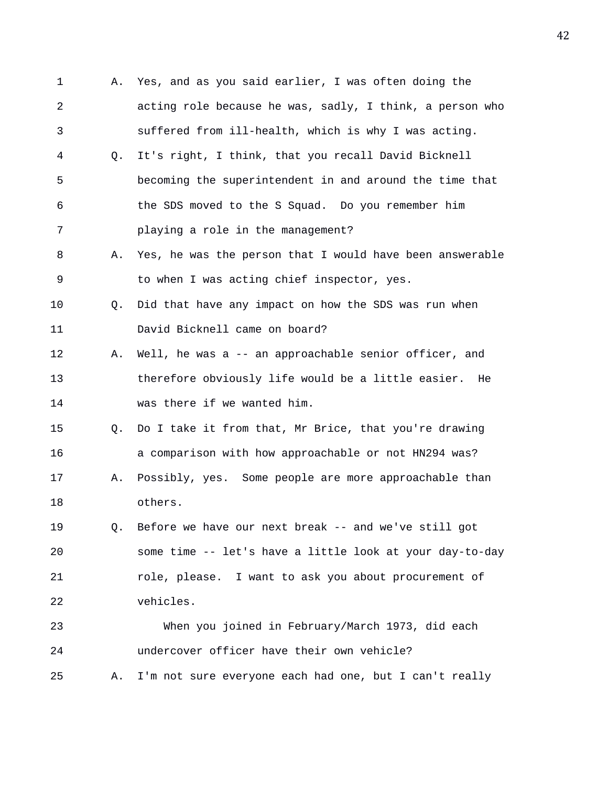1 A. Yes, and as you said earlier, I was often doing the 2 acting role because he was, sadly, I think, a person who 3 suffered from ill-health, which is why I was acting. 4 Q. It's right, I think, that you recall David Bicknell 5 becoming the superintendent in and around the time that 6 the SDS moved to the S Squad. Do you remember him 7 playing a role in the management? 8 A. Yes, he was the person that I would have been answerable 9 to when I was acting chief inspector, yes. 10 Q. Did that have any impact on how the SDS was run when 11 David Bicknell came on board? 12 A. Well, he was a -- an approachable senior officer, and 13 therefore obviously life would be a little easier. He 14 was there if we wanted him. 15 Q. Do I take it from that, Mr Brice, that you're drawing 16 a comparison with how approachable or not HN294 was? 17 A. Possibly, yes. Some people are more approachable than 18 others. 19 Q. Before we have our next break -- and we've still got 20 some time -- let's have a little look at your day-to-day 21 role, please. I want to ask you about procurement of 22 vehicles. 23 When you joined in February/March 1973, did each 24 undercover officer have their own vehicle? 25 A. I'm not sure everyone each had one, but I can't really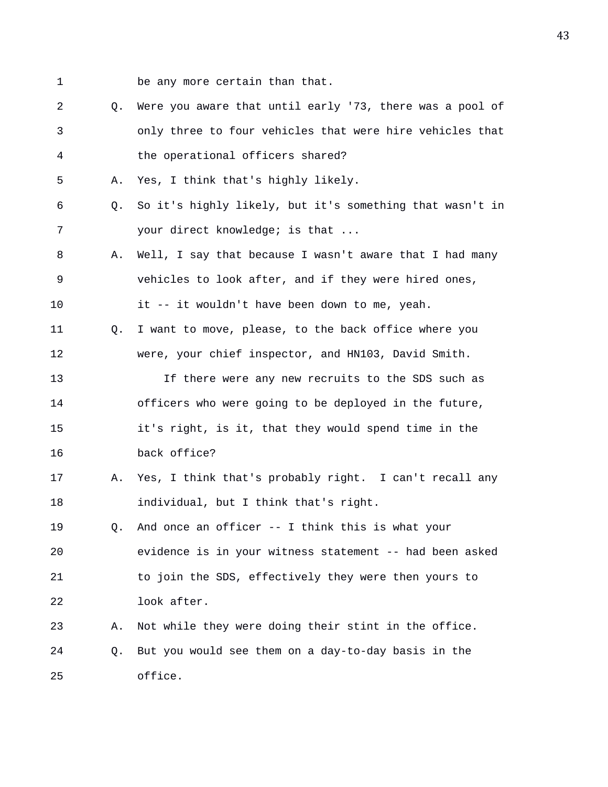- 1 be any more certain than that.
- 2 Q. Were you aware that until early '73, there was a pool of 3 only three to four vehicles that were hire vehicles that 4 the operational officers shared?
- 5 A. Yes, I think that's highly likely.
- 6 Q. So it's highly likely, but it's something that wasn't in 7 your direct knowledge; is that ...
- 8 A. Well, I say that because I wasn't aware that I had many 9 vehicles to look after, and if they were hired ones,
- 10 it -- it wouldn't have been down to me, yeah.
- 11 Q. I want to move, please, to the back office where you 12 were, your chief inspector, and HN103, David Smith.
- 13 If there were any new recruits to the SDS such as 14 officers who were going to be deployed in the future, 15 it's right, is it, that they would spend time in the 16 back office?
- 17 A. Yes, I think that's probably right. I can't recall any 18 individual, but I think that's right.
- 19 Q. And once an officer -- I think this is what your 20 evidence is in your witness statement -- had been asked 21 to join the SDS, effectively they were then yours to 22 look after.
- 23 A. Not while they were doing their stint in the office. 24 Q. But you would see them on a day-to-day basis in the 25 office.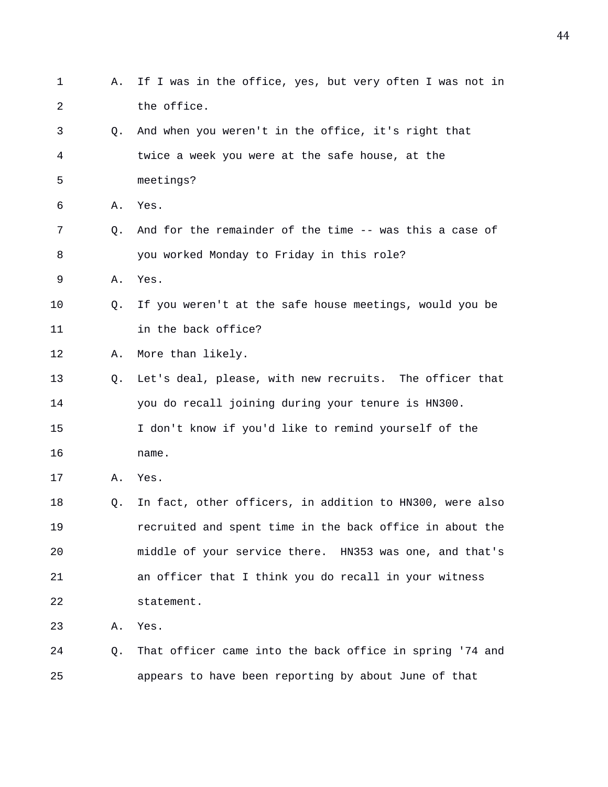| 1  | Α. | If I was in the office, yes, but very often I was not in |
|----|----|----------------------------------------------------------|
| 2  |    | the office.                                              |
| 3  | Q. | And when you weren't in the office, it's right that      |
| 4  |    | twice a week you were at the safe house, at the          |
| 5  |    | meetings?                                                |
| 6  | Α. | Yes.                                                     |
| 7  | Q. | And for the remainder of the time -- was this a case of  |
| 8  |    | you worked Monday to Friday in this role?                |
| 9  | Α. | Yes.                                                     |
| 10 | O. | If you weren't at the safe house meetings, would you be  |
| 11 |    | in the back office?                                      |
| 12 | Α. | More than likely.                                        |
| 13 | Q. | Let's deal, please, with new recruits. The officer that  |
| 14 |    | you do recall joining during your tenure is HN300.       |
| 15 |    | I don't know if you'd like to remind yourself of the     |
| 16 |    | name.                                                    |
| 17 | Α. | Yes.                                                     |
| 18 | Q. | In fact, other officers, in addition to HN300, were also |
| 19 |    | recruited and spent time in the back office in about the |
| 20 |    | middle of your service there. HN353 was one, and that's  |
| 21 |    | an officer that I think you do recall in your witness    |
| 22 |    | statement.                                               |
| 23 | Α. | Yes.                                                     |
| 24 | Q. | That officer came into the back office in spring '74 and |
| 25 |    | appears to have been reporting by about June of that     |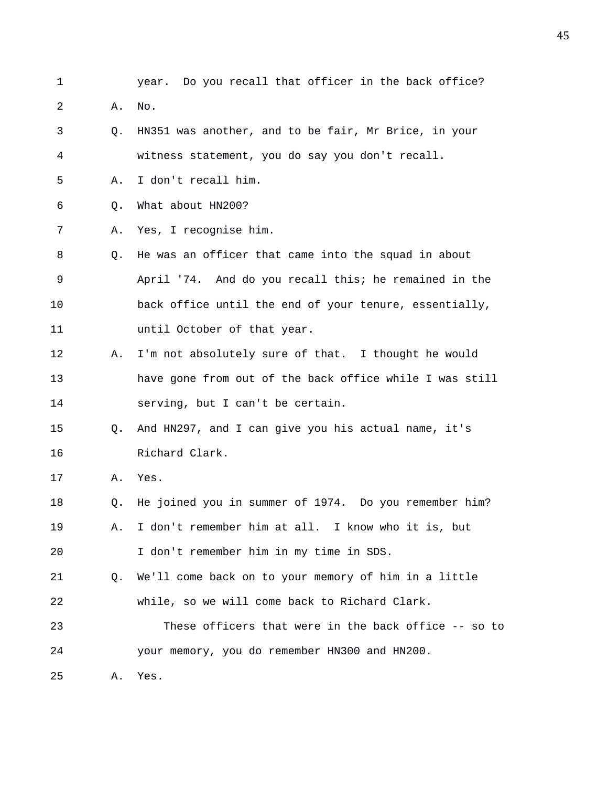- 1 year. Do you recall that officer in the back office?
- 2 A. No.
- 3 Q. HN351 was another, and to be fair, Mr Brice, in your 4 witness statement, you do say you don't recall.
- 5 A. I don't recall him.
- 6 Q. What about HN200?
- 7 A. Yes, I recognise him.
- 8 Q. He was an officer that came into the squad in about 9 April '74. And do you recall this; he remained in the 10 back office until the end of your tenure, essentially, 11 until October of that year.
- 12 A. I'm not absolutely sure of that. I thought he would 13 have gone from out of the back office while I was still 14 serving, but I can't be certain.
- 15 Q. And HN297, and I can give you his actual name, it's 16 Richard Clark.
- 17 A. Yes.
- 18 Q. He joined you in summer of 1974. Do you remember him?
- 19 A. I don't remember him at all. I know who it is, but 20 I don't remember him in my time in SDS.
- 21 Q. We'll come back on to your memory of him in a little 22 while, so we will come back to Richard Clark.
- 23 These officers that were in the back office -- so to 24 your memory, you do remember HN300 and HN200.
- 25 A. Yes.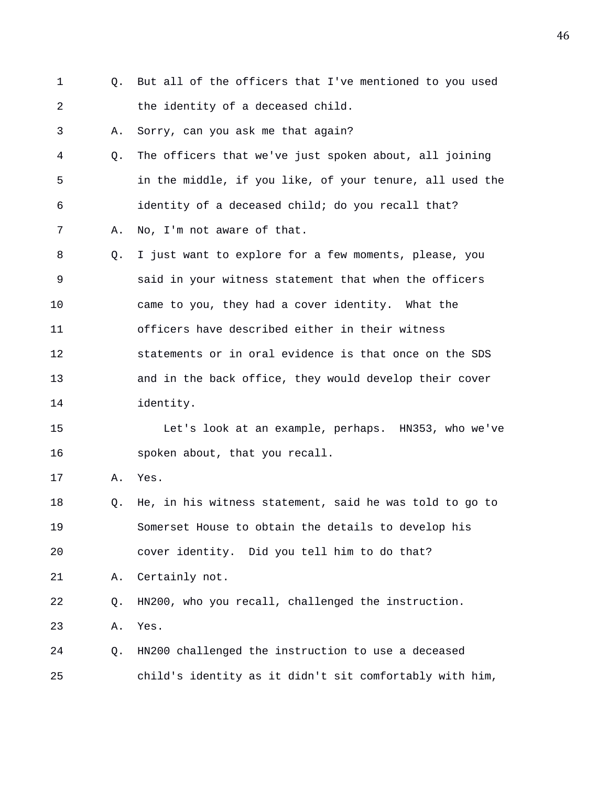- 1 Q. But all of the officers that I've mentioned to you used 2 the identity of a deceased child.
- 3 A. Sorry, can you ask me that again?
- 4 Q. The officers that we've just spoken about, all joining 5 in the middle, if you like, of your tenure, all used the 6 identity of a deceased child; do you recall that? 7 A. No, I'm not aware of that.
- 8 Q. I just want to explore for a few moments, please, you 9 said in your witness statement that when the officers 10 came to you, they had a cover identity. What the 11 officers have described either in their witness 12 statements or in oral evidence is that once on the SDS 13 and in the back office, they would develop their cover 14 identity.

15 Let's look at an example, perhaps. HN353, who we've 16 spoken about, that you recall.

17 A. Yes.

18 Q. He, in his witness statement, said he was told to go to 19 Somerset House to obtain the details to develop his 20 cover identity. Did you tell him to do that? 21 A. Certainly not. 22 Q. HN200, who you recall, challenged the instruction. 23 A. Yes.

24 Q. HN200 challenged the instruction to use a deceased 25 child's identity as it didn't sit comfortably with him,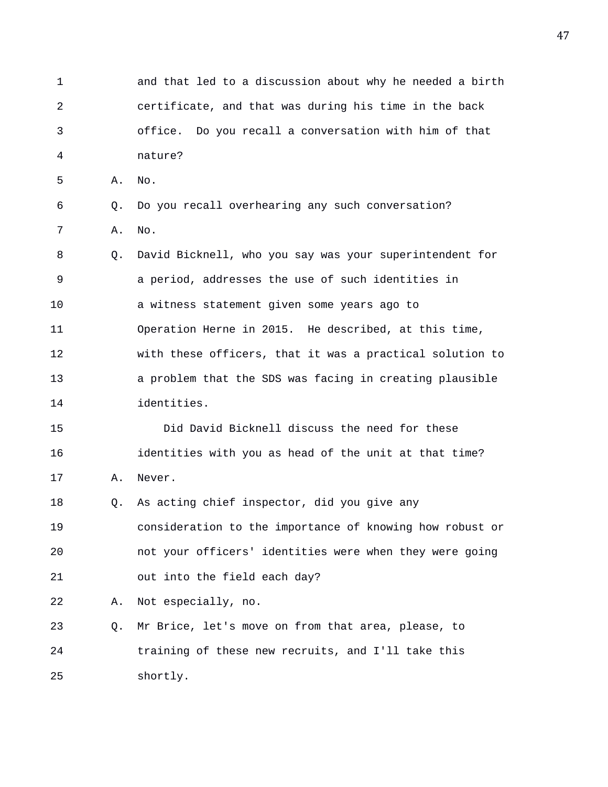1 and that led to a discussion about why he needed a birth 2 certificate, and that was during his time in the back 3 office. Do you recall a conversation with him of that 4 nature? 5 A. No. 6 Q. Do you recall overhearing any such conversation? 7 A. No. 8 Q. David Bicknell, who you say was your superintendent for 9 a period, addresses the use of such identities in 10 a witness statement given some years ago to 11 Operation Herne in 2015. He described, at this time, 12 with these officers, that it was a practical solution to 13 a problem that the SDS was facing in creating plausible 14 identities. 15 Did David Bicknell discuss the need for these 16 identities with you as head of the unit at that time? 17 A. Never. 18 Q. As acting chief inspector, did you give any 19 consideration to the importance of knowing how robust or 20 not your officers' identities were when they were going 21 out into the field each day? 22 A. Not especially, no. 23 Q. Mr Brice, let's move on from that area, please, to 24 training of these new recruits, and I'll take this 25 shortly.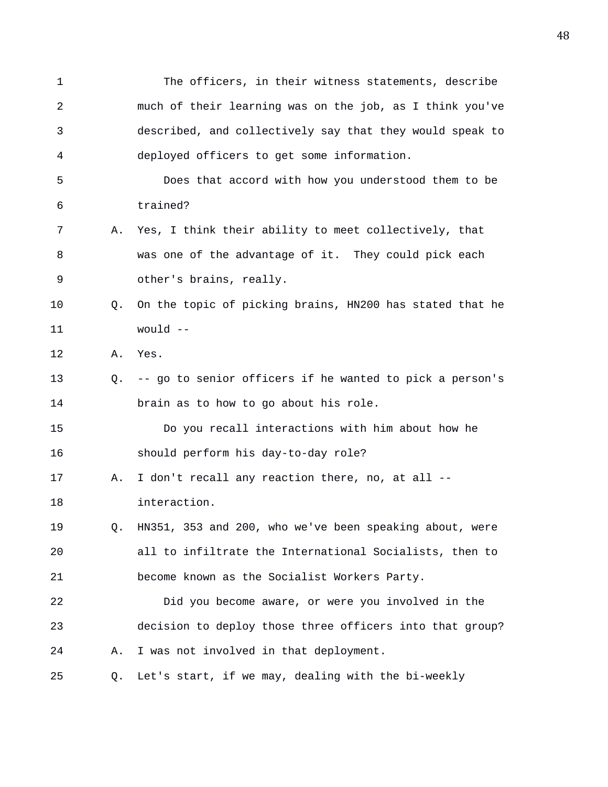1 The officers, in their witness statements, describe 2 much of their learning was on the job, as I think you've 3 described, and collectively say that they would speak to 4 deployed officers to get some information. 5 Does that accord with how you understood them to be 6 trained? 7 A. Yes, I think their ability to meet collectively, that 8 was one of the advantage of it. They could pick each 9 other's brains, really. 10 Q. On the topic of picking brains, HN200 has stated that he 11 would -- 12 A. Yes. 13 Q. -- go to senior officers if he wanted to pick a person's 14 brain as to how to go about his role. 15 Do you recall interactions with him about how he 16 should perform his day-to-day role? 17 A. I don't recall any reaction there, no, at all -- 18 interaction. 19 Q. HN351, 353 and 200, who we've been speaking about, were 20 all to infiltrate the International Socialists, then to 21 become known as the Socialist Workers Party. 22 Did you become aware, or were you involved in the 23 decision to deploy those three officers into that group? 24 A. I was not involved in that deployment. 25 Q. Let's start, if we may, dealing with the bi-weekly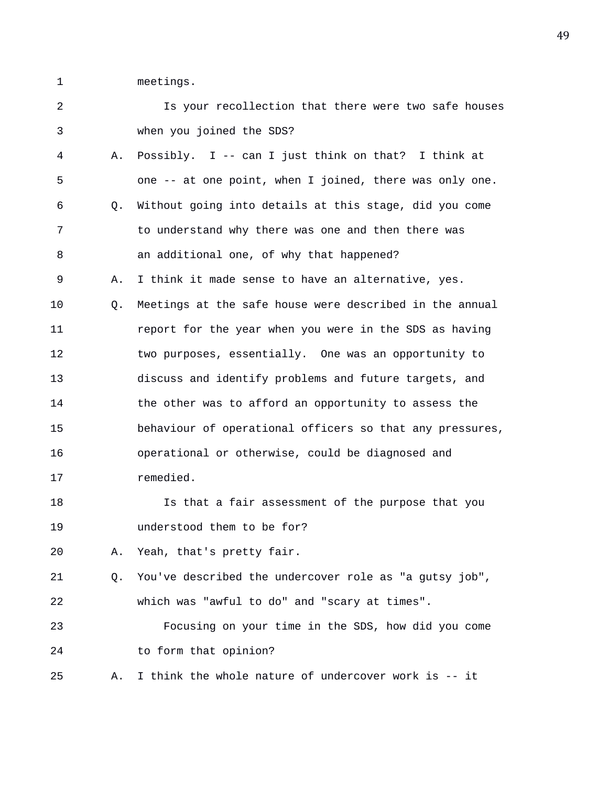1 meetings.

| 2  |    | Is your recollection that there were two safe houses     |
|----|----|----------------------------------------------------------|
| 3  |    | when you joined the SDS?                                 |
| 4  | Α. | Possibly. I -- can I just think on that? I think at      |
| 5  |    | one -- at one point, when I joined, there was only one.  |
| 6  | О. | Without going into details at this stage, did you come   |
| 7  |    | to understand why there was one and then there was       |
| 8  |    | an additional one, of why that happened?                 |
| 9  | Α. | I think it made sense to have an alternative, yes.       |
| 10 | Q. | Meetings at the safe house were described in the annual  |
| 11 |    | report for the year when you were in the SDS as having   |
| 12 |    | two purposes, essentially. One was an opportunity to     |
| 13 |    | discuss and identify problems and future targets, and    |
| 14 |    | the other was to afford an opportunity to assess the     |
| 15 |    | behaviour of operational officers so that any pressures, |
| 16 |    | operational or otherwise, could be diagnosed and         |
| 17 |    | remedied.                                                |
| 18 |    | Is that a fair assessment of the purpose that you        |
| 19 |    | understood them to be for?                               |
| 20 | Α. | Yeah, that's pretty fair.                                |
| 21 | O. | You've described the undercover role as "a gutsy job",   |
| 22 |    | which was "awful to do" and "scary at times".            |
| 23 |    | Focusing on your time in the SDS, how did you come       |
| 24 |    | to form that opinion?                                    |
| 25 | Α. | I think the whole nature of undercover work is -- it     |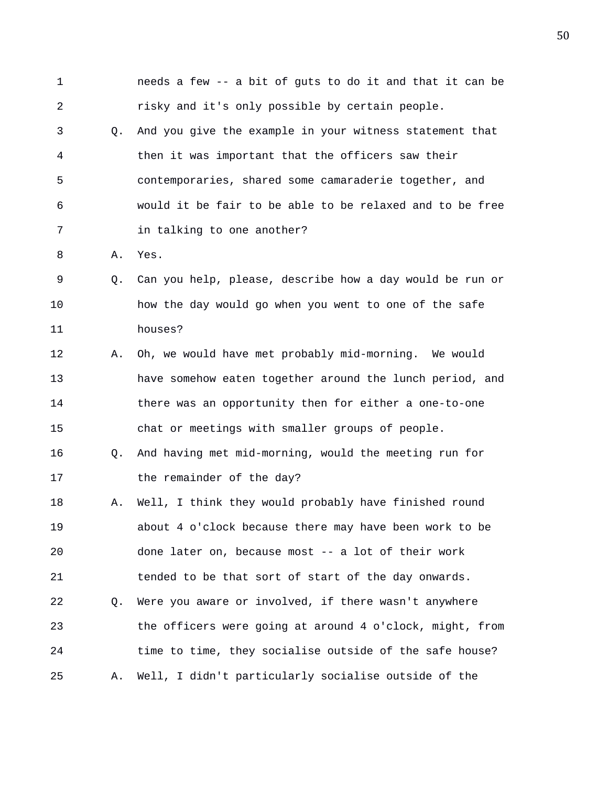| $\mathbf 1$    |    | needs a few -- a bit of guts to do it and that it can be |
|----------------|----|----------------------------------------------------------|
| $\overline{a}$ |    | risky and it's only possible by certain people.          |
| 3              | Q. | And you give the example in your witness statement that  |
| 4              |    | then it was important that the officers saw their        |
| 5              |    | contemporaries, shared some camaraderie together, and    |
| 6              |    | would it be fair to be able to be relaxed and to be free |
| 7              |    | in talking to one another?                               |
| 8              | Α. | Yes.                                                     |
| 9              | Q. | Can you help, please, describe how a day would be run or |
| 10             |    | how the day would go when you went to one of the safe    |
| 11             |    | houses?                                                  |
| 12             | Α. | Oh, we would have met probably mid-morning. We would     |
| 13             |    | have somehow eaten together around the lunch period, and |
| 14             |    | there was an opportunity then for either a one-to-one    |
| 15             |    | chat or meetings with smaller groups of people.          |
| 16             | Q. | And having met mid-morning, would the meeting run for    |
| 17             |    | the remainder of the day?                                |
| 18             | Α. | Well, I think they would probably have finished round    |
| 19             |    | about 4 o'clock because there may have been work to be   |
| 20             |    | done later on, because most -- a lot of their work       |
| 21             |    | tended to be that sort of start of the day onwards.      |
| 22             | Q. | Were you aware or involved, if there wasn't anywhere     |
| 23             |    | the officers were going at around 4 o'clock, might, from |
| 24             |    | time to time, they socialise outside of the safe house?  |
| 25             | Α. | Well, I didn't particularly socialise outside of the     |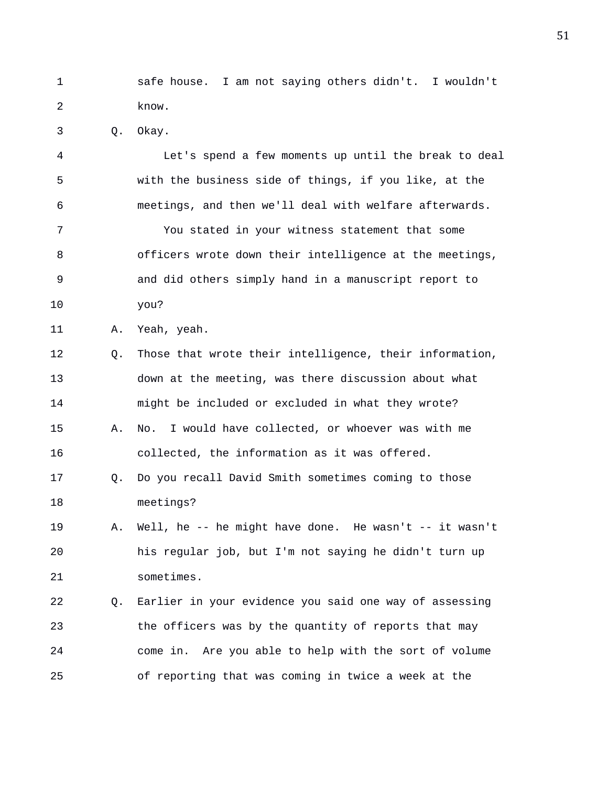1 safe house. I am not saying others didn't. I wouldn't 2 know.

3 Q. Okay.

4 Let's spend a few moments up until the break to deal 5 with the business side of things, if you like, at the 6 meetings, and then we'll deal with welfare afterwards. 7 You stated in your witness statement that some 8 officers wrote down their intelligence at the meetings, 9 and did others simply hand in a manuscript report to 10 you?

11 A. Yeah, yeah.

21 sometimes.

12 Q. Those that wrote their intelligence, their information, 13 down at the meeting, was there discussion about what 14 might be included or excluded in what they wrote? 15 A. No. I would have collected, or whoever was with me

17 Q. Do you recall David Smith sometimes coming to those

16 collected, the information as it was offered.

18 meetings? 19 A. Well, he -- he might have done. He wasn't -- it wasn't 20 his regular job, but I'm not saying he didn't turn up

22 Q. Earlier in your evidence you said one way of assessing 23 the officers was by the quantity of reports that may 24 come in. Are you able to help with the sort of volume 25 of reporting that was coming in twice a week at the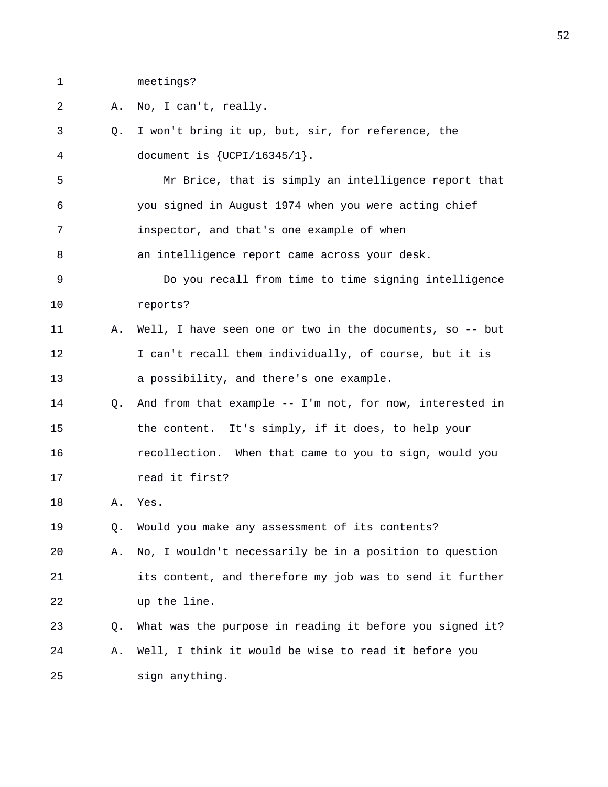1 meetings?

2 A. No, I can't, really.

3 Q. I won't bring it up, but, sir, for reference, the 4 document is {UCPI/16345/1}. 5 Mr Brice, that is simply an intelligence report that 6 you signed in August 1974 when you were acting chief 7 inspector, and that's one example of when 8 an intelligence report came across your desk. 9 Do you recall from time to time signing intelligence 10 reports? 11 A. Well, I have seen one or two in the documents, so -- but 12 I can't recall them individually, of course, but it is 13 a possibility, and there's one example. 14 Q. And from that example -- I'm not, for now, interested in 15 the content. It's simply, if it does, to help your 16 recollection. When that came to you to sign, would you 17 read it first? 18 A. Yes. 19 Q. Would you make any assessment of its contents? 20 A. No, I wouldn't necessarily be in a position to question 21 its content, and therefore my job was to send it further 22 up the line. 23 Q. What was the purpose in reading it before you signed it? 24 A. Well, I think it would be wise to read it before you 25 sign anything.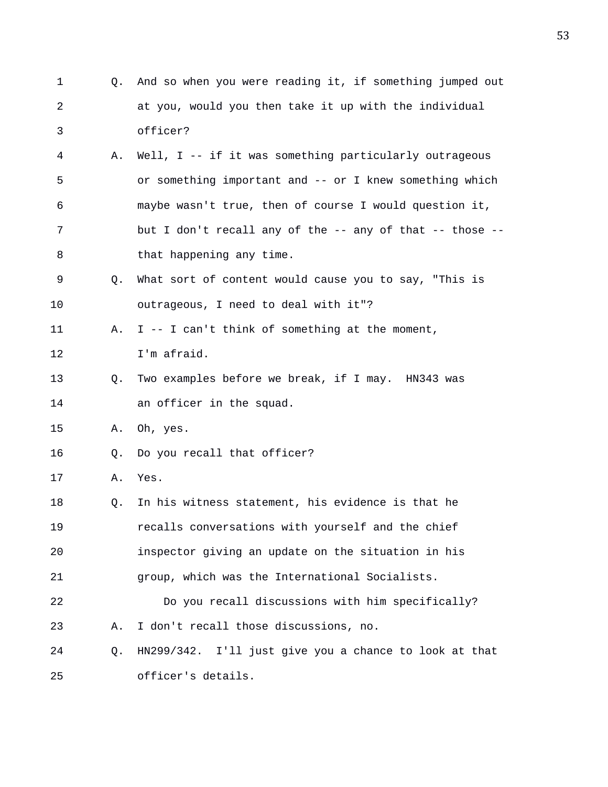- 1 Q. And so when you were reading it, if something jumped out 2 at you, would you then take it up with the individual 3 officer?
- 4 A. Well, I -- if it was something particularly outrageous 5 or something important and -- or I knew something which 6 maybe wasn't true, then of course I would question it, 7 but I don't recall any of the -- any of that -- those --8 that happening any time.
- 9 Q. What sort of content would cause you to say, "This is 10 outrageous, I need to deal with it"?
- 11 A. I -- I can't think of something at the moment,
- 12 I'm afraid.
- 13 Q. Two examples before we break, if I may. HN343 was 14 an officer in the squad.
- 15 A. Oh, yes.
- 16 Q. Do you recall that officer?
- 17 A. Yes.
- 18 Q. In his witness statement, his evidence is that he 19 recalls conversations with yourself and the chief 20 inspector giving an update on the situation in his 21 group, which was the International Socialists. 22 Do you recall discussions with him specifically?
- 23 A. I don't recall those discussions, no.
- 24 Q. HN299/342. I'll just give you a chance to look at that 25 officer's details.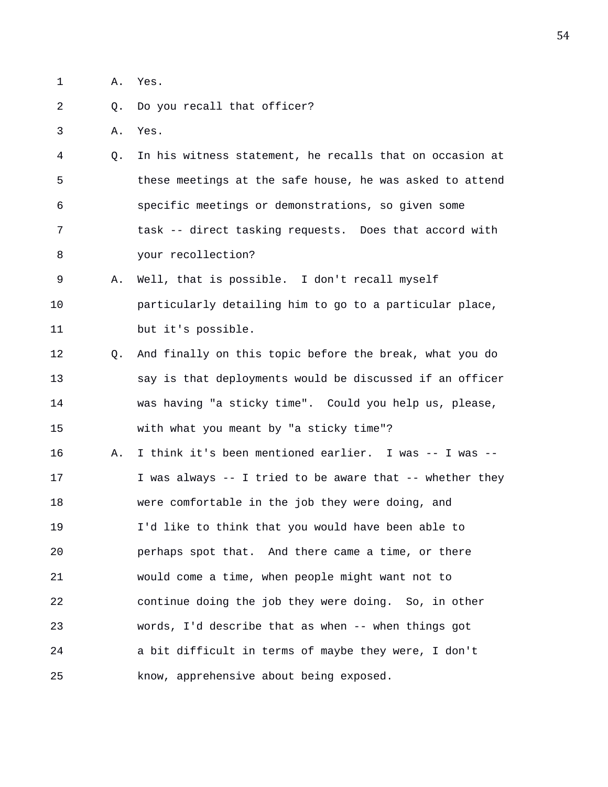1 A. Yes.

## 2 0. Do you recall that officer?

3 A. Yes.

4 Q. In his witness statement, he recalls that on occasion at 5 these meetings at the safe house, he was asked to attend 6 specific meetings or demonstrations, so given some 7 task -- direct tasking requests. Does that accord with 8 your recollection?

9 A. Well, that is possible. I don't recall myself 10 particularly detailing him to go to a particular place, 11 but it's possible.

12 Q. And finally on this topic before the break, what you do 13 say is that deployments would be discussed if an officer 14 was having "a sticky time". Could you help us, please, 15 with what you meant by "a sticky time"?

16 A. I think it's been mentioned earlier. I was -- I was --17 I was always -- I tried to be aware that -- whether they 18 were comfortable in the job they were doing, and 19 I'd like to think that you would have been able to 20 perhaps spot that. And there came a time, or there 21 would come a time, when people might want not to 22 continue doing the job they were doing. So, in other 23 words, I'd describe that as when -- when things got 24 a bit difficult in terms of maybe they were, I don't 25 know, apprehensive about being exposed.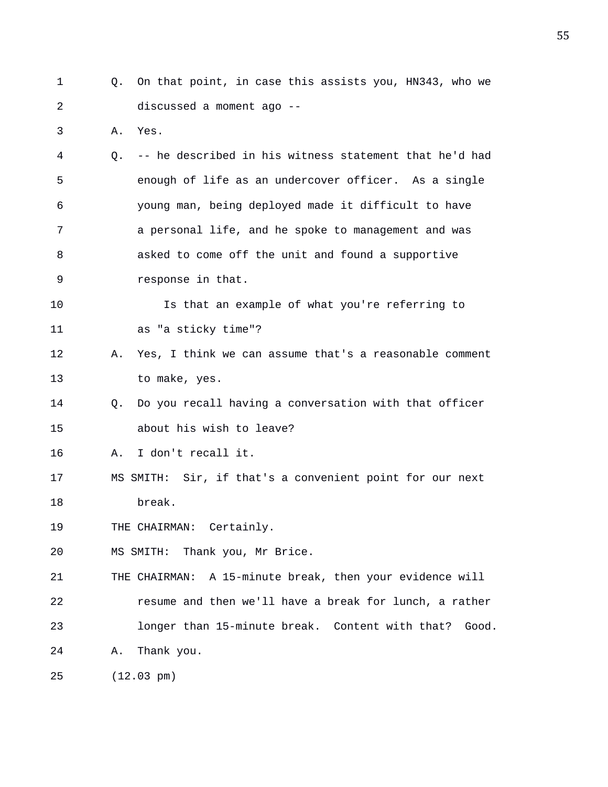- 1 Q. On that point, in case this assists you, HN343, who we 2 discussed a moment ago -- 3 A. Yes. 4 Q. -- he described in his witness statement that he'd had 5 enough of life as an undercover officer. As a single 6 young man, being deployed made it difficult to have 7 a personal life, and he spoke to management and was
- 8 asked to come off the unit and found a supportive 9 response in that.

10 Is that an example of what you're referring to 11 as "a sticky time"?

- 12 A. Yes, I think we can assume that's a reasonable comment 13 to make, yes.
- 14 Q. Do you recall having a conversation with that officer 15 about his wish to leave?

16 A. I don't recall it.

17 MS SMITH: Sir, if that's a convenient point for our next 18 break.

19 THE CHAIRMAN: Certainly.

20 MS SMITH: Thank you, Mr Brice.

21 THE CHAIRMAN: A 15-minute break, then your evidence will 22 resume and then we'll have a break for lunch, a rather 23 longer than 15-minute break. Content with that? Good. 24 A. Thank you.

25 (12.03 pm)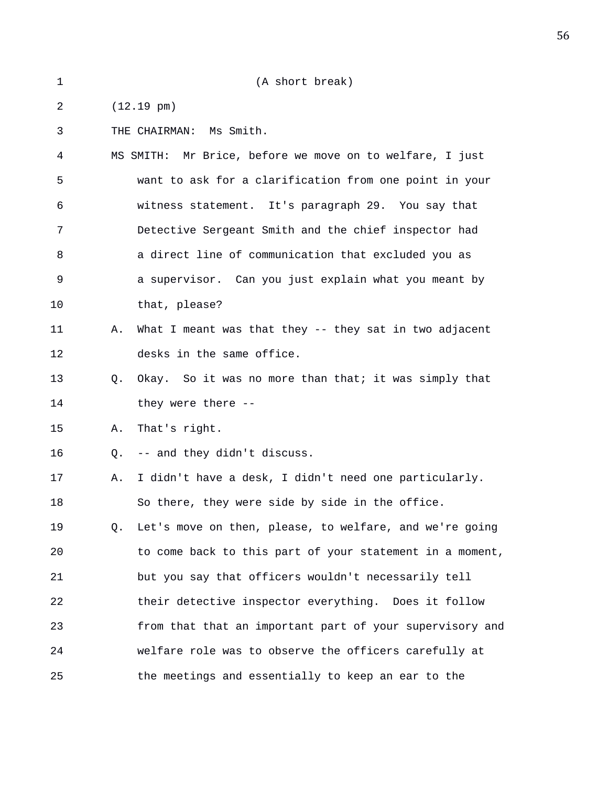1 (A short break) 2 (12.19 pm) 3 THE CHAIRMAN: Ms Smith. 4 MS SMITH: Mr Brice, before we move on to welfare, I just 5 want to ask for a clarification from one point in your 6 witness statement. It's paragraph 29. You say that 7 Detective Sergeant Smith and the chief inspector had 8 a direct line of communication that excluded you as 9 a supervisor. Can you just explain what you meant by 10 that, please? 11 A. What I meant was that they -- they sat in two adjacent 12 desks in the same office. 13 Q. Okay. So it was no more than that; it was simply that 14 they were there --15 A. That's right. 16 Q. -- and they didn't discuss. 17 A. I didn't have a desk, I didn't need one particularly. 18 So there, they were side by side in the office. 19 Q. Let's move on then, please, to welfare, and we're going 20 to come back to this part of your statement in a moment, 21 but you say that officers wouldn't necessarily tell 22 their detective inspector everything. Does it follow 23 from that that an important part of your supervisory and 24 welfare role was to observe the officers carefully at 25 the meetings and essentially to keep an ear to the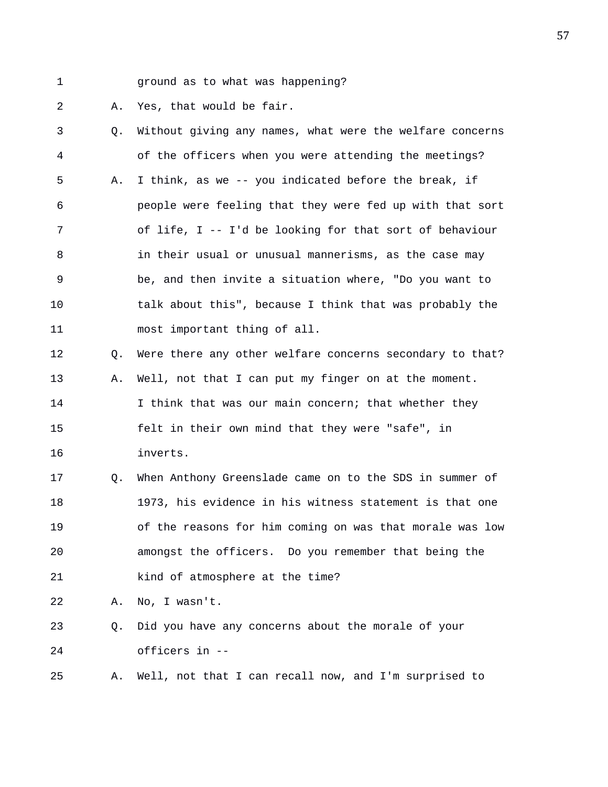- 
- 1 ground as to what was happening?

2 A. Yes, that would be fair.

| 3           | O. | Without giving any names, what were the welfare concerns |
|-------------|----|----------------------------------------------------------|
| 4           |    | of the officers when you were attending the meetings?    |
| 5           | Α. | I think, as we -- you indicated before the break, if     |
| 6           |    | people were feeling that they were fed up with that sort |
| 7           |    | of life, I -- I'd be looking for that sort of behaviour  |
| 8           |    | in their usual or unusual mannerisms, as the case may    |
| $\mathsf 9$ |    | be, and then invite a situation where, "Do you want to   |
| 10          |    | talk about this", because I think that was probably the  |
| 11          |    | most important thing of all.                             |
| 12          | Q. | Were there any other welfare concerns secondary to that? |
| 13          | Α. | Well, not that I can put my finger on at the moment.     |
| 14          |    | I think that was our main concern; that whether they     |
| 15          |    | felt in their own mind that they were "safe", in         |
| 16          |    | inverts.                                                 |
| 17          | Q. | When Anthony Greenslade came on to the SDS in summer of  |
| 18          |    | 1973, his evidence in his witness statement is that one  |
| 19          |    | of the reasons for him coming on was that morale was low |
| 20          |    | amongst the officers. Do you remember that being the     |
| 21          |    | kind of atmosphere at the time?                          |
| 22          | Α. | No, I wasn't.                                            |
| 23          | Q. | Did you have any concerns about the morale of your       |
| 24          |    | officers in --                                           |
| 25          | Α. | Well, not that I can recall now, and I'm surprised to    |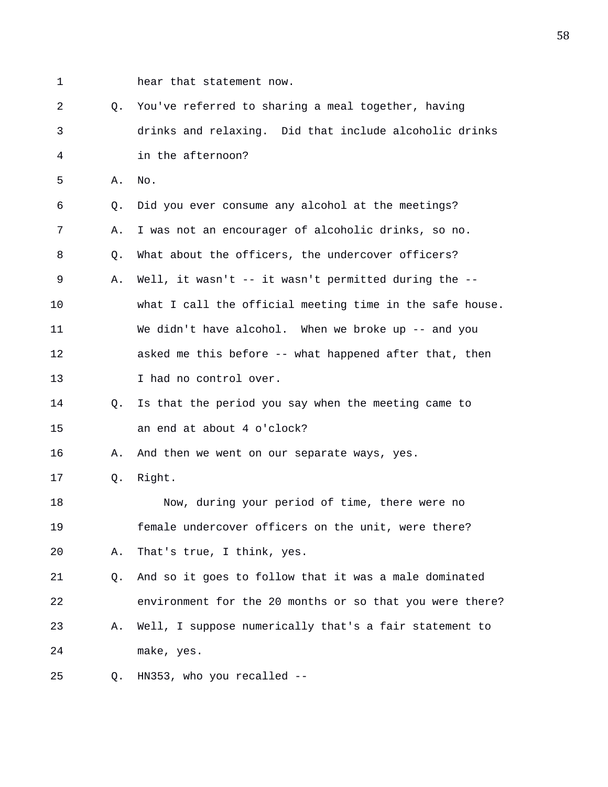- 
- 1 hear that statement now.

2 Q. You've referred to sharing a meal together, having 3 drinks and relaxing. Did that include alcoholic drinks 4 in the afternoon? 5 A. No. 6 Q. Did you ever consume any alcohol at the meetings? 7 A. I was not an encourager of alcoholic drinks, so no. 8 Q. What about the officers, the undercover officers? 9 A. Well, it wasn't -- it wasn't permitted during the -- 10 what I call the official meeting time in the safe house. 11 We didn't have alcohol. When we broke up -- and you 12 asked me this before -- what happened after that, then 13 I had no control over. 14 Q. Is that the period you say when the meeting came to 15 an end at about 4 o'clock? 16 A. And then we went on our separate ways, yes. 17 Q. Right. 18 Now, during your period of time, there were no 19 female undercover officers on the unit, were there? 20 A. That's true, I think, yes. 21 Q. And so it goes to follow that it was a male dominated 22 environment for the 20 months or so that you were there? 23 A. Well, I suppose numerically that's a fair statement to 24 make, yes. 25 Q. HN353, who you recalled --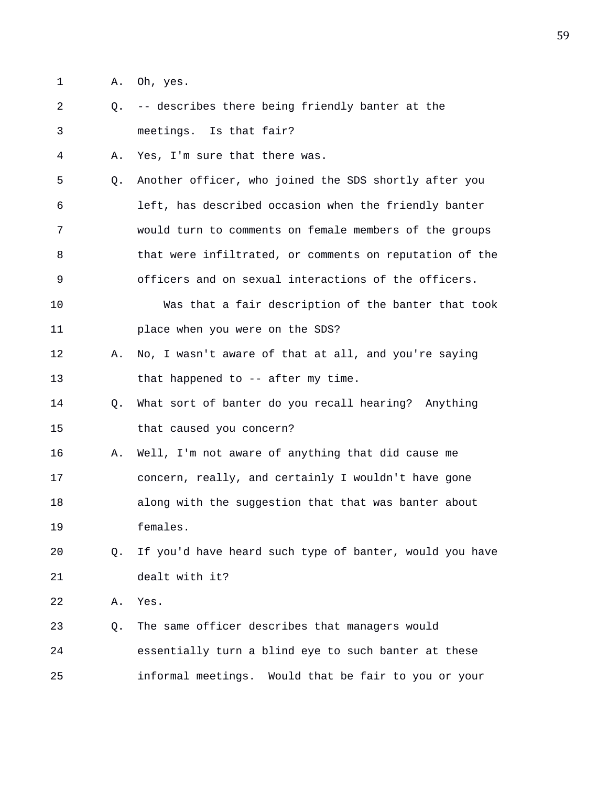- 1 A. Oh, yes.
- 2 Q. -- describes there being friendly banter at the 3 meetings. Is that fair?
- 4 A. Yes, I'm sure that there was.
- 5 Q. Another officer, who joined the SDS shortly after you 6 left, has described occasion when the friendly banter 7 would turn to comments on female members of the groups 8 that were infiltrated, or comments on reputation of the 9 officers and on sexual interactions of the officers.
- 10 Was that a fair description of the banter that took 11 place when you were on the SDS?
- 12 A. No, I wasn't aware of that at all, and you're saying 13 that happened to -- after my time.
- 14 Q. What sort of banter do you recall hearing? Anything 15 that caused you concern?
- 16 A. Well, I'm not aware of anything that did cause me 17 concern, really, and certainly I wouldn't have gone 18 along with the suggestion that that was banter about 19 females.
- 20 Q. If you'd have heard such type of banter, would you have 21 dealt with it?
- 22 A. Yes.
- 23 Q. The same officer describes that managers would 24 essentially turn a blind eye to such banter at these 25 informal meetings. Would that be fair to you or your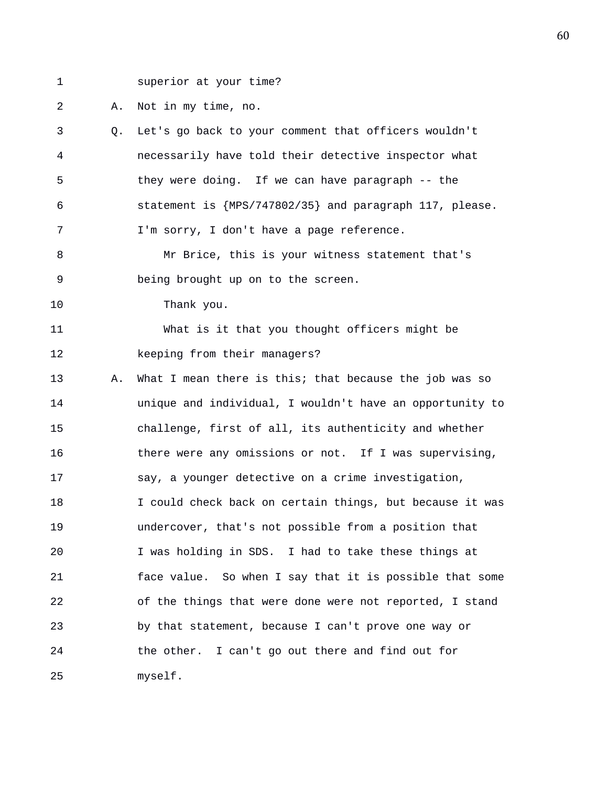1 superior at your time?

2 A. Not in my time, no.

3 Q. Let's go back to your comment that officers wouldn't 4 necessarily have told their detective inspector what 5 they were doing. If we can have paragraph -- the 6 statement is {MPS/747802/35} and paragraph 117, please. 7 I'm sorry, I don't have a page reference.

8 Mr Brice, this is your witness statement that's 9 being brought up on to the screen.

10 Thank you.

11 What is it that you thought officers might be 12 keeping from their managers?

13 A. What I mean there is this; that because the job was so 14 unique and individual, I wouldn't have an opportunity to 15 challenge, first of all, its authenticity and whether 16 there were any omissions or not. If I was supervising, 17 say, a younger detective on a crime investigation, 18 I could check back on certain things, but because it was 19 undercover, that's not possible from a position that 20 I was holding in SDS. I had to take these things at 21 face value. So when I say that it is possible that some 22 of the things that were done were not reported, I stand 23 by that statement, because I can't prove one way or 24 the other. I can't go out there and find out for 25 myself.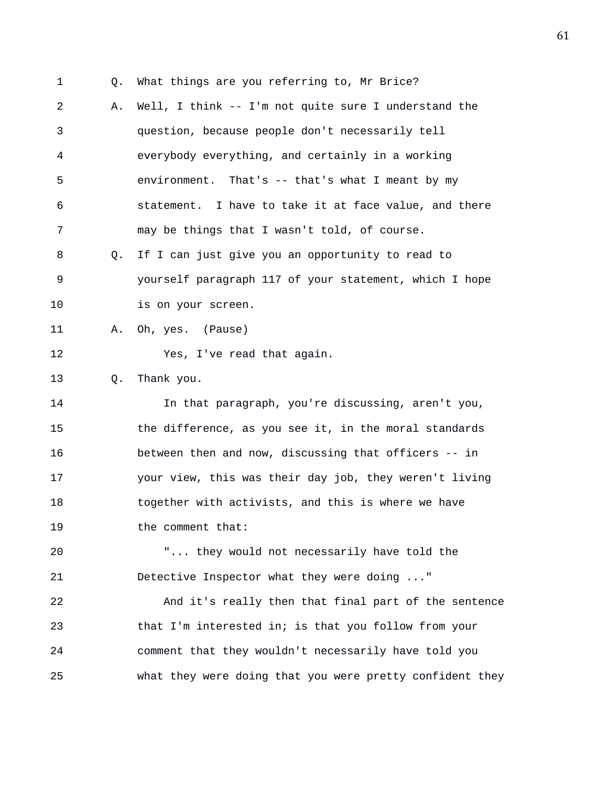2 A. Well, I think -- I'm not quite sure I understand the 3 question, because people don't necessarily tell 4 everybody everything, and certainly in a working 5 environment. That's -- that's what I meant by my 6 statement. I have to take it at face value, and there

7 may be things that I wasn't told, of course.

1 Q. What things are you referring to, Mr Brice?

8 Q. If I can just give you an opportunity to read to 9 yourself paragraph 117 of your statement, which I hope 10 is on your screen.

11 A. Oh, yes. (Pause)

12 Yes, I've read that again.

13 Q. Thank you.

14 In that paragraph, you're discussing, aren't you, 15 the difference, as you see it, in the moral standards 16 between then and now, discussing that officers -- in 17 your view, this was their day job, they weren't living 18 together with activists, and this is where we have 19 the comment that:

20 "... they would not necessarily have told the 21 Detective Inspector what they were doing ..."

22 And it's really then that final part of the sentence 23 that I'm interested in; is that you follow from your 24 comment that they wouldn't necessarily have told you 25 what they were doing that you were pretty confident they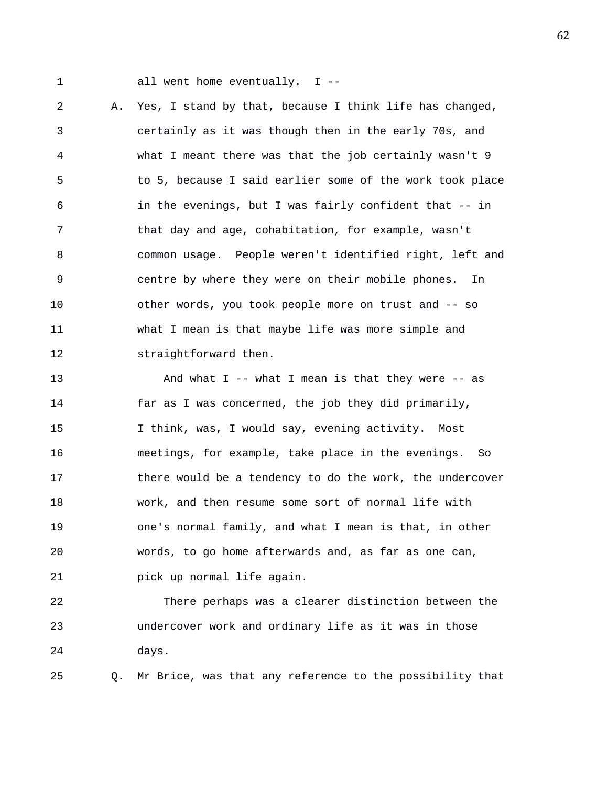1 all went home eventually. I --

2 A. Yes, I stand by that, because I think life has changed, 3 certainly as it was though then in the early 70s, and 4 what I meant there was that the job certainly wasn't 9 5 to 5, because I said earlier some of the work took place 6 in the evenings, but I was fairly confident that -- in 7 that day and age, cohabitation, for example, wasn't 8 common usage. People weren't identified right, left and 9 centre by where they were on their mobile phones. In 10 other words, you took people more on trust and -- so 11 what I mean is that maybe life was more simple and 12 straightforward then.

13 And what I -- what I mean is that they were -- as 14 far as I was concerned, the job they did primarily, 15 I think, was, I would say, evening activity. Most 16 meetings, for example, take place in the evenings. So 17 there would be a tendency to do the work, the undercover 18 work, and then resume some sort of normal life with 19 one's normal family, and what I mean is that, in other 20 words, to go home afterwards and, as far as one can, 21 pick up normal life again.

22 There perhaps was a clearer distinction between the 23 undercover work and ordinary life as it was in those 24 days.

25 Q. Mr Brice, was that any reference to the possibility that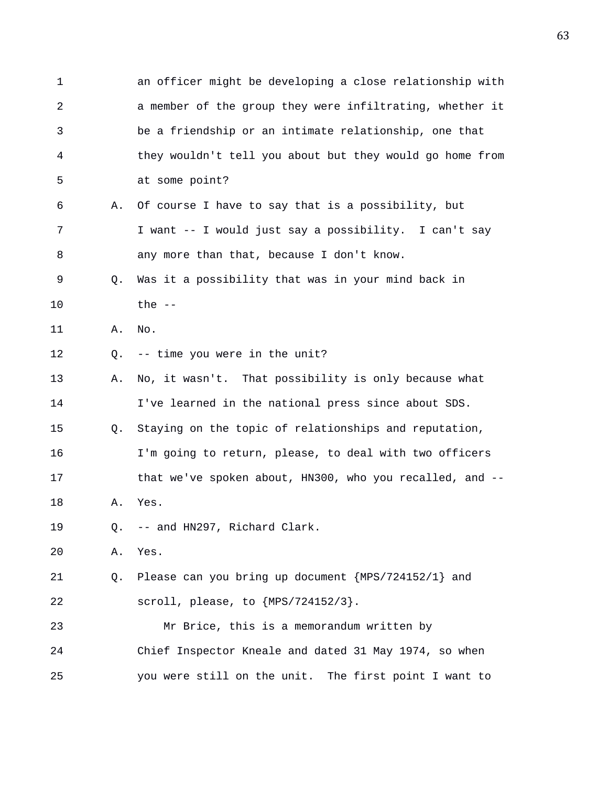1 an officer might be developing a close relationship with 2 a member of the group they were infiltrating, whether it 3 be a friendship or an intimate relationship, one that 4 they wouldn't tell you about but they would go home from 5 at some point? 6 A. Of course I have to say that is a possibility, but 7 I want -- I would just say a possibility. I can't say 8 any more than that, because I don't know. 9 Q. Was it a possibility that was in your mind back in 10 the -- 11 A. No. 12 Q. -- time you were in the unit? 13 A. No, it wasn't. That possibility is only because what 14 I've learned in the national press since about SDS. 15 Q. Staying on the topic of relationships and reputation, 16 I'm going to return, please, to deal with two officers 17 that we've spoken about, HN300, who you recalled, and -- 18 A. Yes. 19 Q. -- and HN297, Richard Clark. 20 A. Yes. 21 Q. Please can you bring up document {MPS/724152/1} and 22 scroll, please, to {MPS/724152/3}. 23 Mr Brice, this is a memorandum written by 24 Chief Inspector Kneale and dated 31 May 1974, so when 25 you were still on the unit. The first point I want to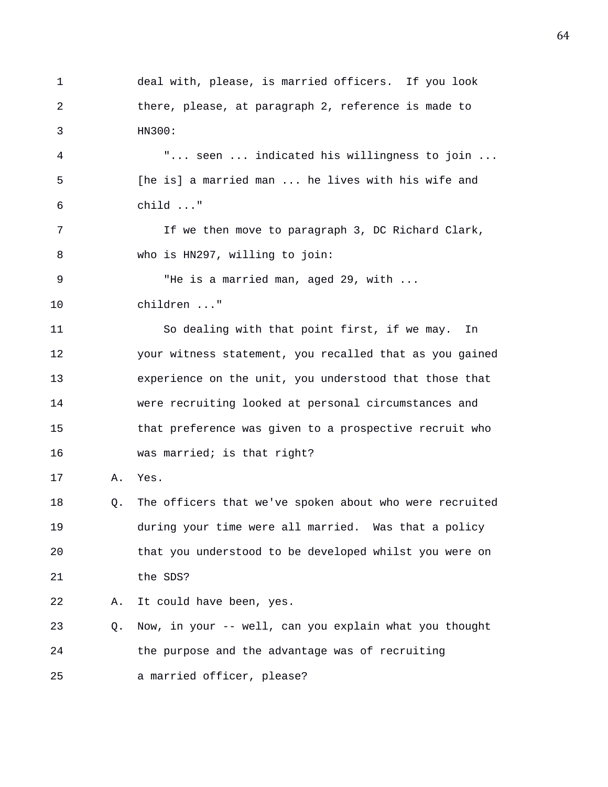1 deal with, please, is married officers. If you look 2 there, please, at paragraph 2, reference is made to 3 HN300: 4 "... seen ... indicated his willingness to join ... 5 [he is] a married man ... he lives with his wife and 6 child ..." 7 1 If we then move to paragraph 3, DC Richard Clark, 8 who is HN297, willing to join: 9 "He is a married man, aged 29, with ... 10 children ..." 11 So dealing with that point first, if we may. In 12 your witness statement, you recalled that as you gained 13 experience on the unit, you understood that those that 14 were recruiting looked at personal circumstances and 15 that preference was given to a prospective recruit who 16 was married; is that right? 17 A. Yes. 18 Q. The officers that we've spoken about who were recruited 19 during your time were all married. Was that a policy 20 that you understood to be developed whilst you were on 21 the SDS? 22 A. It could have been, yes. 23 Q. Now, in your -- well, can you explain what you thought 24 the purpose and the advantage was of recruiting 25 a married officer, please?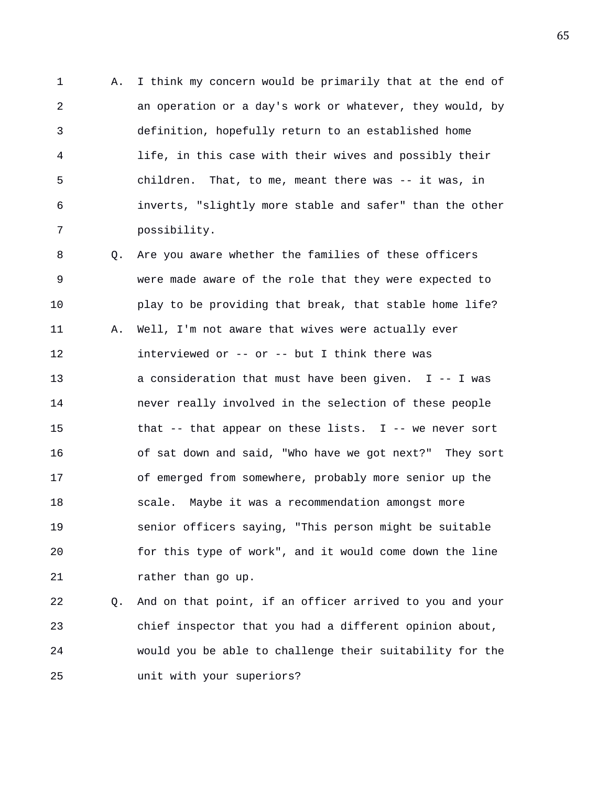1 A. I think my concern would be primarily that at the end of 2 an operation or a day's work or whatever, they would, by 3 definition, hopefully return to an established home 4 life, in this case with their wives and possibly their 5 children. That, to me, meant there was -- it was, in 6 inverts, "slightly more stable and safer" than the other 7 possibility.

8 Q. Are you aware whether the families of these officers 9 were made aware of the role that they were expected to 10 play to be providing that break, that stable home life? 11 A. Well, I'm not aware that wives were actually ever 12 interviewed or -- or -- but I think there was 13 a consideration that must have been given. I -- I was 14 never really involved in the selection of these people 15 that -- that appear on these lists. I -- we never sort 16 of sat down and said, "Who have we got next?" They sort 17 of emerged from somewhere, probably more senior up the 18 scale. Maybe it was a recommendation amongst more 19 senior officers saying, "This person might be suitable 20 for this type of work", and it would come down the line 21 rather than go up.

22 Q. And on that point, if an officer arrived to you and your 23 chief inspector that you had a different opinion about, 24 would you be able to challenge their suitability for the 25 unit with your superiors?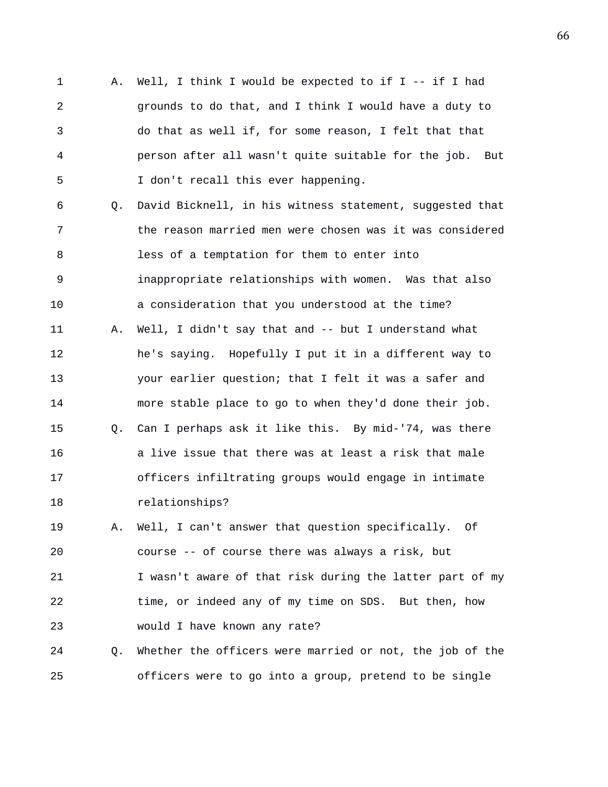1 A. Well, I think I would be expected to if I -- if I had 2 grounds to do that, and I think I would have a duty to 3 do that as well if, for some reason, I felt that that 4 person after all wasn't quite suitable for the job. But 5 I don't recall this ever happening.

6 Q. David Bicknell, in his witness statement, suggested that 7 the reason married men were chosen was it was considered 8 less of a temptation for them to enter into 9 inappropriate relationships with women. Was that also 10 a consideration that you understood at the time? 11 A. Well, I didn't say that and -- but I understand what 12 he's saying. Hopefully I put it in a different way to 13 your earlier question; that I felt it was a safer and 14 more stable place to go to when they'd done their job. 15 Q. Can I perhaps ask it like this. By mid-'74, was there 16 a live issue that there was at least a risk that male 17 officers infiltrating groups would engage in intimate 18 relationships?

19 A. Well, I can't answer that question specifically. Of 20 course -- of course there was always a risk, but 21 I wasn't aware of that risk during the latter part of my 22 time, or indeed any of my time on SDS. But then, how 23 would I have known any rate?

24 Q. Whether the officers were married or not, the job of the 25 officers were to go into a group, pretend to be single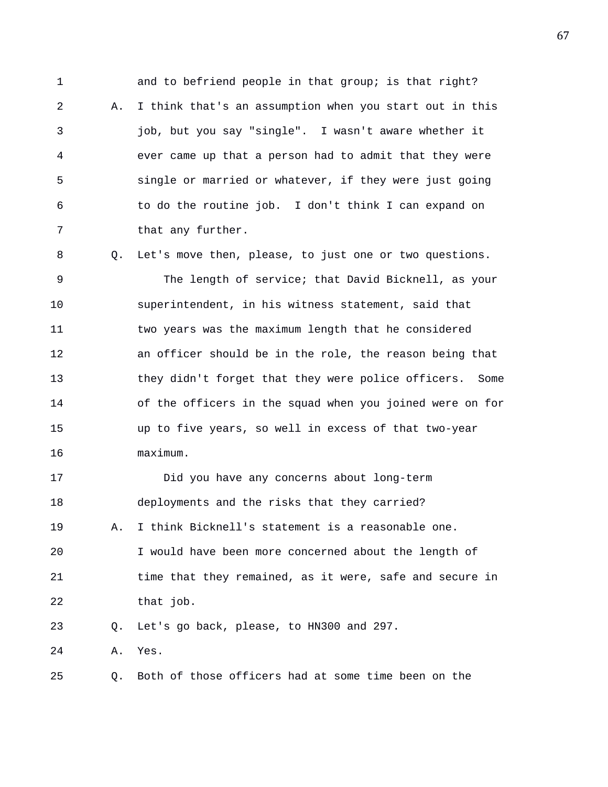1 and to befriend people in that group; is that right? 2 A. I think that's an assumption when you start out in this 3 job, but you say "single". I wasn't aware whether it 4 ever came up that a person had to admit that they were 5 single or married or whatever, if they were just going 6 to do the routine job. I don't think I can expand on 7 that any further.

8 Q. Let's move then, please, to just one or two questions. 9 The length of service; that David Bicknell, as your 10 superintendent, in his witness statement, said that 11 two years was the maximum length that he considered 12 an officer should be in the role, the reason being that 13 they didn't forget that they were police officers. Some 14 of the officers in the squad when you joined were on for 15 up to five years, so well in excess of that two-year 16 maximum.

17 Did you have any concerns about long-term 18 deployments and the risks that they carried? 19 A. I think Bicknell's statement is a reasonable one. 20 I would have been more concerned about the length of 21 time that they remained, as it were, safe and secure in 22 that job. 23 Q. Let's go back, please, to HN300 and 297.

24 A. Yes.

25 Q. Both of those officers had at some time been on the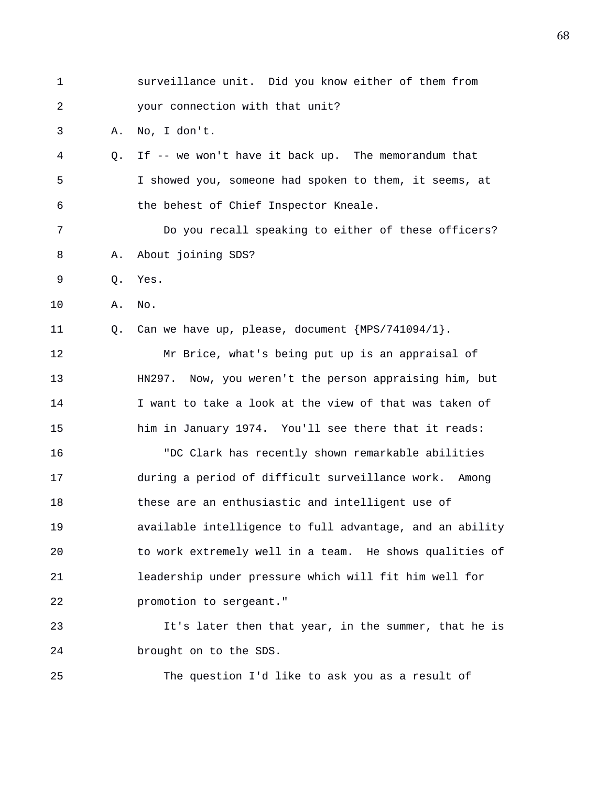| 1              |    | surveillance unit. Did you know either of them from      |
|----------------|----|----------------------------------------------------------|
| $\overline{a}$ |    | your connection with that unit?                          |
| 3              | Α. | No, I don't.                                             |
| 4              | O. | If -- we won't have it back up. The memorandum that      |
| 5              |    | I showed you, someone had spoken to them, it seems, at   |
| 6              |    | the behest of Chief Inspector Kneale.                    |
| 7              |    | Do you recall speaking to either of these officers?      |
| 8              | Α. | About joining SDS?                                       |
| 9              | Q. | Yes.                                                     |
| 10             | Α. | No.                                                      |
| 11             | Q. | Can we have up, please, document $\{MPS/741094/1\}$ .    |
| 12             |    | Mr Brice, what's being put up is an appraisal of         |
| 13             |    | HN297. Now, you weren't the person appraising him, but   |
| 14             |    | I want to take a look at the view of that was taken of   |
| 15             |    | him in January 1974. You'll see there that it reads:     |
| 16             |    | "DC Clark has recently shown remarkable abilities        |
| 17             |    | during a period of difficult surveillance work. Among    |
| 18             |    | these are an enthusiastic and intelligent use of         |
| 19             |    | available intelligence to full advantage, and an ability |
| 20             |    | to work extremely well in a team. He shows qualities of  |
| 21             |    | leadership under pressure which will fit him well for    |
| 22             |    | promotion to sergeant."                                  |
| 23             |    | It's later then that year, in the summer, that he is     |
| 24             |    | brought on to the SDS.                                   |
| 25             |    | The question I'd like to ask you as a result of          |
|                |    |                                                          |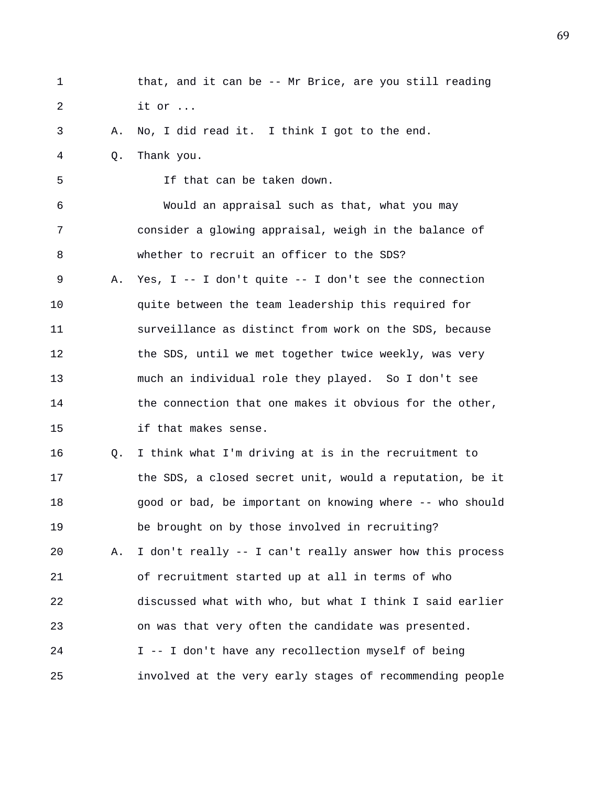1 that, and it can be -- Mr Brice, are you still reading 2 it or ... 3 A. No, I did read it. I think I got to the end. 4 Q. Thank you. 5 If that can be taken down. 6 Would an appraisal such as that, what you may 7 consider a glowing appraisal, weigh in the balance of 8 whether to recruit an officer to the SDS? 9 A. Yes, I -- I don't quite -- I don't see the connection 10 quite between the team leadership this required for 11 surveillance as distinct from work on the SDS, because 12 the SDS, until we met together twice weekly, was very 13 much an individual role they played. So I don't see 14 the connection that one makes it obvious for the other, 15 if that makes sense. 16 Q. I think what I'm driving at is in the recruitment to 17 the SDS, a closed secret unit, would a reputation, be it 18 good or bad, be important on knowing where -- who should 19 be brought on by those involved in recruiting? 20 A. I don't really -- I can't really answer how this process 21 of recruitment started up at all in terms of who 22 discussed what with who, but what I think I said earlier 23 on was that very often the candidate was presented. 24 I -- I don't have any recollection myself of being 25 involved at the very early stages of recommending people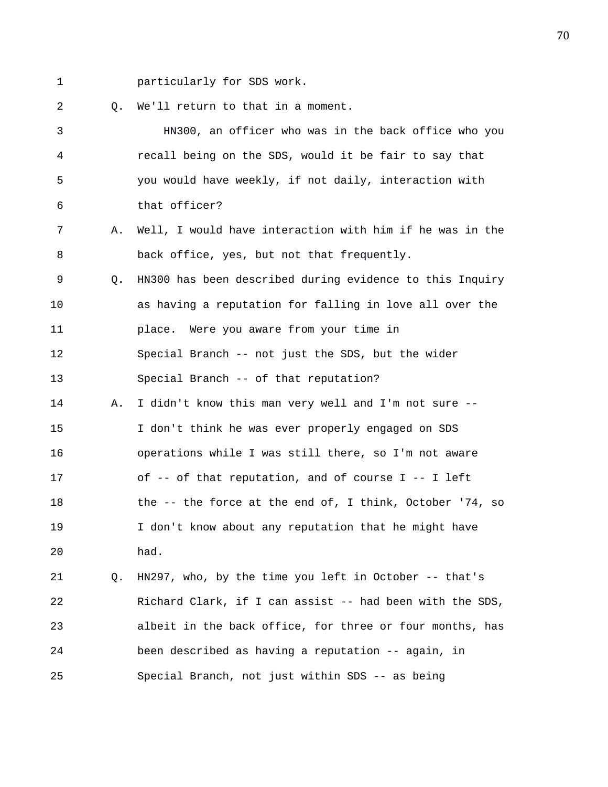1 particularly for SDS work.

2 0. We'll return to that in a moment.

3 HN300, an officer who was in the back office who you 4 recall being on the SDS, would it be fair to say that 5 you would have weekly, if not daily, interaction with 6 that officer? 7 A. Well, I would have interaction with him if he was in the 8 back office, yes, but not that frequently. 9 Q. HN300 has been described during evidence to this Inquiry 10 as having a reputation for falling in love all over the 11 place. Were you aware from your time in 12 Special Branch -- not just the SDS, but the wider 13 Special Branch -- of that reputation? 14 A. I didn't know this man very well and I'm not sure -- 15 I don't think he was ever properly engaged on SDS 16 operations while I was still there, so I'm not aware 17 of -- of that reputation, and of course I -- I left 18 the -- the force at the end of, I think, October '74, so 19 I don't know about any reputation that he might have 20 had. 21 Q. HN297, who, by the time you left in October -- that's 22 Richard Clark, if I can assist -- had been with the SDS, 23 albeit in the back office, for three or four months, has 24 been described as having a reputation -- again, in

25 Special Branch, not just within SDS -- as being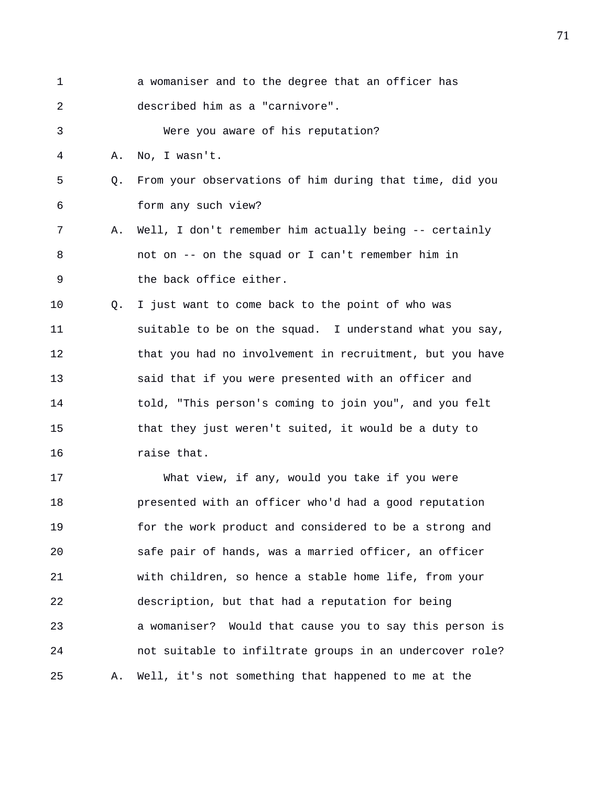| $\mathbf 1$ |    | a womaniser and to the degree that an officer has          |
|-------------|----|------------------------------------------------------------|
| 2           |    | described him as a "carnivore".                            |
| 3           |    | Were you aware of his reputation?                          |
| 4           | Α. | No, I wasn't.                                              |
| 5           | Q. | From your observations of him during that time, did you    |
| 6           |    | form any such view?                                        |
| 7           | Α. | Well, I don't remember him actually being -- certainly     |
| 8           |    | not on -- on the squad or I can't remember him in          |
| 9           |    | the back office either.                                    |
| 10          | О. | I just want to come back to the point of who was           |
| 11          |    | suitable to be on the squad. I understand what you say,    |
| 12          |    | that you had no involvement in recruitment, but you have   |
| 13          |    | said that if you were presented with an officer and        |
| 14          |    | told, "This person's coming to join you", and you felt     |
| 15          |    | that they just weren't suited, it would be a duty to       |
| 16          |    | raise that.                                                |
| 17          |    | What view, if any, would you take if you were              |
| 18          |    | presented with an officer who'd had a good reputation      |
| 19          |    | for the work product and considered to be a strong and     |
| 20          |    | safe pair of hands, was a married officer, an officer      |
| 21          |    | with children, so hence a stable home life, from your      |
| 22          |    | description, but that had a reputation for being           |
| 23          |    | Would that cause you to say this person is<br>a womaniser? |
| 24          |    | not suitable to infiltrate groups in an undercover role?   |
| 25          | Α. | Well, it's not something that happened to me at the        |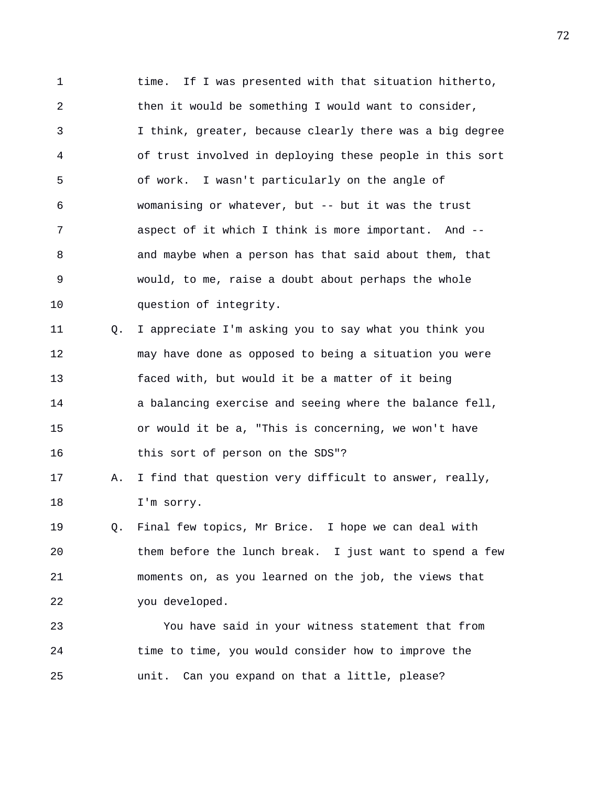1 time. If I was presented with that situation hitherto, 2 then it would be something I would want to consider, 3 I think, greater, because clearly there was a big degree 4 of trust involved in deploying these people in this sort 5 of work. I wasn't particularly on the angle of 6 womanising or whatever, but -- but it was the trust 7 aspect of it which I think is more important. And -- 8 and maybe when a person has that said about them, that 9 would, to me, raise a doubt about perhaps the whole 10 question of integrity.

11 Q. I appreciate I'm asking you to say what you think you 12 may have done as opposed to being a situation you were 13 faced with, but would it be a matter of it being 14 a balancing exercise and seeing where the balance fell, 15 or would it be a, "This is concerning, we won't have 16 this sort of person on the SDS"?

17 A. I find that question very difficult to answer, really, 18 I'm sorry.

19 Q. Final few topics, Mr Brice. I hope we can deal with 20 them before the lunch break. I just want to spend a few 21 moments on, as you learned on the job, the views that 22 you developed.

23 You have said in your witness statement that from 24 time to time, you would consider how to improve the 25 unit. Can you expand on that a little, please?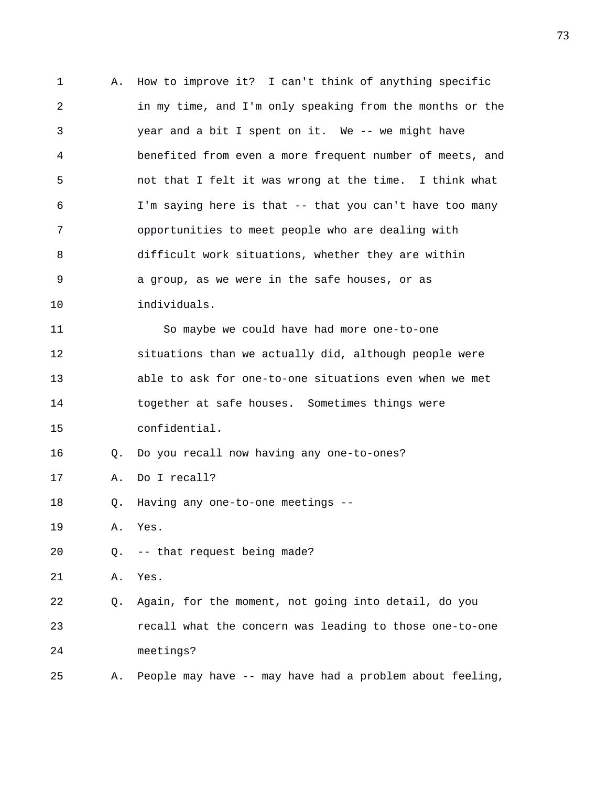1 A. How to improve it? I can't think of anything specific 2 in my time, and I'm only speaking from the months or the 3 year and a bit I spent on it. We -- we might have 4 benefited from even a more frequent number of meets, and 5 not that I felt it was wrong at the time. I think what 6 I'm saying here is that -- that you can't have too many 7 opportunities to meet people who are dealing with 8 difficult work situations, whether they are within 9 a group, as we were in the safe houses, or as 10 individuals. 11 So maybe we could have had more one-to-one 12 situations than we actually did, although people were 13 able to ask for one-to-one situations even when we met 14 together at safe houses. Sometimes things were 15 confidential. 16 Q. Do you recall now having any one-to-ones? 17 A. Do I recall? 18 Q. Having any one-to-one meetings -- 19 A. Yes. 20 Q. -- that request being made? 21 A. Yes. 22 Q. Again, for the moment, not going into detail, do you 23 recall what the concern was leading to those one-to-one 24 meetings? 25 A. People may have -- may have had a problem about feeling,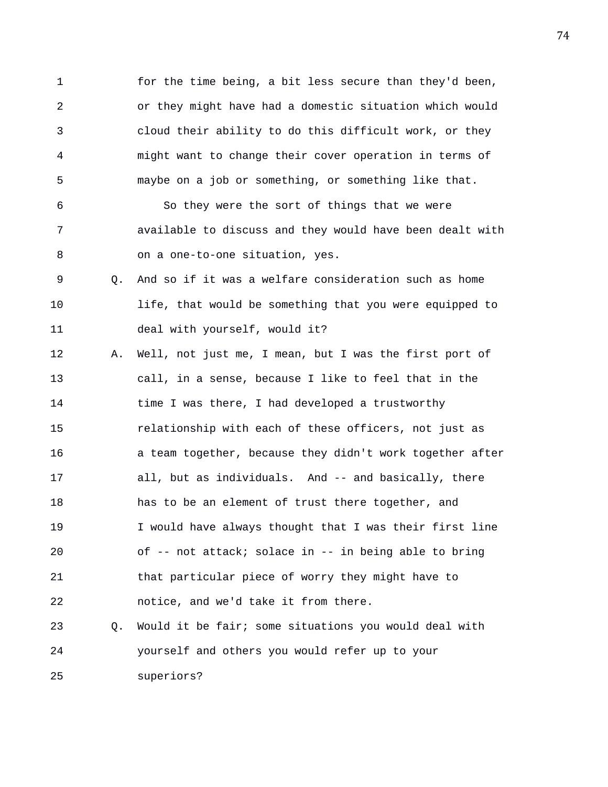1 for the time being, a bit less secure than they'd been, 2 or they might have had a domestic situation which would 3 cloud their ability to do this difficult work, or they 4 might want to change their cover operation in terms of 5 maybe on a job or something, or something like that.

6 So they were the sort of things that we were 7 available to discuss and they would have been dealt with 8 on a one-to-one situation, yes.

- 9 Q. And so if it was a welfare consideration such as home 10 life, that would be something that you were equipped to 11 deal with yourself, would it?
- 12 A. Well, not just me, I mean, but I was the first port of 13 call, in a sense, because I like to feel that in the 14 time I was there, I had developed a trustworthy 15 relationship with each of these officers, not just as 16 a team together, because they didn't work together after 17 all, but as individuals. And -- and basically, there 18 has to be an element of trust there together, and 19 I would have always thought that I was their first line 20 of -- not attack; solace in -- in being able to bring 21 that particular piece of worry they might have to 22 notice, and we'd take it from there.
- 23 Q. Would it be fair; some situations you would deal with 24 yourself and others you would refer up to your 25 superiors?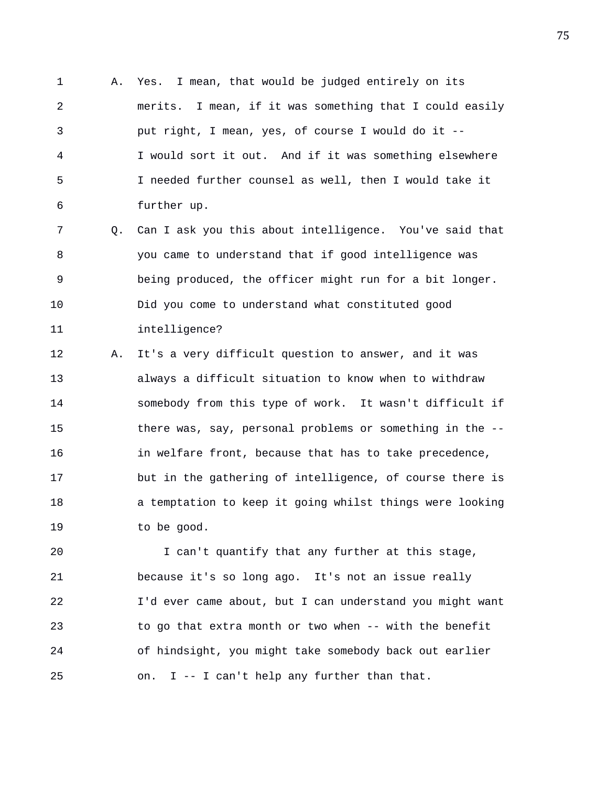1 A. Yes. I mean, that would be judged entirely on its 2 merits. I mean, if it was something that I could easily 3 put right, I mean, yes, of course I would do it -- 4 I would sort it out. And if it was something elsewhere 5 I needed further counsel as well, then I would take it 6 further up.

7 Q. Can I ask you this about intelligence. You've said that 8 you came to understand that if good intelligence was 9 being produced, the officer might run for a bit longer. 10 Did you come to understand what constituted good 11 intelligence?

12 A. It's a very difficult question to answer, and it was 13 always a difficult situation to know when to withdraw 14 somebody from this type of work. It wasn't difficult if 15 there was, say, personal problems or something in the -- 16 in welfare front, because that has to take precedence, 17 but in the gathering of intelligence, of course there is 18 a temptation to keep it going whilst things were looking 19 to be good.

20 I can't quantify that any further at this stage, 21 because it's so long ago. It's not an issue really 22 I'd ever came about, but I can understand you might want 23 to go that extra month or two when -- with the benefit 24 of hindsight, you might take somebody back out earlier 25 on. I -- I can't help any further than that.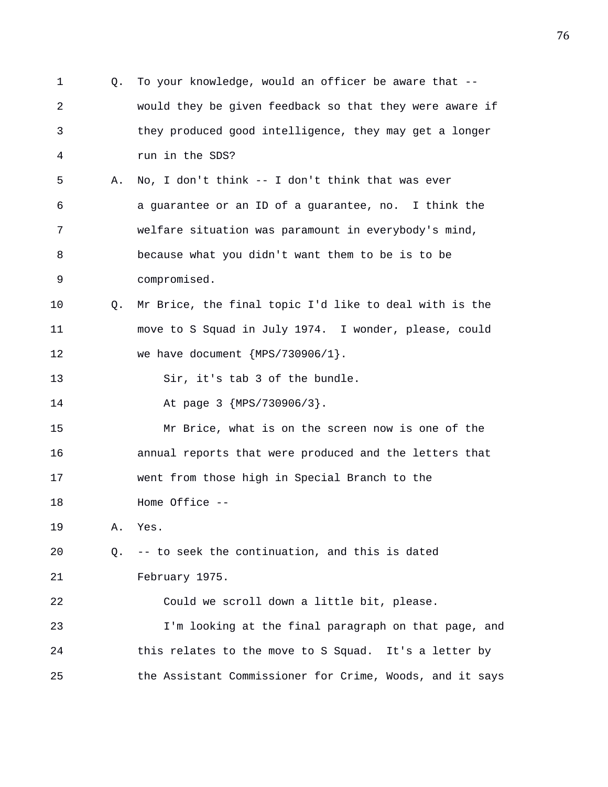1 Q. To your knowledge, would an officer be aware that -- 2 would they be given feedback so that they were aware if 3 they produced good intelligence, they may get a longer 4 run in the SDS? 5 A. No, I don't think -- I don't think that was ever 6 a guarantee or an ID of a guarantee, no. I think the 7 welfare situation was paramount in everybody's mind, 8 because what you didn't want them to be is to be 9 compromised. 10 Q. Mr Brice, the final topic I'd like to deal with is the 11 move to S Squad in July 1974. I wonder, please, could 12 we have document {MPS/730906/1}. 13 Sir, it's tab 3 of the bundle. 14 At page 3 {MPS/730906/3}. 15 Mr Brice, what is on the screen now is one of the 16 annual reports that were produced and the letters that 17 went from those high in Special Branch to the 18 Home Office -- 19 A. Yes. 20 Q. -- to seek the continuation, and this is dated 21 February 1975. 22 Could we scroll down a little bit, please. 23 I'm looking at the final paragraph on that page, and 24 this relates to the move to S Squad. It's a letter by 25 the Assistant Commissioner for Crime, Woods, and it says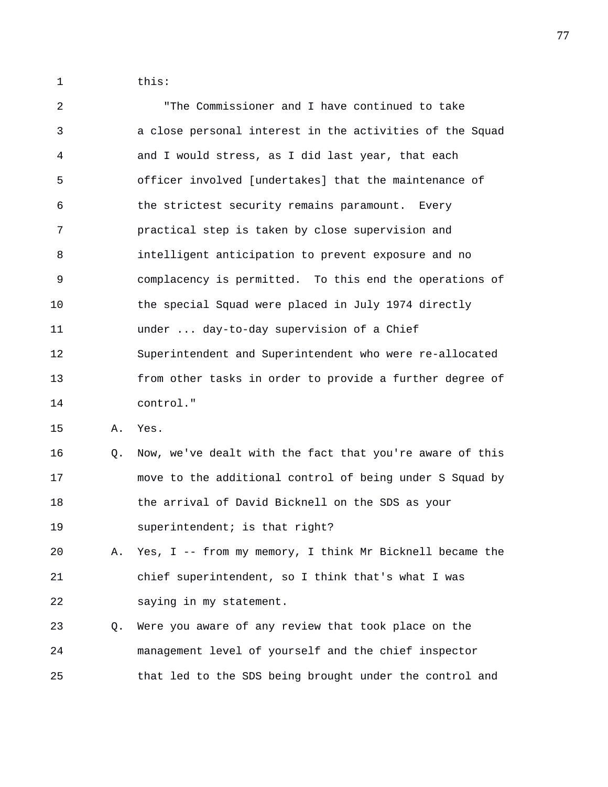1 this:

2 "The Commissioner and I have continued to take 3 a close personal interest in the activities of the Squad 4 and I would stress, as I did last year, that each 5 officer involved [undertakes] that the maintenance of 6 the strictest security remains paramount. Every 7 practical step is taken by close supervision and 8 intelligent anticipation to prevent exposure and no 9 complacency is permitted. To this end the operations of 10 the special Squad were placed in July 1974 directly 11 under ... day-to-day supervision of a Chief 12 Superintendent and Superintendent who were re-allocated 13 from other tasks in order to provide a further degree of 14 control."

15 A. Yes.

16 Q. Now, we've dealt with the fact that you're aware of this 17 move to the additional control of being under S Squad by 18 the arrival of David Bicknell on the SDS as your 19 superintendent; is that right?

20 A. Yes, I -- from my memory, I think Mr Bicknell became the 21 chief superintendent, so I think that's what I was 22 saying in my statement.

23 Q. Were you aware of any review that took place on the 24 management level of yourself and the chief inspector 25 that led to the SDS being brought under the control and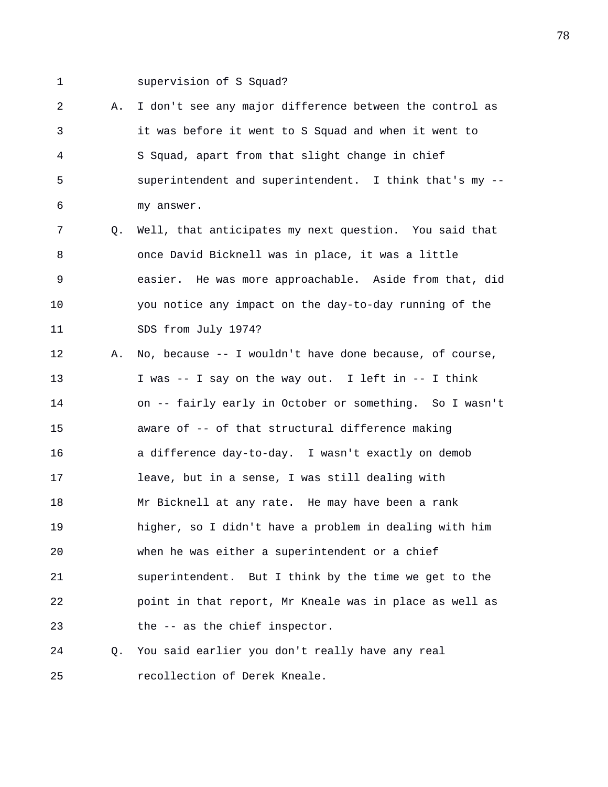1 supervision of S Squad?

2 A. I don't see any major difference between the control as 3 it was before it went to S Squad and when it went to 4 S Squad, apart from that slight change in chief 5 superintendent and superintendent. I think that's my -- 6 my answer.

7 Q. Well, that anticipates my next question. You said that 8 once David Bicknell was in place, it was a little 9 easier. He was more approachable. Aside from that, did 10 you notice any impact on the day-to-day running of the 11 SDS from July 1974?

12 A. No, because -- I wouldn't have done because, of course, 13 I was -- I say on the way out. I left in -- I think 14 on -- fairly early in October or something. So I wasn't 15 aware of -- of that structural difference making 16 a difference day-to-day. I wasn't exactly on demob 17 leave, but in a sense, I was still dealing with 18 Mr Bicknell at any rate. He may have been a rank 19 higher, so I didn't have a problem in dealing with him 20 when he was either a superintendent or a chief 21 superintendent. But I think by the time we get to the 22 point in that report, Mr Kneale was in place as well as 23 the -- as the chief inspector.

24 Q. You said earlier you don't really have any real 25 recollection of Derek Kneale.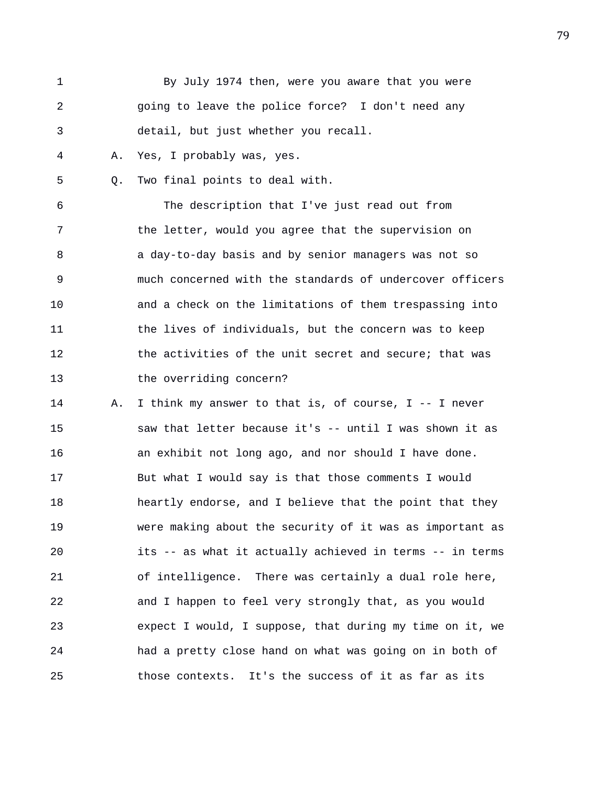| 1  |    | By July 1974 then, were you aware that you were          |
|----|----|----------------------------------------------------------|
| 2  |    | going to leave the police force? I don't need any        |
| 3  |    | detail, but just whether you recall.                     |
| 4  | Α. | Yes, I probably was, yes.                                |
| 5  | Q. | Two final points to deal with.                           |
| 6  |    | The description that I've just read out from             |
| 7  |    | the letter, would you agree that the supervision on      |
| 8  |    | a day-to-day basis and by senior managers was not so     |
| 9  |    | much concerned with the standards of undercover officers |
| 10 |    | and a check on the limitations of them trespassing into  |
| 11 |    | the lives of individuals, but the concern was to keep    |
| 12 |    | the activities of the unit secret and secure; that was   |
| 13 |    | the overriding concern?                                  |
| 14 | Α. | I think my answer to that is, of course, I -- I never    |
| 15 |    | saw that letter because it's -- until I was shown it as  |
| 16 |    | an exhibit not long ago, and nor should I have done.     |
| 17 |    | But what I would say is that those comments I would      |
| 18 |    | heartly endorse, and I believe that the point that they  |
| 19 |    | were making about the security of it was as important as |
| 20 |    | its -- as what it actually achieved in terms -- in terms |
| 21 |    | of intelligence. There was certainly a dual role here,   |
| 22 |    | and I happen to feel very strongly that, as you would    |
| 23 |    | expect I would, I suppose, that during my time on it, we |
| 24 |    | had a pretty close hand on what was going on in both of  |

25 those contexts. It's the success of it as far as its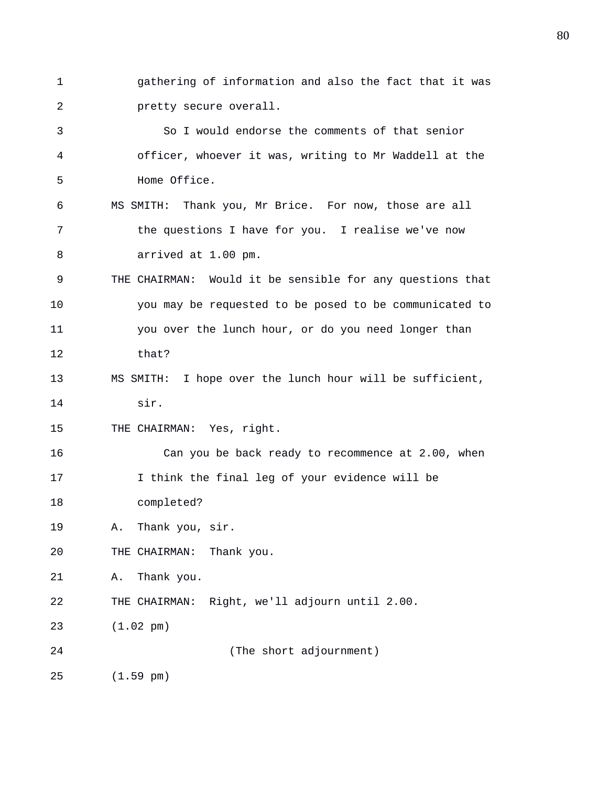1 gathering of information and also the fact that it was 2 pretty secure overall.

3 So I would endorse the comments of that senior 4 officer, whoever it was, writing to Mr Waddell at the 5 Home Office. 6 MS SMITH: Thank you, Mr Brice. For now, those are all 7 the questions I have for you. I realise we've now 8 arrived at 1.00 pm. 9 THE CHAIRMAN: Would it be sensible for any questions that 10 you may be requested to be posed to be communicated to 11 you over the lunch hour, or do you need longer than 12 that? 13 MS SMITH: I hope over the lunch hour will be sufficient, 14 sir. 15 THE CHAIRMAN: Yes, right. 16 Can you be back ready to recommence at 2.00, when 17 I think the final leg of your evidence will be 18 completed? 19 A. Thank you, sir. 20 THE CHAIRMAN: Thank you. 21 A. Thank you. 22 THE CHAIRMAN: Right, we'll adjourn until 2.00. 23 (1.02 pm) 24 (The short adjournment) 25 (1.59 pm)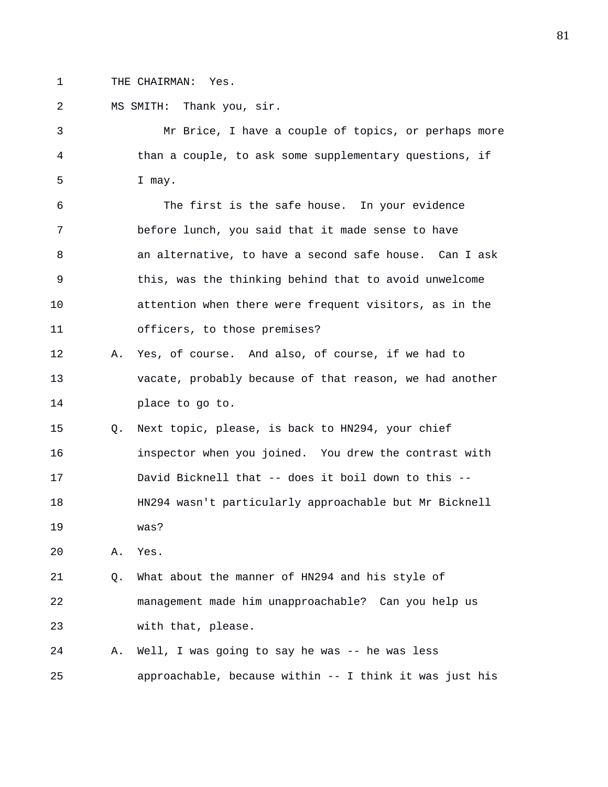1 THE CHAIRMAN: Yes.

2 MS SMITH: Thank you, sir. 3 Mr Brice, I have a couple of topics, or perhaps more 4 than a couple, to ask some supplementary questions, if 5 I may. 6 The first is the safe house. In your evidence 7 before lunch, you said that it made sense to have 8 an alternative, to have a second safe house. Can I ask 9 this, was the thinking behind that to avoid unwelcome 10 attention when there were frequent visitors, as in the 11 officers, to those premises? 12 A. Yes, of course. And also, of course, if we had to 13 vacate, probably because of that reason, we had another 14 place to go to. 15 Q. Next topic, please, is back to HN294, your chief 16 inspector when you joined. You drew the contrast with 17 David Bicknell that -- does it boil down to this -- 18 HN294 wasn't particularly approachable but Mr Bicknell 19 was? 20 A. Yes. 21 Q. What about the manner of HN294 and his style of 22 management made him unapproachable? Can you help us 23 with that, please. 24 A. Well, I was going to say he was -- he was less 25 approachable, because within -- I think it was just his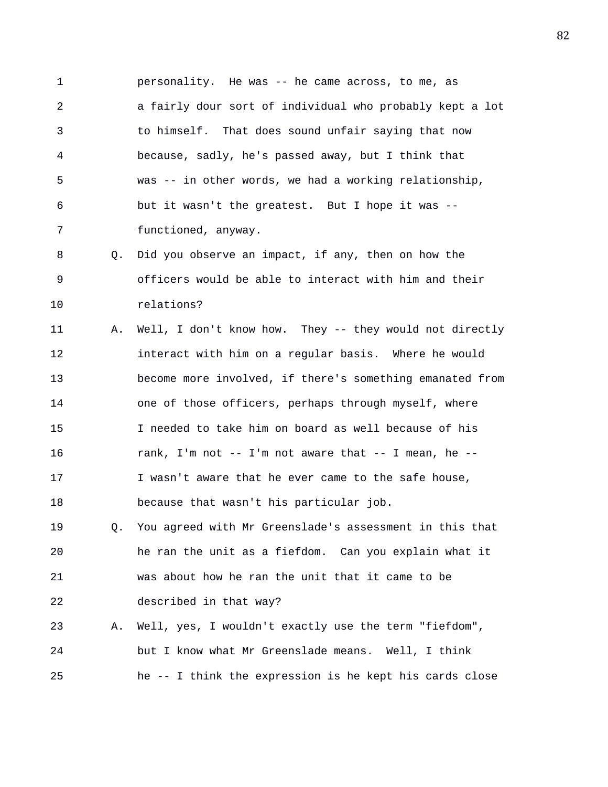1 personality. He was -- he came across, to me, as 2 a fairly dour sort of individual who probably kept a lot 3 to himself. That does sound unfair saying that now 4 because, sadly, he's passed away, but I think that 5 was -- in other words, we had a working relationship, 6 but it wasn't the greatest. But I hope it was -- 7 functioned, anyway.

8 Q. Did you observe an impact, if any, then on how the 9 officers would be able to interact with him and their 10 relations?

11 A. Well, I don't know how. They -- they would not directly 12 interact with him on a regular basis. Where he would 13 become more involved, if there's something emanated from 14 one of those officers, perhaps through myself, where 15 I needed to take him on board as well because of his 16 rank, I'm not -- I'm not aware that -- I mean, he --17 I wasn't aware that he ever came to the safe house, 18 because that wasn't his particular job.

19 Q. You agreed with Mr Greenslade's assessment in this that 20 he ran the unit as a fiefdom. Can you explain what it 21 was about how he ran the unit that it came to be 22 described in that way?

23 A. Well, yes, I wouldn't exactly use the term "fiefdom", 24 but I know what Mr Greenslade means. Well, I think 25 he -- I think the expression is he kept his cards close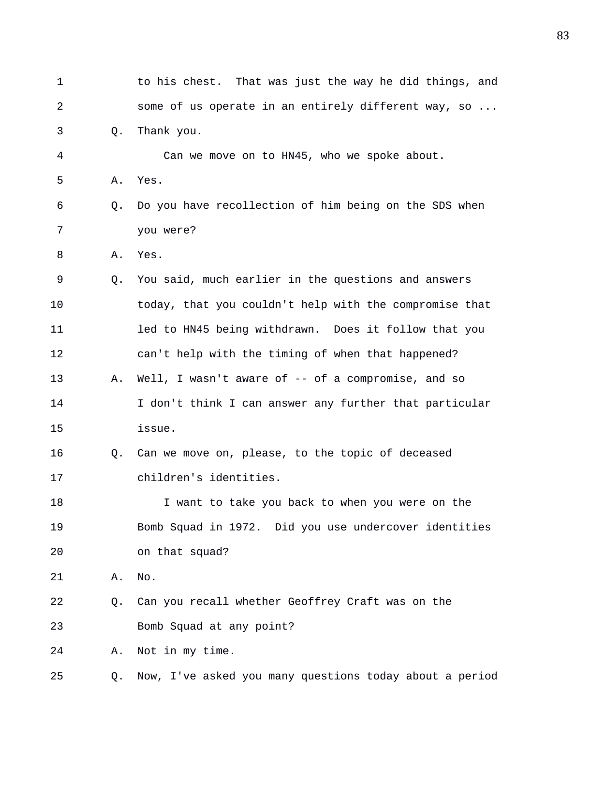| 1  |    | to his chest. That was just the way he did things, and  |
|----|----|---------------------------------------------------------|
| 2  |    | some of us operate in an entirely different way, so     |
| 3  | Q. | Thank you.                                              |
| 4  |    | Can we move on to HN45, who we spoke about.             |
| 5  | Α. | Yes.                                                    |
| б  | Q. | Do you have recollection of him being on the SDS when   |
| 7  |    | you were?                                               |
| 8  | Α. | Yes.                                                    |
| 9  | Q. | You said, much earlier in the questions and answers     |
| 10 |    | today, that you couldn't help with the compromise that  |
| 11 |    | led to HN45 being withdrawn. Does it follow that you    |
| 12 |    | can't help with the timing of when that happened?       |
| 13 | Α. | Well, I wasn't aware of -- of a compromise, and so      |
| 14 |    | I don't think I can answer any further that particular  |
| 15 |    | issue.                                                  |
| 16 | Q. | Can we move on, please, to the topic of deceased        |
| 17 |    | children's identities.                                  |
| 18 |    | I want to take you back to when you were on the         |
| 19 |    | Bomb Squad in 1972. Did you use undercover identities   |
| 20 |    | on that squad?                                          |
| 21 | Α. | No.                                                     |
| 22 | Q. | Can you recall whether Geoffrey Craft was on the        |
| 23 |    | Bomb Squad at any point?                                |
| 24 | Α. | Not in my time.                                         |
| 25 | Q. | Now, I've asked you many questions today about a period |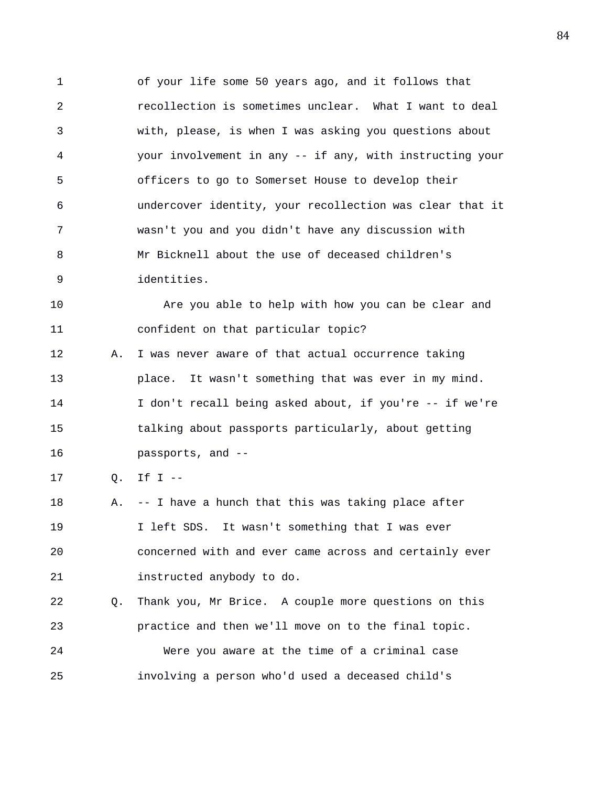1 of your life some 50 years ago, and it follows that 2 recollection is sometimes unclear. What I want to deal 3 with, please, is when I was asking you questions about 4 your involvement in any -- if any, with instructing your 5 officers to go to Somerset House to develop their 6 undercover identity, your recollection was clear that it 7 wasn't you and you didn't have any discussion with 8 Mr Bicknell about the use of deceased children's 9 identities.

10 Are you able to help with how you can be clear and 11 confident on that particular topic?

12 A. I was never aware of that actual occurrence taking 13 place. It wasn't something that was ever in my mind. 14 I don't recall being asked about, if you're -- if we're 15 talking about passports particularly, about getting 16 passports, and --

17 Q. If I --

18 A. -- I have a hunch that this was taking place after 19 I left SDS. It wasn't something that I was ever 20 concerned with and ever came across and certainly ever 21 instructed anybody to do.

22 Q. Thank you, Mr Brice. A couple more questions on this 23 practice and then we'll move on to the final topic. 24 Were you aware at the time of a criminal case 25 involving a person who'd used a deceased child's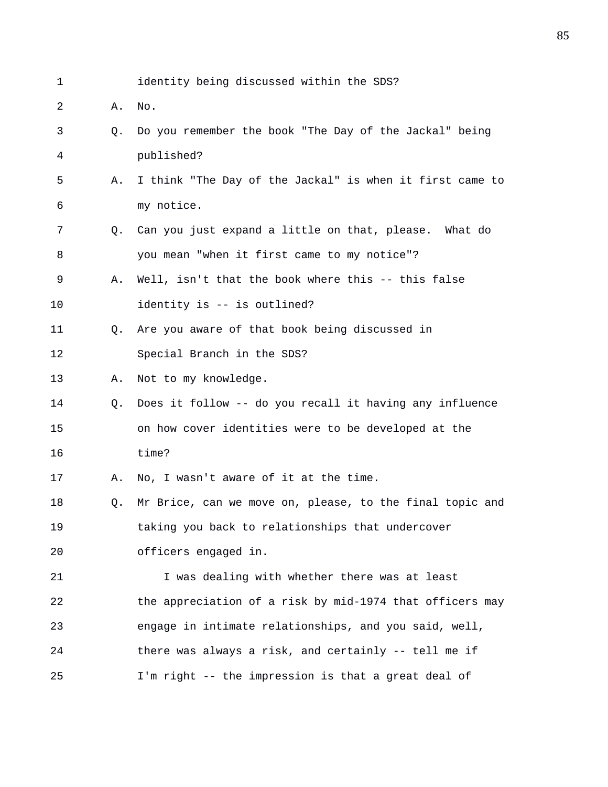- 1 identity being discussed within the SDS?
- 2 A. No.
- 3 Q. Do you remember the book "The Day of the Jackal" being 4 published?
- 5 A. I think "The Day of the Jackal" is when it first came to 6 my notice.
- 7 Q. Can you just expand a little on that, please. What do 8 you mean "when it first came to my notice"?
- 9 A. Well, isn't that the book where this -- this false 10 identity is -- is outlined?
- 11 Q. Are you aware of that book being discussed in 12 Special Branch in the SDS?
- 13 A. Not to my knowledge.
- 14 Q. Does it follow -- do you recall it having any influence 15 on how cover identities were to be developed at the 16 time?

17 A. No, I wasn't aware of it at the time.

18 Q. Mr Brice, can we move on, please, to the final topic and 19 taking you back to relationships that undercover 20 officers engaged in.

21 I was dealing with whether there was at least 22 the appreciation of a risk by mid-1974 that officers may 23 engage in intimate relationships, and you said, well, 24 there was always a risk, and certainly -- tell me if 25 I'm right -- the impression is that a great deal of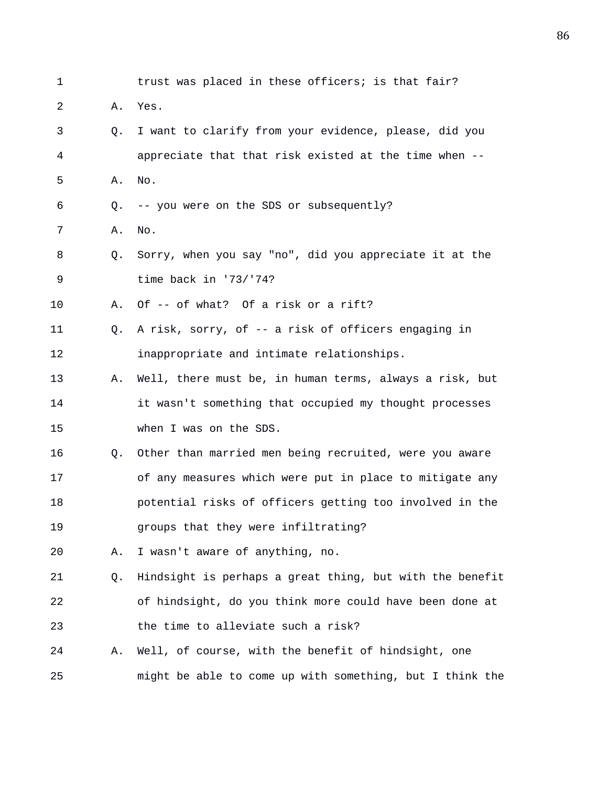1 trust was placed in these officers; is that fair? 2 A. Yes. 3 Q. I want to clarify from your evidence, please, did you 4 appreciate that that risk existed at the time when -- 5 A. No. 6 Q. -- you were on the SDS or subsequently? 7 A. No. 8 Q. Sorry, when you say "no", did you appreciate it at the 9 time back in '73/'74? 10 A. Of -- of what? Of a risk or a rift? 11 Q. A risk, sorry, of -- a risk of officers engaging in 12 inappropriate and intimate relationships. 13 A. Well, there must be, in human terms, always a risk, but 14 it wasn't something that occupied my thought processes 15 when I was on the SDS. 16 Q. Other than married men being recruited, were you aware 17 of any measures which were put in place to mitigate any 18 potential risks of officers getting too involved in the 19 groups that they were infiltrating? 20 A. I wasn't aware of anything, no. 21 Q. Hindsight is perhaps a great thing, but with the benefit 22 of hindsight, do you think more could have been done at 23 the time to alleviate such a risk? 24 A. Well, of course, with the benefit of hindsight, one 25 might be able to come up with something, but I think the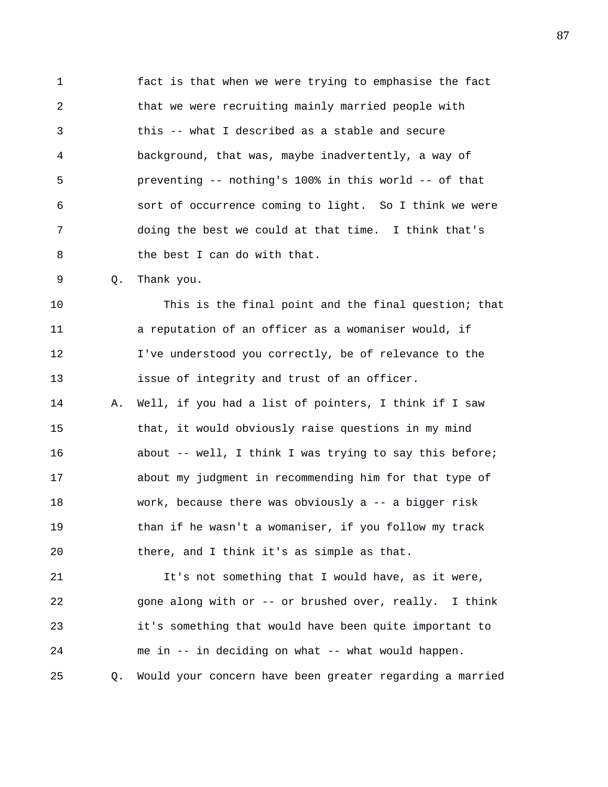1 fact is that when we were trying to emphasise the fact 2 that we were recruiting mainly married people with 3 this -- what I described as a stable and secure 4 background, that was, maybe inadvertently, a way of 5 preventing -- nothing's 100% in this world -- of that 6 sort of occurrence coming to light. So I think we were 7 doing the best we could at that time. I think that's 8 the best I can do with that.

9 Q. Thank you.

10 This is the final point and the final question; that 11 a reputation of an officer as a womaniser would, if 12 I've understood you correctly, be of relevance to the 13 issue of integrity and trust of an officer.

14 A. Well, if you had a list of pointers, I think if I saw 15 that, it would obviously raise questions in my mind 16 **b** about -- well, I think I was trying to say this before; 17 about my judgment in recommending him for that type of 18 work, because there was obviously a -- a bigger risk 19 than if he wasn't a womaniser, if you follow my track 20 there, and I think it's as simple as that.

21 It's not something that I would have, as it were, 22 gone along with or -- or brushed over, really. I think 23 it's something that would have been quite important to 24 me in -- in deciding on what -- what would happen. 25 Q. Would your concern have been greater regarding a married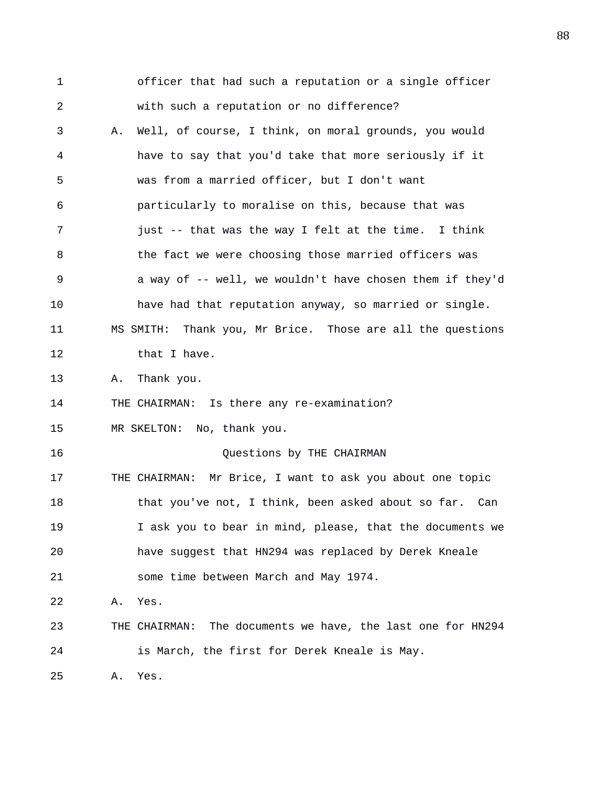1 officer that had such a reputation or a single officer 2 with such a reputation or no difference? 3 A. Well, of course, I think, on moral grounds, you would 4 have to say that you'd take that more seriously if it 5 was from a married officer, but I don't want 6 particularly to moralise on this, because that was 7 just -- that was the way I felt at the time. I think 8 **the fact we were choosing those married officers was** 9 a way of -- well, we wouldn't have chosen them if they'd 10 have had that reputation anyway, so married or single. 11 MS SMITH: Thank you, Mr Brice. Those are all the questions 12 that I have. 13 A. Thank you. 14 THE CHAIRMAN: Is there any re-examination? 15 MR SKELTON: No, thank you. 16 Questions by THE CHAIRMAN 17 THE CHAIRMAN: Mr Brice, I want to ask you about one topic 18 that you've not, I think, been asked about so far. Can 19 I ask you to bear in mind, please, that the documents we 20 have suggest that HN294 was replaced by Derek Kneale 21 some time between March and May 1974. 22 A. Yes. 23 THE CHAIRMAN: The documents we have, the last one for HN294 24 is March, the first for Derek Kneale is May. 25 A. Yes.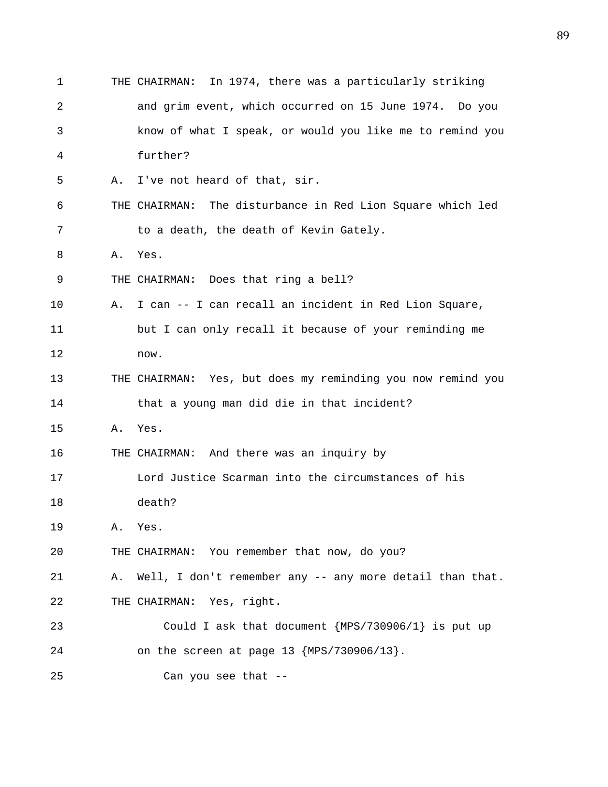1 THE CHAIRMAN: In 1974, there was a particularly striking 2 and grim event, which occurred on 15 June 1974. Do you 3 know of what I speak, or would you like me to remind you 4 further? 5 A. I've not heard of that, sir. 6 THE CHAIRMAN: The disturbance in Red Lion Square which led 7 to a death, the death of Kevin Gately. 8 A. Yes. 9 THE CHAIRMAN: Does that ring a bell? 10 A. I can -- I can recall an incident in Red Lion Square, 11 but I can only recall it because of your reminding me 12 now. 13 THE CHAIRMAN: Yes, but does my reminding you now remind you 14 that a young man did die in that incident? 15 A. Yes. 16 THE CHAIRMAN: And there was an inquiry by 17 Lord Justice Scarman into the circumstances of his 18 death? 19 A. Yes. 20 THE CHAIRMAN: You remember that now, do you? 21 A. Well, I don't remember any -- any more detail than that. 22 THE CHAIRMAN: Yes, right. 23 Could I ask that document {MPS/730906/1} is put up 24 on the screen at page 13 {MPS/730906/13}. 25 Can you see that --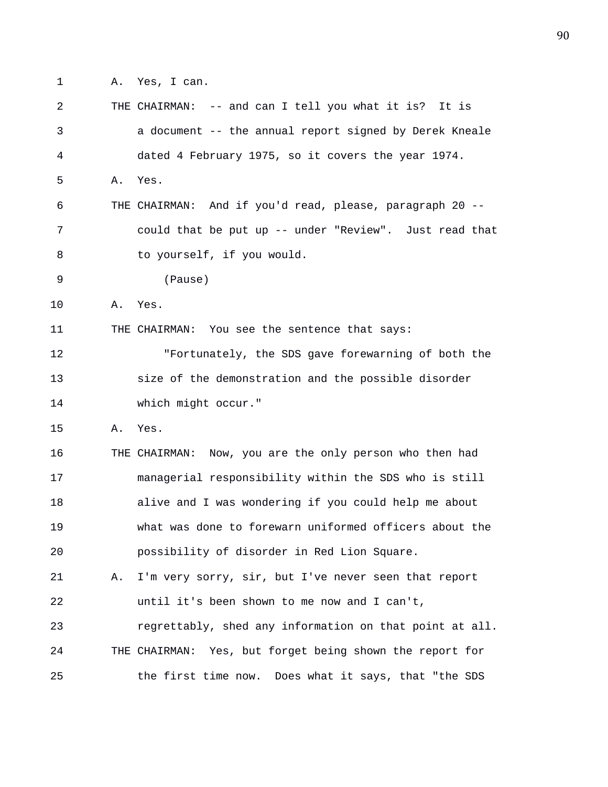1 A. Yes, I can.

| 2  |    | THE CHAIRMAN: -- and can I tell you what it is? It is    |
|----|----|----------------------------------------------------------|
| 3  |    | a document -- the annual report signed by Derek Kneale   |
| 4  |    | dated 4 February 1975, so it covers the year 1974.       |
| 5  | Α. | Yes.                                                     |
| 6  |    | THE CHAIRMAN: And if you'd read, please, paragraph 20 -- |
| 7  |    | could that be put up -- under "Review". Just read that   |
| 8  |    | to yourself, if you would.                               |
| 9  |    | (Pause)                                                  |
| 10 | Α. | Yes.                                                     |
| 11 |    | THE CHAIRMAN: You see the sentence that says:            |
| 12 |    | "Fortunately, the SDS gave forewarning of both the       |
| 13 |    | size of the demonstration and the possible disorder      |
| 14 |    | which might occur."                                      |
| 15 | Α. | Yes.                                                     |
| 16 |    | THE CHAIRMAN: Now, you are the only person who then had  |
| 17 |    | managerial responsibility within the SDS who is still    |
| 18 |    | alive and I was wondering if you could help me about     |
| 19 |    | what was done to forewarn uniformed officers about the   |
| 20 |    | possibility of disorder in Red Lion Square.              |
| 21 | Α. | I'm very sorry, sir, but I've never seen that report     |
| 22 |    | until it's been shown to me now and I can't,             |
| 23 |    | regrettably, shed any information on that point at all.  |
| 24 |    | THE CHAIRMAN: Yes, but forget being shown the report for |
| 25 |    | the first time now. Does what it says, that "the SDS     |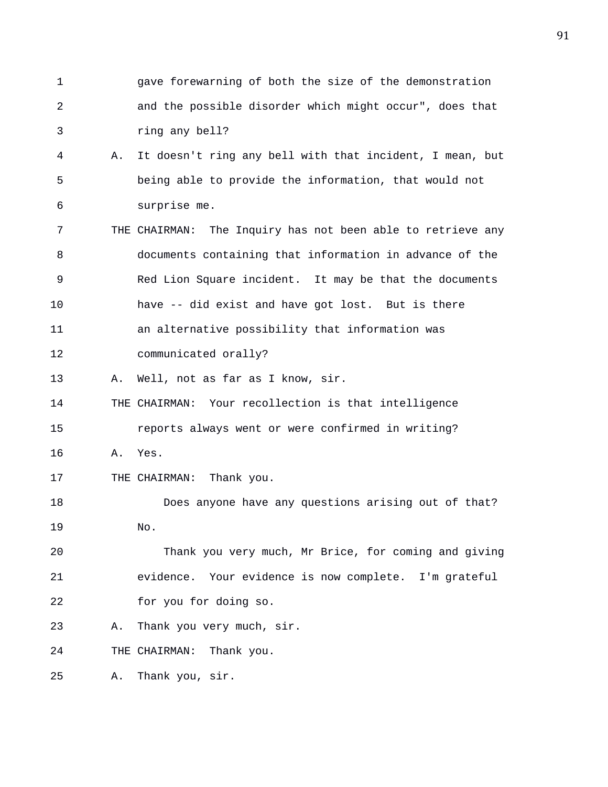1 gave forewarning of both the size of the demonstration 2 and the possible disorder which might occur", does that 3 ring any bell? 4 A. It doesn't ring any bell with that incident, I mean, but 5 being able to provide the information, that would not 6 surprise me. 7 THE CHAIRMAN: The Inquiry has not been able to retrieve any 8 documents containing that information in advance of the 9 Red Lion Square incident. It may be that the documents 10 have -- did exist and have got lost. But is there 11 an alternative possibility that information was 12 communicated orally? 13 A. Well, not as far as I know, sir. 14 THE CHAIRMAN: Your recollection is that intelligence 15 reports always went or were confirmed in writing? 16 A. Yes. 17 THE CHAIRMAN: Thank you. 18 Does anyone have any questions arising out of that? 19 No. 20 Thank you very much, Mr Brice, for coming and giving 21 evidence. Your evidence is now complete. I'm grateful 22 for you for doing so. 23 A. Thank you very much, sir. 24 THE CHAIRMAN: Thank you. 25 A. Thank you, sir.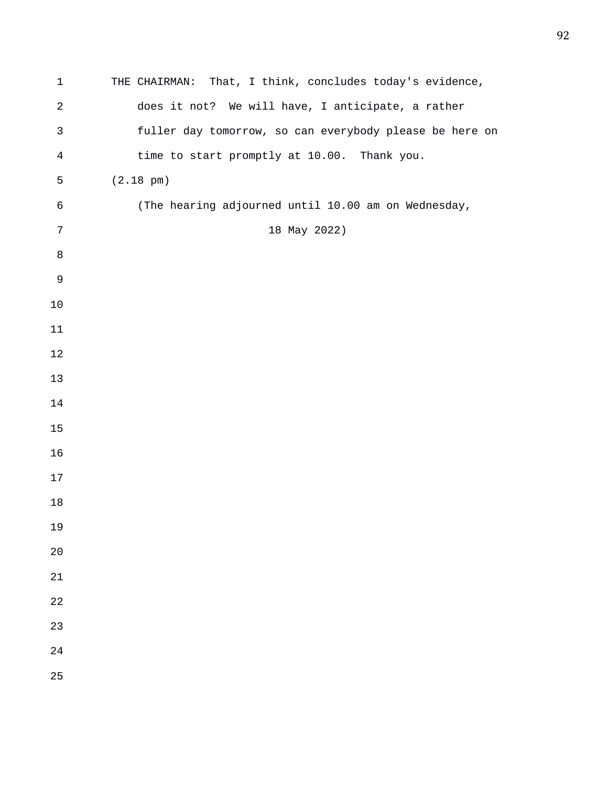| $\mathbf 1$    | THE CHAIRMAN: That, I think, concludes today's evidence, |
|----------------|----------------------------------------------------------|
| $\sqrt{2}$     | does it not? We will have, I anticipate, a rather        |
| $\mathsf{3}$   | fuller day tomorrow, so can everybody please be here on  |
| $\overline{4}$ | time to start promptly at 10.00. Thank you.              |
| 5              | $(2.18 \text{ pm})$                                      |
| 6              | (The hearing adjourned until 10.00 am on Wednesday,      |
| $\sqrt{ }$     | 18 May 2022)                                             |
| $\,8\,$        |                                                          |
| $\mathsf 9$    |                                                          |
| 10             |                                                          |
| 11             |                                                          |
| $12$           |                                                          |
| 13             |                                                          |
| 14             |                                                          |
| 15             |                                                          |
| 16             |                                                          |
| 17             |                                                          |
| $18\,$         |                                                          |
| 19             |                                                          |
| 20             |                                                          |
| 21             |                                                          |
| 22             |                                                          |
| 23             |                                                          |
| 24             |                                                          |
| 25             |                                                          |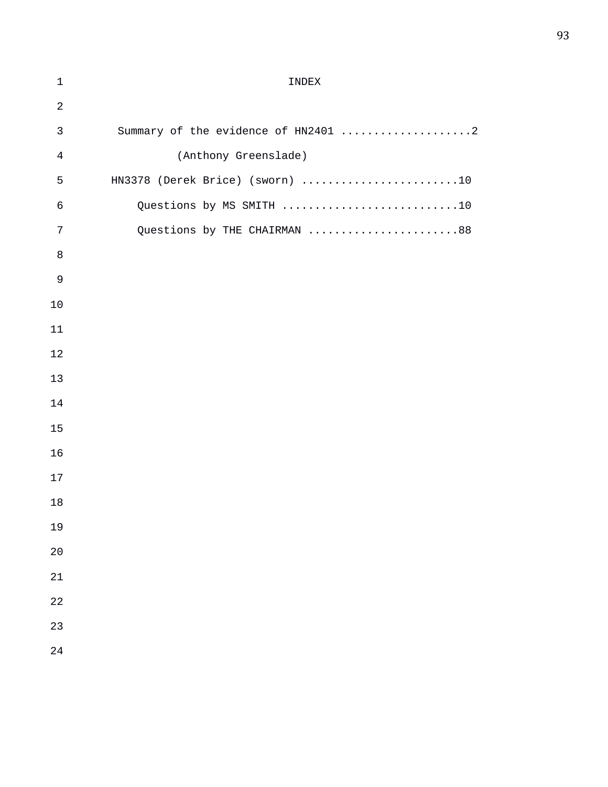| $\mathbf 1$    | INDEX                               |
|----------------|-------------------------------------|
| $\sqrt{2}$     |                                     |
| $\mathbf{3}$   | Summary of the evidence of HN2401 2 |
| $\overline{4}$ | (Anthony Greenslade)                |
| 5              | HN3378 (Derek Brice) (sworn) 10     |
| $\epsilon$     | Questions by MS SMITH 10            |
| 7              | Questions by THE CHAIRMAN 88        |
| 8              |                                     |
| $\mathsf 9$    |                                     |
| 10             |                                     |
| 11             |                                     |
| 12             |                                     |
| 13             |                                     |
| 14             |                                     |
| 15             |                                     |
| 16             |                                     |
| 17             |                                     |
| 18             |                                     |
| 19             |                                     |
| 20             |                                     |
| 21             |                                     |
| 22             |                                     |
| 23             |                                     |
| 24             |                                     |